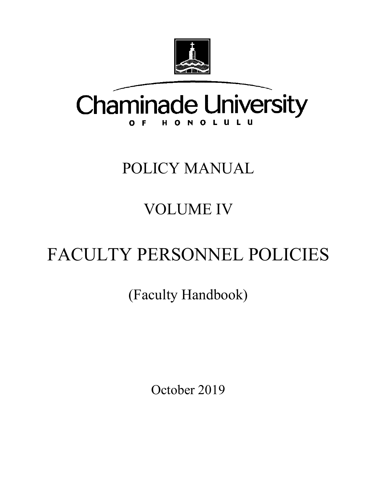

# Chaminade University

# POLICY MANUAL

# VOLUME IV

# FACULTY PERSONNEL POLICIES

(Faculty Handbook)

October 2019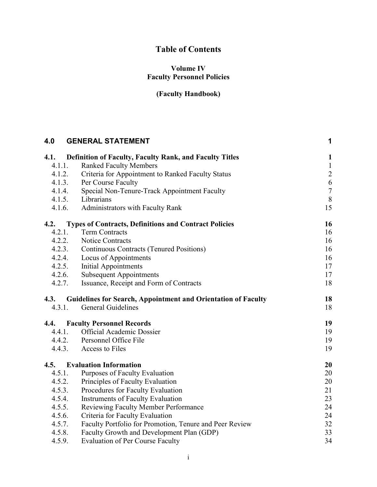# **Table of Contents**

#### **Volume IV Faculty Personnel Policies**

# **(Faculty Handbook)**

| 4.0    | <b>GENERAL STATEMENT</b>                                       | 1                                     |
|--------|----------------------------------------------------------------|---------------------------------------|
| 4.1.   | <b>Definition of Faculty, Faculty Rank, and Faculty Titles</b> | $\mathbf{1}$                          |
| 4.1.1. | <b>Ranked Faculty Members</b>                                  | $\,1\,$                               |
| 4.1.2. | Criteria for Appointment to Ranked Faculty Status              | $\begin{array}{c} 2 \\ 6 \end{array}$ |
| 4.1.3. | Per Course Faculty                                             |                                       |
| 4.1.4. | Special Non-Tenure-Track Appointment Faculty                   | $\boldsymbol{7}$                      |
| 4.1.5. | Librarians                                                     | $\, 8$                                |
| 4.1.6. | Administrators with Faculty Rank                               | 15                                    |
| 4.2.   | <b>Types of Contracts, Definitions and Contract Policies</b>   | 16                                    |
| 4.2.1. | <b>Term Contracts</b>                                          | 16                                    |
| 4.2.2. | <b>Notice Contracts</b>                                        | 16                                    |
| 4.2.3. | Continuous Contracts (Tenured Positions)                       | 16                                    |
| 4.2.4. | Locus of Appointments                                          | 16                                    |
| 4.2.5. | <b>Initial Appointments</b>                                    | 17                                    |
| 4.2.6. | <b>Subsequent Appointments</b>                                 | 17                                    |
| 4.2.7. | Issuance, Receipt and Form of Contracts                        | 18                                    |
| 4.3.   | Guidelines for Search, Appointment and Orientation of Faculty  | 18                                    |
| 4.3.1. | <b>General Guidelines</b>                                      | 18                                    |
| 4.4.   | <b>Faculty Personnel Records</b>                               | 19                                    |
| 4.4.1. | <b>Official Academic Dossier</b>                               | 19                                    |
|        | 4.4.2. Personnel Office File                                   | 19                                    |
|        | 4.4.3. Access to Files                                         | 19                                    |
| 4.5.   | <b>Evaluation Information</b>                                  | <b>20</b>                             |
| 4.5.1. | Purposes of Faculty Evaluation                                 | 20                                    |
| 4.5.2. | Principles of Faculty Evaluation                               | 20                                    |
| 4.5.3. | Procedures for Faculty Evaluation                              | 21                                    |
| 4.5.4. | Instruments of Faculty Evaluation                              | 23                                    |
| 4.5.5. | Reviewing Faculty Member Performance                           | 24                                    |
| 4.5.6. | Criteria for Faculty Evaluation                                | 24                                    |
| 4.5.7. | Faculty Portfolio for Promotion, Tenure and Peer Review        | 32                                    |
| 4.5.8. | Faculty Growth and Development Plan (GDP)                      | 33                                    |
| 4.5.9. | <b>Evaluation of Per Course Faculty</b>                        | 34                                    |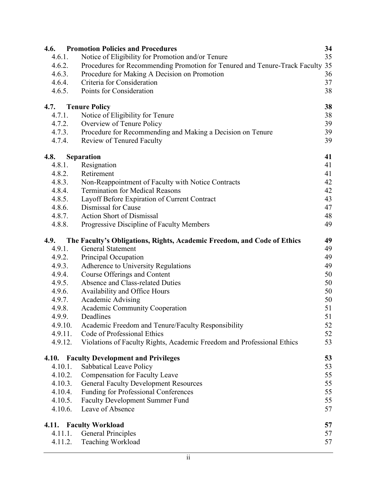| 4.6.    | <b>Promotion Policies and Procedures</b>                                   | 34 |
|---------|----------------------------------------------------------------------------|----|
| 4.6.1.  | Notice of Eligibility for Promotion and/or Tenure                          | 35 |
| 4.6.2.  | Procedures for Recommending Promotion for Tenured and Tenure-Track Faculty | 35 |
| 4.6.3.  | Procedure for Making A Decision on Promotion                               | 36 |
| 4.6.4.  | Criteria for Consideration                                                 | 37 |
| 4.6.5.  | Points for Consideration                                                   | 38 |
| 4.7.    | <b>Tenure Policy</b>                                                       | 38 |
| 4.7.1.  | Notice of Eligibility for Tenure                                           | 38 |
| 4.7.2.  | Overview of Tenure Policy                                                  | 39 |
| 4.7.3.  | Procedure for Recommending and Making a Decision on Tenure                 | 39 |
| 4.7.4.  | Review of Tenured Faculty                                                  | 39 |
| 4.8.    | <b>Separation</b>                                                          | 41 |
| 4.8.1.  | Resignation                                                                | 41 |
| 4.8.2.  | Retirement                                                                 | 41 |
| 4.8.3.  | Non-Reappointment of Faculty with Notice Contracts                         | 42 |
| 4.8.4.  | <b>Termination for Medical Reasons</b>                                     | 42 |
| 4.8.5.  | Layoff Before Expiration of Current Contract                               | 43 |
| 4.8.6.  | Dismissal for Cause                                                        | 47 |
| 4.8.7.  | <b>Action Short of Dismissal</b>                                           | 48 |
| 4.8.8.  | Progressive Discipline of Faculty Members                                  | 49 |
| 4.9.    | The Faculty's Obligations, Rights, Academic Freedom, and Code of Ethics    | 49 |
| 4.9.1.  | <b>General Statement</b>                                                   | 49 |
| 4.9.2.  | Principal Occupation                                                       | 49 |
| 4.9.3.  | Adherence to University Regulations                                        | 49 |
| 4.9.4.  | Course Offerings and Content                                               | 50 |
| 4.9.5.  | Absence and Class-related Duties                                           | 50 |
| 4.9.6.  | Availability and Office Hours                                              | 50 |
| 4.9.7.  | Academic Advising                                                          | 50 |
| 4.9.8.  | Academic Community Cooperation                                             | 51 |
| 4.9.9.  | Deadlines                                                                  | 51 |
| 4.9.10. | Academic Freedom and Tenure/Faculty Responsibility                         | 52 |
| 4.9.11. | Code of Professional Ethics                                                | 52 |
| 4.9.12. | Violations of Faculty Rights, Academic Freedom and Professional Ethics     | 53 |
| 4.10.   | <b>Faculty Development and Privileges</b>                                  | 53 |
| 4.10.1. | Sabbatical Leave Policy                                                    | 53 |
| 4.10.2. | Compensation for Faculty Leave                                             | 55 |
| 4.10.3. | <b>General Faculty Development Resources</b>                               | 55 |
| 4.10.4. | Funding for Professional Conferences                                       | 55 |
| 4.10.5. | <b>Faculty Development Summer Fund</b>                                     | 55 |
| 4.10.6. | Leave of Absence                                                           | 57 |
| 4.11.   | <b>Faculty Workload</b>                                                    | 57 |
| 4.11.1. | <b>General Principles</b>                                                  | 57 |
| 4.11.2. | Teaching Workload                                                          | 57 |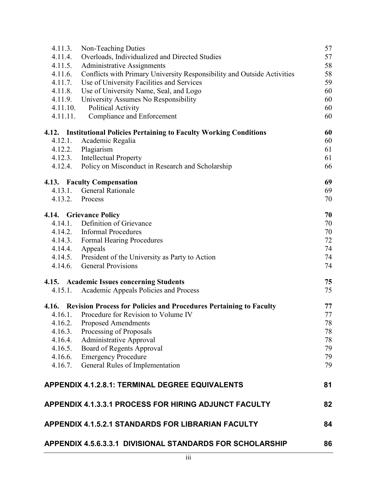| 4.11.3.                                                          | Non-Teaching Duties                                                      | 57 |
|------------------------------------------------------------------|--------------------------------------------------------------------------|----|
| 4.11.4.                                                          | Overloads, Individualized and Directed Studies                           | 57 |
| 4.11.5.                                                          | <b>Administrative Assignments</b>                                        | 58 |
| 4.11.6.                                                          | Conflicts with Primary University Responsibility and Outside Activities  | 58 |
| 4.11.7.                                                          | Use of University Facilities and Services                                | 59 |
| 4.11.8.                                                          | Use of University Name, Seal, and Logo                                   | 60 |
| 4.11.9.                                                          | University Assumes No Responsibility                                     | 60 |
| 4.11.10.                                                         | <b>Political Activity</b>                                                | 60 |
| 4.11.11.                                                         | Compliance and Enforcement                                               | 60 |
|                                                                  | 4.12. Institutional Policies Pertaining to Faculty Working Conditions    | 60 |
| 4.12.1.                                                          | Academic Regalia                                                         | 60 |
| 4.12.2.                                                          | Plagiarism                                                               | 61 |
| 4.12.3.                                                          | <b>Intellectual Property</b>                                             | 61 |
| 4.12.4.                                                          | Policy on Misconduct in Research and Scholarship                         | 66 |
|                                                                  | <b>4.13. Faculty Compensation</b>                                        | 69 |
| 4.13.1.                                                          | <b>General Rationale</b>                                                 | 69 |
|                                                                  | 4.13.2. Process                                                          | 70 |
|                                                                  | 4.14. Grievance Policy                                                   | 70 |
| 4.14.1.                                                          | Definition of Grievance                                                  | 70 |
|                                                                  | 4.14.2. Informal Procedures                                              | 70 |
| 4.14.3.                                                          | <b>Formal Hearing Procedures</b>                                         | 72 |
| 4.14.4.                                                          | Appeals                                                                  | 74 |
| 4.14.5.                                                          | President of the University as Party to Action                           | 74 |
| 4.14.6.                                                          | <b>General Provisions</b>                                                | 74 |
|                                                                  | 4.15. Academic Issues concerning Students                                | 75 |
| 4.15.1.                                                          | Academic Appeals Policies and Process                                    | 75 |
|                                                                  | 4.16. Revision Process for Policies and Procedures Pertaining to Faculty | 77 |
|                                                                  | 4.16.1. Procedure for Revision to Volume IV                              | 77 |
| 4.16.2.                                                          | <b>Proposed Amendments</b>                                               | 78 |
| 4.16.3.                                                          | Processing of Proposals                                                  | 78 |
| 4.16.4.                                                          | Administrative Approval                                                  | 78 |
| 4.16.5.                                                          | Board of Regents Approval                                                | 79 |
| 4.16.6.                                                          | <b>Emergency Procedure</b>                                               | 79 |
| 4.16.7.                                                          | General Rules of Implementation                                          | 79 |
| <b>APPENDIX 4.1.2.8.1: TERMINAL DEGREE EQUIVALENTS</b>           |                                                                          | 81 |
|                                                                  | <b>APPENDIX 4.1.3.3.1 PROCESS FOR HIRING ADJUNCT FACULTY</b>             | 82 |
|                                                                  | APPENDIX 4.1.5.2.1 STANDARDS FOR LIBRARIAN FACULTY                       | 84 |
| <b>APPENDIX 4.5.6.3.3.1 DIVISIONAL STANDARDS FOR SCHOLARSHIP</b> |                                                                          | 86 |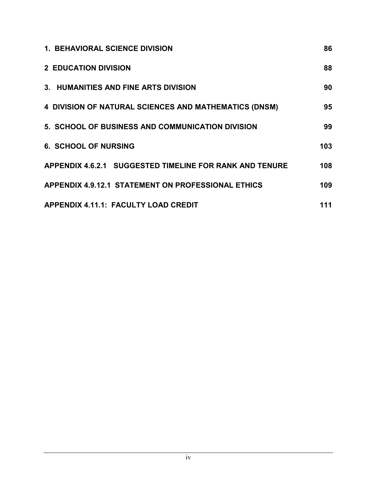| <b>1. BEHAVIORAL SCIENCE DIVISION</b>                        | 86  |
|--------------------------------------------------------------|-----|
| <b>2 EDUCATION DIVISION</b>                                  | 88  |
| 3. HUMANITIES AND FINE ARTS DIVISION                         | 90  |
| <b>4 DIVISION OF NATURAL SCIENCES AND MATHEMATICS (DNSM)</b> | 95  |
| 5. SCHOOL OF BUSINESS AND COMMUNICATION DIVISION             | 99  |
| <b>6. SCHOOL OF NURSING</b>                                  | 103 |
| APPENDIX 4.6.2.1 SUGGESTED TIMELINE FOR RANK AND TENURE      | 108 |
| <b>APPENDIX 4.9.12.1 STATEMENT ON PROFESSIONAL ETHICS</b>    | 109 |
| <b>APPENDIX 4.11.1: FACULTY LOAD CREDIT</b>                  | 111 |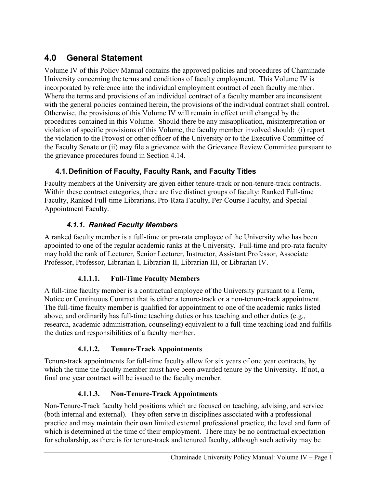# <span id="page-5-0"></span>**4.0 General Statement**

Volume IV of this Policy Manual contains the approved policies and procedures of Chaminade University concerning the terms and conditions of faculty employment. This Volume IV is incorporated by reference into the individual employment contract of each faculty member. Where the terms and provisions of an individual contract of a faculty member are inconsistent with the general policies contained herein, the provisions of the individual contract shall control. Otherwise, the provisions of this Volume IV will remain in effect until changed by the procedures contained in this Volume. Should there be any misapplication, misinterpretation or violation of specific provisions of this Volume, the faculty member involved should: (i) report the violation to the Provost or other officer of the University or to the Executive Committee of the Faculty Senate or (ii) may file a grievance with the Grievance Review Committee pursuant to the grievance procedures found in Section 4.14.

# <span id="page-5-1"></span>**4.1.Definition of Faculty, Faculty Rank, and Faculty Titles**

Faculty members at the University are given either tenure-track or non-tenure-track contracts. Within these contract categories, there are five distinct groups of faculty: Ranked Full-time Faculty, Ranked Full-time Librarians, Pro-Rata Faculty, Per-Course Faculty, and Special Appointment Faculty.

# *4.1.1. Ranked Faculty Members*

<span id="page-5-2"></span>A ranked faculty member is a full-time or pro-rata employee of the University who has been appointed to one of the regular academic ranks at the University. Full-time and pro-rata faculty may hold the rank of Lecturer, Senior Lecturer, Instructor, Assistant Professor, Associate Professor, Professor, Librarian I, Librarian II, Librarian III, or Librarian IV.

#### **4.1.1.1. Full-Time Faculty Members**

A full-time faculty member is a contractual employee of the University pursuant to a Term, Notice or Continuous Contract that is either a tenure-track or a non-tenure-track appointment. The full-time faculty member is qualified for appointment to one of the academic ranks listed above, and ordinarily has full-time teaching duties or has teaching and other duties (e.g., research, academic administration, counseling) equivalent to a full-time teaching load and fulfills the duties and responsibilities of a faculty member.

#### **4.1.1.2. Tenure-Track Appointments**

Tenure-track appointments for full-time faculty allow for six years of one year contracts, by which the time the faculty member must have been awarded tenure by the University. If not, a final one year contract will be issued to the faculty member.

# **4.1.1.3. Non-Tenure-Track Appointments**

Non-Tenure-Track faculty hold positions which are focused on teaching, advising, and service (both internal and external). They often serve in disciplines associated with a professional practice and may maintain their own limited external professional practice, the level and form of which is determined at the time of their employment. There may be no contractual expectation for scholarship, as there is for tenure-track and tenured faculty, although such activity may be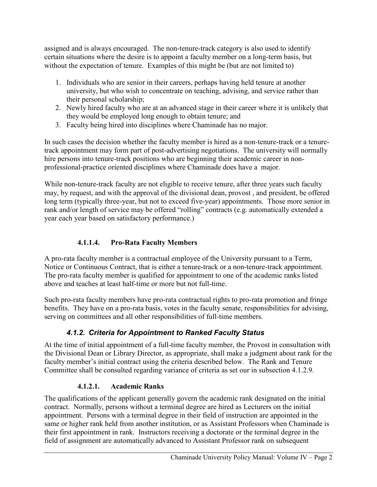assigned and is always encouraged. The non-tenure-track category is also used to identify certain situations where the desire is to appoint a faculty member on a long-term basis, but without the expectation of tenure. Examples of this might be (but are not limited to)

- 1. Individuals who are senior in their careers, perhaps having held tenure at another university, but who wish to concentrate on teaching, advising, and service rather than their personal scholarship;
- 2. Newly hired faculty who are at an advanced stage in their career where it is unlikely that they would be employed long enough to obtain tenure; and
- 3. Faculty being hired into disciplines where Chaminade has no major.

In such cases the decision whether the faculty member is hired as a non-tenure-track or a tenuretrack appointment may form part of post-advertising negotiations. The university will normally hire persons into tenure-track positions who are beginning their academic career in nonprofessional-practice oriented disciplines where Chaminade does have a major.

While non-tenure-track faculty are not eligible to receive tenure, after three years such faculty may, by request, and with the approval of the divisional dean, provost , and president, be offered long term (typically three-year, but not to exceed five-year) appointments. Those more senior in rank and/or length of service may be offered "rolling" contracts (e.g. automatically extended a year each year based on satisfactory performance.)

# **4.1.1.4. Pro-Rata Faculty Members**

A pro-rata faculty member is a contractual employee of the University pursuant to a Term, Notice or Continuous Contract, that is either a tenure-track or a non-tenure-track appointment. The pro-rata faculty member is qualified for appointment to one of the academic ranks listed above and teaches at least half-time or more but not full-time.

Such pro-rata faculty members have pro-rata contractual rights to pro-rata promotion and fringe benefits. They have on a pro-rata basis, votes in the faculty senate, responsibilities for advising, serving on committees and all other responsibilities of full-time members.

# *4.1.2. Criteria for Appointment to Ranked Faculty Status*

<span id="page-6-0"></span>At the time of initial appointment of a full-time faculty member, the Provost in consultation with the Divisional Dean or Library Director, as appropriate, shall make a judgment about rank for the faculty member's initial contract using the criteria described below. The Rank and Tenure Committee shall be consulted regarding variance of criteria as set our in subsection 4.1.2.9.

# **4.1.2.1. Academic Ranks**

The qualifications of the applicant generally govern the academic rank designated on the initial contract. Normally, persons without a terminal degree are hired as Lecturers on the initial appointment. Persons with a terminal degree in their field of instruction are appointed in the same or higher rank held from another institution, or as Assistant Professors when Chaminade is their first appointment in rank. Instructors receiving a doctorate or the terminal degree in the field of assignment are automatically advanced to Assistant Professor rank on subsequent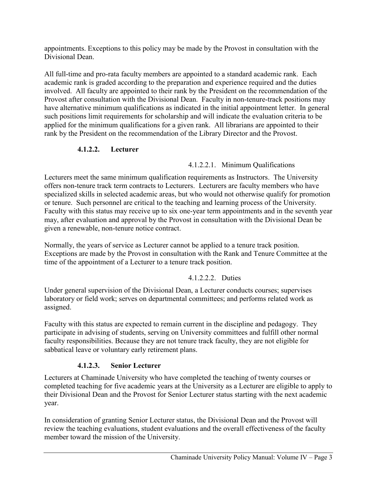appointments. Exceptions to this policy may be made by the Provost in consultation with the Divisional Dean.

All full-time and pro-rata faculty members are appointed to a standard academic rank. Each academic rank is graded according to the preparation and experience required and the duties involved. All faculty are appointed to their rank by the President on the recommendation of the Provost after consultation with the Divisional Dean. Faculty in non-tenure-track positions may have alternative minimum qualifications as indicated in the initial appointment letter. In general such positions limit requirements for scholarship and will indicate the evaluation criteria to be applied for the minimum qualifications for a given rank. All librarians are appointed to their rank by the President on the recommendation of the Library Director and the Provost.

#### **4.1.2.2. Lecturer**

#### 4.1.2.2.1. Minimum Qualifications

Lecturers meet the same minimum qualification requirements as Instructors. The University offers non-tenure track term contracts to Lecturers. Lecturers are faculty members who have specialized skills in selected academic areas, but who would not otherwise qualify for promotion or tenure. Such personnel are critical to the teaching and learning process of the University. Faculty with this status may receive up to six one-year term appointments and in the seventh year may, after evaluation and approval by the Provost in consultation with the Divisional Dean be given a renewable, non-tenure notice contract.

Normally, the years of service as Lecturer cannot be applied to a tenure track position. Exceptions are made by the Provost in consultation with the Rank and Tenure Committee at the time of the appointment of a Lecturer to a tenure track position.

#### 4.1.2.2.2. Duties

Under general supervision of the Divisional Dean, a Lecturer conducts courses; supervises laboratory or field work; serves on departmental committees; and performs related work as assigned.

Faculty with this status are expected to remain current in the discipline and pedagogy. They participate in advising of students, serving on University committees and fulfill other normal faculty responsibilities. Because they are not tenure track faculty, they are not eligible for sabbatical leave or voluntary early retirement plans.

#### **4.1.2.3. Senior Lecturer**

Lecturers at Chaminade University who have completed the teaching of twenty courses or completed teaching for five academic years at the University as a Lecturer are eligible to apply to their Divisional Dean and the Provost for Senior Lecturer status starting with the next academic year.

In consideration of granting Senior Lecturer status, the Divisional Dean and the Provost will review the teaching evaluations, student evaluations and the overall effectiveness of the faculty member toward the mission of the University.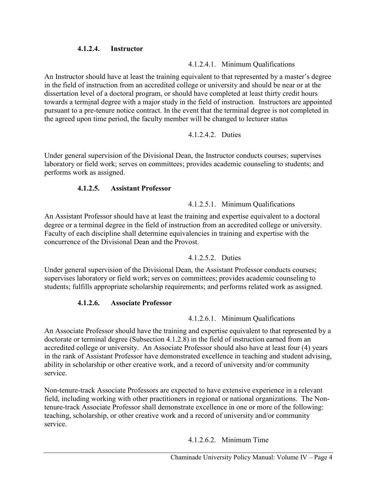#### **4.1.2.4. Instructor**

#### 4.1.2.4.1. Minimum Qualifications

An Instructor should have at least the training equivalent to that represented by a master's degree in the field of instruction from an accredited college or university and should be near or at the dissertation level of a doctoral program, or should have completed at least thirty credit hours towards a terminal degree with a major study in the field of instruction. Instructors are appointed pursuant to a pre-tenure notice contract. In the event that the terminal degree is not completed in the agreed upon time period, the faculty member will be changed to lecturer status

#### 4.1.2.4.2. Duties

Under general supervision of the Divisional Dean, the Instructor conducts courses; supervises laboratory or field work; serves on committees; provides academic counseling to students; and performs work as assigned.

#### **4.1.2.5. Assistant Professor**

#### 4.1.2.5.1. Minimum Qualifications

An Assistant Professor should have at least the training and expertise equivalent to a doctoral degree or a terminal degree in the field of instruction from an accredited college or university. Faculty of each discipline shall determine equivalencies in training and expertise with the concurrence of the Divisional Dean and the Provost.

4.1.2.5.2. Duties

Under general supervision of the Divisional Dean, the Assistant Professor conducts courses; supervises laboratory or field work; serves on committees; provides academic counseling to students; fulfills appropriate scholarship requirements; and performs related work as assigned.

#### **4.1.2.6. Associate Professor**

#### 4.1.2.6.1. Minimum Qualifications

An Associate Professor should have the training and expertise equivalent to that represented by a doctorate or terminal degree (Subsection 4.1.2.8) in the field of instruction earned from an accredited college or university. An Associate Professor should also have at least four (4) years in the rank of Assistant Professor have demonstrated excellence in teaching and student advising, ability in scholarship or other creative work, and a record of university and/or community service.

Non-tenure-track Associate Professors are expected to have extensive experience in a relevant field, including working with other practitioners in regional or national organizations. The Nontenure-track Associate Professor shall demonstrate excellence in one or more of the following: teaching, scholarship, or other creative work and a record of university and/or community service.

4.1.2.6.2. Minimum Time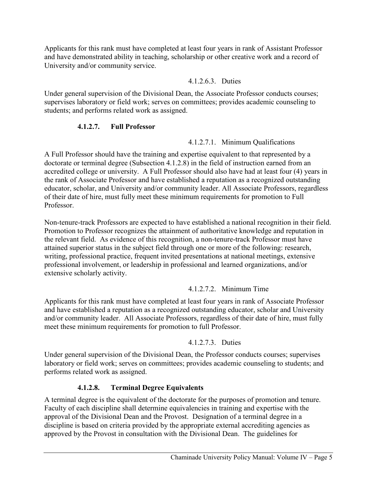Applicants for this rank must have completed at least four years in rank of Assistant Professor and have demonstrated ability in teaching, scholarship or other creative work and a record of University and/or community service.

#### 4.1.2.6.3. Duties

Under general supervision of the Divisional Dean, the Associate Professor conducts courses; supervises laboratory or field work; serves on committees; provides academic counseling to students; and performs related work as assigned.

#### **4.1.2.7. Full Professor**

#### 4.1.2.7.1. Minimum Qualifications

A Full Professor should have the training and expertise equivalent to that represented by a doctorate or terminal degree (Subsection 4.1.2.8) in the field of instruction earned from an accredited college or university. A Full Professor should also have had at least four (4) years in the rank of Associate Professor and have established a reputation as a recognized outstanding educator, scholar, and University and/or community leader. All Associate Professors, regardless of their date of hire, must fully meet these minimum requirements for promotion to Full Professor.

Non-tenure-track Professors are expected to have established a national recognition in their field. Promotion to Professor recognizes the attainment of authoritative knowledge and reputation in the relevant field. As evidence of this recognition, a non-tenure-track Professor must have attained superior status in the subject field through one or more of the following: research, writing, professional practice, frequent invited presentations at national meetings, extensive professional involvement, or leadership in professional and learned organizations, and/or extensive scholarly activity.

#### 4.1.2.7.2. Minimum Time

Applicants for this rank must have completed at least four years in rank of Associate Professor and have established a reputation as a recognized outstanding educator, scholar and University and/or community leader. All Associate Professors, regardless of their date of hire, must fully meet these minimum requirements for promotion to full Professor.

#### 4.1.2.7.3. Duties

Under general supervision of the Divisional Dean, the Professor conducts courses; supervises laboratory or field work; serves on committees; provides academic counseling to students; and performs related work as assigned.

#### **4.1.2.8. Terminal Degree Equivalents**

A terminal degree is the equivalent of the doctorate for the purposes of promotion and tenure. Faculty of each discipline shall determine equivalencies in training and expertise with the approval of the Divisional Dean and the Provost. Designation of a terminal degree in a discipline is based on criteria provided by the appropriate external accrediting agencies as approved by the Provost in consultation with the Divisional Dean. The guidelines for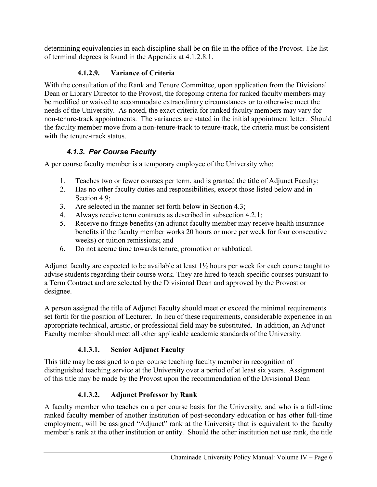determining equivalencies in each discipline shall be on file in the office of the Provost. The list of terminal degrees is found in the Appendix at 4.1.2.8.1.

# **4.1.2.9. Variance of Criteria**

With the consultation of the Rank and Tenure Committee, upon application from the Divisional Dean or Library Director to the Provost, the foregoing criteria for ranked faculty members may be modified or waived to accommodate extraordinary circumstances or to otherwise meet the needs of the University. As noted, the exact criteria for ranked faculty members may vary for non-tenure-track appointments. The variances are stated in the initial appointment letter. Should the faculty member move from a non-tenure-track to tenure-track, the criteria must be consistent with the tenure-track status.

# *4.1.3. Per Course Faculty*

<span id="page-10-0"></span>A per course faculty member is a temporary employee of the University who:

- 1. Teaches two or fewer courses per term, and is granted the title of Adjunct Faculty;
- 2. Has no other faculty duties and responsibilities, except those listed below and in Section 4.9:
- 3. Are selected in the manner set forth below in Section 4.3;
- 4. Always receive term contracts as described in subsection 4.2.1;
- 5. Receive no fringe benefits (an adjunct faculty member may receive health insurance benefits if the faculty member works 20 hours or more per week for four consecutive weeks) or tuition remissions; and
- 6. Do not accrue time towards tenure, promotion or sabbatical.

Adjunct faculty are expected to be available at least 1½ hours per week for each course taught to advise students regarding their course work. They are hired to teach specific courses pursuant to a Term Contract and are selected by the Divisional Dean and approved by the Provost or designee.

A person assigned the title of Adjunct Faculty should meet or exceed the minimal requirements set forth for the position of Lecturer. In lieu of these requirements, considerable experience in an appropriate technical, artistic, or professional field may be substituted. In addition, an Adjunct Faculty member should meet all other applicable academic standards of the University.

# **4.1.3.1. Senior Adjunct Faculty**

This title may be assigned to a per course teaching faculty member in recognition of distinguished teaching service at the University over a period of at least six years. Assignment of this title may be made by the Provost upon the recommendation of the Divisional Dean

# **4.1.3.2. Adjunct Professor by Rank**

A faculty member who teaches on a per course basis for the University, and who is a full-time ranked faculty member of another institution of post-secondary education or has other full-time employment, will be assigned "Adjunct" rank at the University that is equivalent to the faculty member's rank at the other institution or entity. Should the other institution not use rank, the title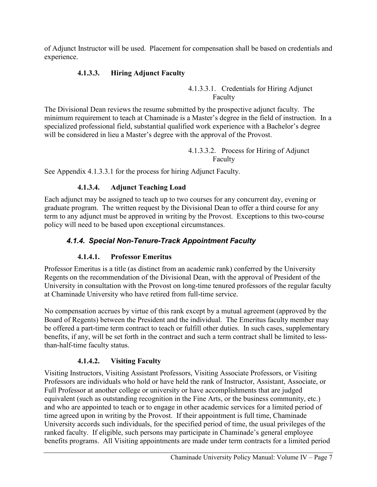of Adjunct Instructor will be used. Placement for compensation shall be based on credentials and experience.

#### **4.1.3.3. Hiring Adjunct Faculty**

#### 4.1.3.3.1. Credentials for Hiring Adjunct Faculty

The Divisional Dean reviews the resume submitted by the prospective adjunct faculty. The minimum requirement to teach at Chaminade is a Master's degree in the field of instruction. In a specialized professional field, substantial qualified work experience with a Bachelor's degree will be considered in lieu a Master's degree with the approval of the Provost.

> 4.1.3.3.2. Process for Hiring of Adjunct Faculty

See Appendix 4.1.3.3.1 for the process for hiring Adjunct Faculty.

#### **4.1.3.4. Adjunct Teaching Load**

Each adjunct may be assigned to teach up to two courses for any concurrent day, evening or graduate program. The written request by the Divisional Dean to offer a third course for any term to any adjunct must be approved in writing by the Provost. Exceptions to this two-course policy will need to be based upon exceptional circumstances.

# <span id="page-11-0"></span>*4.1.4. Special Non-Tenure-Track Appointment Faculty*

#### **4.1.4.1. Professor Emeritus**

Professor Emeritus is a title (as distinct from an academic rank) conferred by the University Regents on the recommendation of the Divisional Dean, with the approval of President of the University in consultation with the Provost on long-time tenured professors of the regular faculty at Chaminade University who have retired from full-time service.

No compensation accrues by virtue of this rank except by a mutual agreement (approved by the Board of Regents) between the President and the individual. The Emeritus faculty member may be offered a part-time term contract to teach or fulfill other duties. In such cases, supplementary benefits, if any, will be set forth in the contract and such a term contract shall be limited to lessthan-half-time faculty status.

#### **4.1.4.2. Visiting Faculty**

Visiting Instructors, Visiting Assistant Professors, Visiting Associate Professors, or Visiting Professors are individuals who hold or have held the rank of Instructor, Assistant, Associate, or Full Professor at another college or university or have accomplishments that are judged equivalent (such as outstanding recognition in the Fine Arts, or the business community, etc.) and who are appointed to teach or to engage in other academic services for a limited period of time agreed upon in writing by the Provost. If their appointment is full time, Chaminade University accords such individuals, for the specified period of time, the usual privileges of the ranked faculty. If eligible, such persons may participate in Chaminade's general employee benefits programs. All Visiting appointments are made under term contracts for a limited period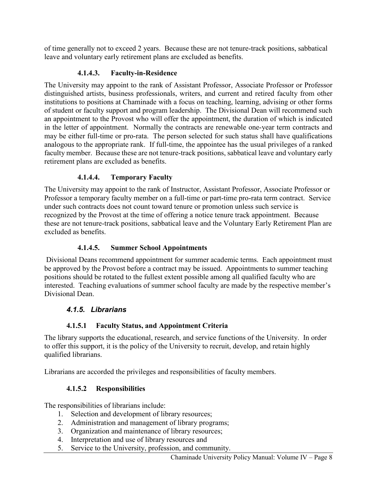of time generally not to exceed 2 years. Because these are not tenure-track positions, sabbatical leave and voluntary early retirement plans are excluded as benefits.

#### **4.1.4.3. Faculty-in-Residence**

The University may appoint to the rank of Assistant Professor, Associate Professor or Professor distinguished artists, business professionals, writers, and current and retired faculty from other institutions to positions at Chaminade with a focus on teaching, learning, advising or other forms of student or faculty support and program leadership. The Divisional Dean will recommend such an appointment to the Provost who will offer the appointment, the duration of which is indicated in the letter of appointment. Normally the contracts are renewable one-year term contracts and may be either full-time or pro-rata. The person selected for such status shall have qualifications analogous to the appropriate rank. If full-time, the appointee has the usual privileges of a ranked faculty member. Because these are not tenure-track positions, sabbatical leave and voluntary early retirement plans are excluded as benefits.

# **4.1.4.4. Temporary Faculty**

The University may appoint to the rank of Instructor, Assistant Professor, Associate Professor or Professor a temporary faculty member on a full-time or part-time pro-rata term contract. Service under such contracts does not count toward tenure or promotion unless such service is recognized by the Provost at the time of offering a notice tenure track appointment. Because these are not tenure-track positions, sabbatical leave and the Voluntary Early Retirement Plan are excluded as benefits.

# **4.1.4.5. Summer School Appointments**

Divisional Deans recommend appointment for summer academic terms. Each appointment must be approved by the Provost before a contract may be issued. Appointments to summer teaching positions should be rotated to the fullest extent possible among all qualified faculty who are interested. Teaching evaluations of summer school faculty are made by the respective member's Divisional Dean.

# <span id="page-12-0"></span>*4.1.5. Librarians*

# **4.1.5.1 Faculty Status, and Appointment Criteria**

The library supports the educational, research, and service functions of the University. In order to offer this support, it is the policy of the University to recruit, develop, and retain highly qualified librarians.

Librarians are accorded the privileges and responsibilities of faculty members.

# **4.1.5.2 Responsibilities**

The responsibilities of librarians include:

- 1. Selection and development of library resources;
- 2. Administration and management of library programs;
- 3. Organization and maintenance of library resources;
- 4. Interpretation and use of library resources and
- 5. Service to the University, profession, and community.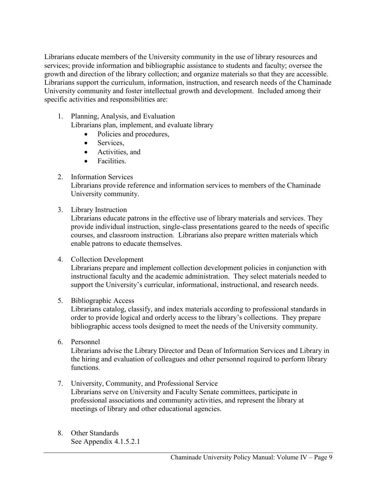Librarians educate members of the University community in the use of library resources and services; provide information and bibliographic assistance to students and faculty; oversee the growth and direction of the library collection; and organize materials so that they are accessible. Librarians support the curriculum, information, instruction, and research needs of the Chaminade University community and foster intellectual growth and development. Included among their specific activities and responsibilities are:

- 1. Planning, Analysis, and Evaluation Librarians plan, implement, and evaluate library
	- Policies and procedures,
	- Services.
	- Activities, and
	- Facilities.
- 2. Information Services

Librarians provide reference and information services to members of the Chaminade University community.

3. Library Instruction

Librarians educate patrons in the effective use of library materials and services. They provide individual instruction, single-class presentations geared to the needs of specific courses, and classroom instruction. Librarians also prepare written materials which enable patrons to educate themselves.

4. Collection Development

Librarians prepare and implement collection development policies in conjunction with instructional faculty and the academic administration. They select materials needed to support the University's curricular, informational, instructional, and research needs.

#### 5. Bibliographic Access

Librarians catalog, classify, and index materials according to professional standards in order to provide logical and orderly access to the library's collections. They prepare bibliographic access tools designed to meet the needs of the University community.

6. Personnel

Librarians advise the Library Director and Dean of Information Services and Library in the hiring and evaluation of colleagues and other personnel required to perform library functions.

- 7. University, Community, and Professional Service Librarians serve on University and Faculty Senate committees, participate in professional associations and community activities, and represent the library at meetings of library and other educational agencies.
- 8. Other Standards See Appendix 4.1.5.2.1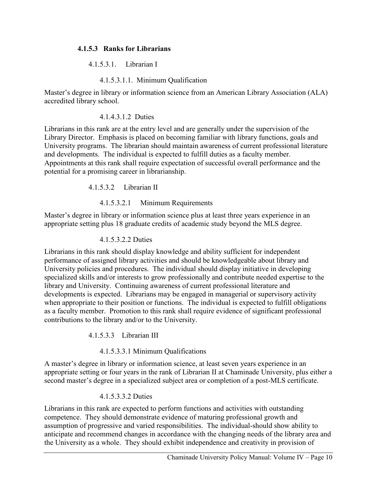#### **4.1.5.3 Ranks for Librarians**

4.1.5.3.1. Librarian I

4.1.5.3.1.1. Minimum Qualification

Master's degree in library or information science from an American Library Association (ALA) accredited library school.

#### 4.1.4.3.1.2 Duties

Librarians in this rank are at the entry level and are generally under the supervision of the Library Director. Emphasis is placed on becoming familiar with library functions, goals and University programs. The librarian should maintain awareness of current professional literature and developments. The individual is expected to fulfill duties as a faculty member. Appointments at this rank shall require expectation of successful overall performance and the potential for a promising career in librarianship.

4.1.5.3.2 Librarian II

4.1.5.3.2.1 Minimum Requirements

Master's degree in library or information science plus at least three years experience in an appropriate setting plus 18 graduate credits of academic study beyond the MLS degree.

#### 4.1.5.3.2.2 Duties

Librarians in this rank should display knowledge and ability sufficient for independent performance of assigned library activities and should be knowledgeable about library and University policies and procedures. The individual should display initiative in developing specialized skills and/or interests to grow professionally and contribute needed expertise to the library and University. Continuing awareness of current professional literature and developments is expected. Librarians may be engaged in managerial or supervisory activity when appropriate to their position or functions. The individual is expected to fulfill obligations as a faculty member. Promotion to this rank shall require evidence of significant professional contributions to the library and/or to the University.

4.1.5.3.3 Librarian III

#### 4.1.5.3.3.1 Minimum Qualifications

A master's degree in library or information science, at least seven years experience in an appropriate setting or four years in the rank of Librarian II at Chaminade University, plus either a second master's degree in a specialized subject area or completion of a post-MLS certificate.

#### 4.1.5.3.3.2 Duties

Librarians in this rank are expected to perform functions and activities with outstanding competence. They should demonstrate evidence of maturing professional growth and assumption of progressive and varied responsibilities. The individual-should show ability to anticipate and recommend changes in accordance with the changing needs of the library area and the University as a whole. They should exhibit independence and creativity in provision of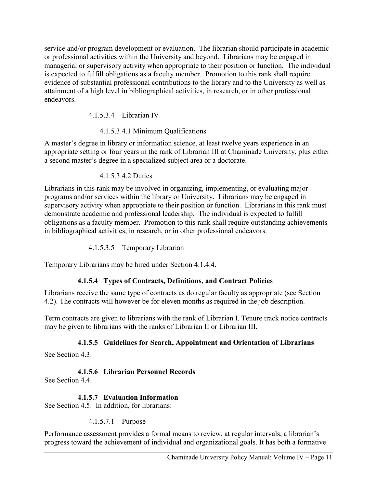service and/or program development or evaluation. The librarian should participate in academic or professional activities within the University and beyond. Librarians may be engaged in managerial or supervisory activity when appropriate to their position or function. The individual is expected to fulfill obligations as a faculty member. Promotion to this rank shall require evidence of substantial professional contributions to the library and to the University as well as attainment of a high level in bibliographical activities, in research, or in other professional endeavors.

#### 4.1.5.3.4 Librarian IV

#### 4.1.5.3.4.1 Minimum Qualifications

A master's degree in library or information science, at least twelve years experience in an appropriate setting or four years in the rank of Librarian III at Chaminade University, plus either a second master's degree in a specialized subject area or a doctorate.

#### 4.1.5.3.4.2 Duties

Librarians in this rank may be involved in organizing, implementing, or evaluating major programs and/or services within the library or University. Librarians may be engaged in supervisory activity when appropriate to their position or function. Librarians in this rank must demonstrate academic and professional leadership. The individual is expected to fulfill obligations as a faculty member. Promotion to this rank shall require outstanding achievements in bibliographical activities, in research, or in other professional endeavors.

#### 4.1.5.3.5 Temporary Librarian

Temporary Librarians may be hired under Section 4.1.4.4.

#### **4.1.5.4 Types of Contracts, Definitions, and Contract Policies**

Librarians receive the same type of contracts as do regular faculty as appropriate (see Section 4.2). The contracts will however be for eleven months as required in the job description.

Term contracts are given to librarians with the rank of Librarian I. Tenure track notice contracts may be given to librarians with the ranks of Librarian II or Librarian III.

#### **4.1.5.5 Guidelines for Search, Appointment and Orientation of Librarians**

See Section 4.3.

**4.1.5.6 Librarian Personnel Records**

See Section 4.4.

#### **4.1.5.7 Evaluation Information**

See Section 4.5. In addition, for librarians:

4.1.5.7.1 Purpose

Performance assessment provides a formal means to review, at regular intervals, a librarian's progress toward the achievement of individual and organizational goals. It has both a formative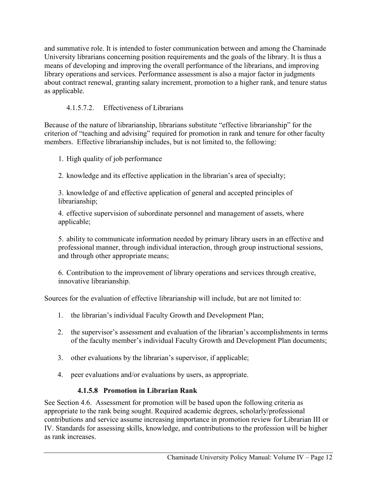and summative role. It is intended to foster communication between and among the Chaminade University librarians concerning position requirements and the goals of the library. It is thus a means of developing and improving the overall performance of the librarians, and improving library operations and services. Performance assessment is also a major factor in judgments about contract renewal, granting salary increment, promotion to a higher rank, and tenure status as applicable.

# 4.1.5.7.2. Effectiveness of Librarians

Because of the nature of librarianship, librarians substitute "effective librarianship" for the criterion of "teaching and advising" required for promotion in rank and tenure for other faculty members. Effective librarianship includes, but is not limited to, the following:

1. High quality of job performance

2. knowledge and its effective application in the librarian's area of specialty;

3. knowledge of and effective application of general and accepted principles of librarianship;

4. effective supervision of subordinate personnel and management of assets, where applicable;

5. ability to communicate information needed by primary library users in an effective and professional manner, through individual interaction, through group instructional sessions, and through other appropriate means;

6. Contribution to the improvement of library operations and services through creative, innovative librarianship.

Sources for the evaluation of effective librarianship will include, but are not limited to:

- 1. the librarian's individual Faculty Growth and Development Plan;
- 2. the supervisor's assessment and evaluation of the librarian's accomplishments in terms of the faculty member's individual Faculty Growth and Development Plan documents;
- 3. other evaluations by the librarian's supervisor, if applicable;
- 4. peer evaluations and/or evaluations by users, as appropriate.

# **4.1.5.8 Promotion in Librarian Rank**

See Section 4.6. Assessment for promotion will be based upon the following criteria as appropriate to the rank being sought. Required academic degrees, scholarly/professional contributions and service assume increasing importance in promotion review for Librarian III or IV. Standards for assessing skills, knowledge, and contributions to the profession will be higher as rank increases.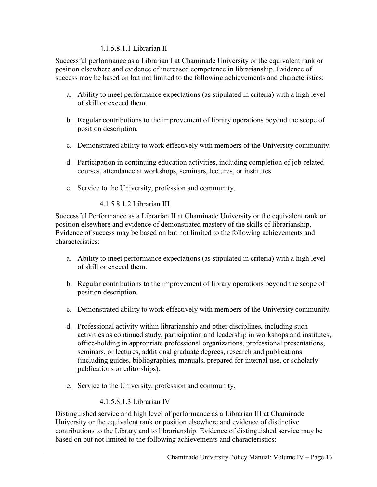#### 4.1.5.8.1.1 Librarian II

Successful performance as a Librarian I at Chaminade University or the equivalent rank or position elsewhere and evidence of increased competence in librarianship. Evidence of success may be based on but not limited to the following achievements and characteristics:

- a. Ability to meet performance expectations (as stipulated in criteria) with a high level of skill or exceed them.
- b. Regular contributions to the improvement of library operations beyond the scope of position description.
- c. Demonstrated ability to work effectively with members of the University community.
- d. Participation in continuing education activities, including completion of job-related courses, attendance at workshops, seminars, lectures, or institutes.
- e. Service to the University, profession and community.

#### 4.1.5.8.1.2 Librarian III

Successful Performance as a Librarian II at Chaminade University or the equivalent rank or position elsewhere and evidence of demonstrated mastery of the skills of librarianship. Evidence of success may be based on but not limited to the following achievements and characteristics:

- a. Ability to meet performance expectations (as stipulated in criteria) with a high level of skill or exceed them.
- b. Regular contributions to the improvement of library operations beyond the scope of position description.
- c. Demonstrated ability to work effectively with members of the University community.
- d. Professional activity within librarianship and other disciplines, including such activities as continued study, participation and leadership in workshops and institutes, office-holding in appropriate professional organizations, professional presentations, seminars, or lectures, additional graduate degrees, research and publications (including guides, bibliographies, manuals, prepared for internal use, or scholarly publications or editorships).
- e. Service to the University, profession and community.

#### 4.1.5.8.1.3 Librarian IV

Distinguished service and high level of performance as a Librarian III at Chaminade University or the equivalent rank or position elsewhere and evidence of distinctive contributions to the Library and to librarianship. Evidence of distinguished service may be based on but not limited to the following achievements and characteristics: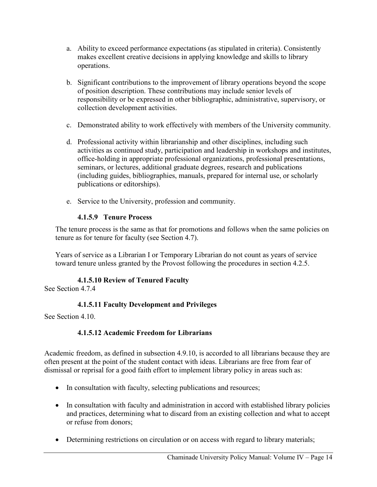- a. Ability to exceed performance expectations (as stipulated in criteria). Consistently makes excellent creative decisions in applying knowledge and skills to library operations.
- b. Significant contributions to the improvement of library operations beyond the scope of position description. These contributions may include senior levels of responsibility or be expressed in other bibliographic, administrative, supervisory, or collection development activities.
- c. Demonstrated ability to work effectively with members of the University community.
- d. Professional activity within librarianship and other disciplines, including such activities as continued study, participation and leadership in workshops and institutes, office-holding in appropriate professional organizations, professional presentations, seminars, or lectures, additional graduate degrees, research and publications (including guides, bibliographies, manuals, prepared for internal use, or scholarly publications or editorships).
- e. Service to the University, profession and community.

# **4.1.5.9 Tenure Process**

The tenure process is the same as that for promotions and follows when the same policies on tenure as for tenure for faculty (see Section 4.7).

Years of service as a Librarian I or Temporary Librarian do not count as years of service toward tenure unless granted by the Provost following the procedures in section 4.2.5.

#### **4.1.5.10 Review of Tenured Faculty**

See Section 4.7.4

# **4.1.5.11 Faculty Development and Privileges**

See Section 4.10.

# **4.1.5.12 Academic Freedom for Librarians**

Academic freedom, as defined in subsection 4.9.10, is accorded to all librarians because they are often present at the point of the student contact with ideas. Librarians are free from fear of dismissal or reprisal for a good faith effort to implement library policy in areas such as:

- In consultation with faculty, selecting publications and resources;
- In consultation with faculty and administration in accord with established library policies and practices, determining what to discard from an existing collection and what to accept or refuse from donors;
- Determining restrictions on circulation or on access with regard to library materials;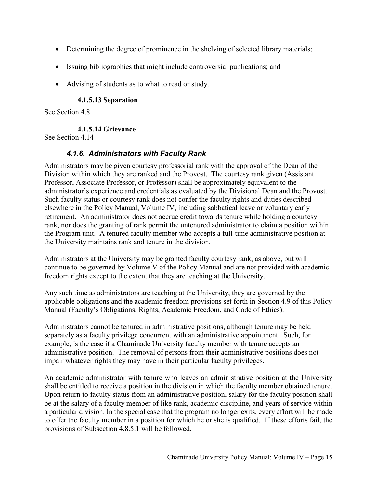- Determining the degree of prominence in the shelving of selected library materials;
- Issuing bibliographies that might include controversial publications; and
- Advising of students as to what to read or study.

#### **4.1.5.13 Separation**

See Section 4.8.

#### **4.1.5.14 Grievance**

<span id="page-19-0"></span>See Section 4.14

#### *4.1.6. Administrators with Faculty Rank*

Administrators may be given courtesy professorial rank with the approval of the Dean of the Division within which they are ranked and the Provost. The courtesy rank given (Assistant Professor, Associate Professor, or Professor) shall be approximately equivalent to the administrator's experience and credentials as evaluated by the Divisional Dean and the Provost. Such faculty status or courtesy rank does not confer the faculty rights and duties described elsewhere in the Policy Manual, Volume IV, including sabbatical leave or voluntary early retirement. An administrator does not accrue credit towards tenure while holding a courtesy rank, nor does the granting of rank permit the untenured administrator to claim a position within the Program unit. A tenured faculty member who accepts a full-time administrative position at the University maintains rank and tenure in the division.

Administrators at the University may be granted faculty courtesy rank, as above, but will continue to be governed by Volume V of the Policy Manual and are not provided with academic freedom rights except to the extent that they are teaching at the University.

Any such time as administrators are teaching at the University, they are governed by the applicable obligations and the academic freedom provisions set forth in Section 4.9 of this Policy Manual (Faculty's Obligations, Rights, Academic Freedom, and Code of Ethics).

Administrators cannot be tenured in administrative positions, although tenure may be held separately as a faculty privilege concurrent with an administrative appointment. Such, for example, is the case if a Chaminade University faculty member with tenure accepts an administrative position. The removal of persons from their administrative positions does not impair whatever rights they may have in their particular faculty privileges.

An academic administrator with tenure who leaves an administrative position at the University shall be entitled to receive a position in the division in which the faculty member obtained tenure. Upon return to faculty status from an administrative position, salary for the faculty position shall be at the salary of a faculty member of like rank, academic discipline, and years of service within a particular division. In the special case that the program no longer exits, every effort will be made to offer the faculty member in a position for which he or she is qualified. If these efforts fail, the provisions of Subsection 4.8.5.1 will be followed.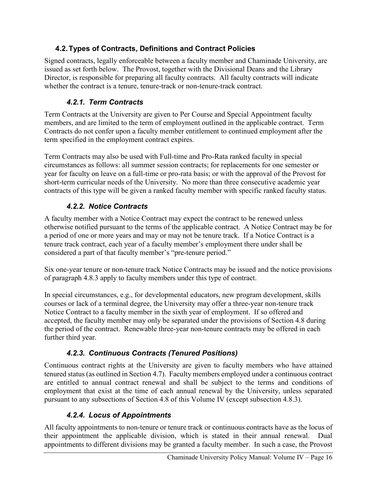# **4.2.Types of Contracts, Definitions and Contract Policies**

<span id="page-20-0"></span>Signed contracts, legally enforceable between a faculty member and Chaminade University, are issued as set forth below. The Provost, together with the Divisional Deans and the Library Director, is responsible for preparing all faculty contracts. All faculty contracts will indicate whether the contract is a tenure, tenure-track or non-tenure-track contract.

# *4.2.1. Term Contracts*

<span id="page-20-1"></span>Term Contracts at the University are given to Per Course and Special Appointment faculty members, and are limited to the term of employment outlined in the applicable contract. Term Contracts do not confer upon a faculty member entitlement to continued employment after the term specified in the employment contract expires.

Term Contracts may also be used with Full-time and Pro-Rata ranked faculty in special circumstances as follows: all summer session contracts; for replacements for one semester or year for faculty on leave on a full-time or pro-rata basis; or with the approval of the Provost for short-term curricular needs of the University. No more than three consecutive academic year contracts of this type will be given a ranked faculty member with specific ranked faculty status.

# *4.2.2. Notice Contracts*

<span id="page-20-2"></span>A faculty member with a Notice Contract may expect the contract to be renewed unless otherwise notified pursuant to the terms of the applicable contract. A Notice Contract may be for a period of one or more years and may or may not be tenure track. If a Notice Contract is a tenure track contract, each year of a faculty member's employment there under shall be considered a part of that faculty member's "pre-tenure period."

Six one-year tenure or non-tenure track Notice Contracts may be issued and the notice provisions of paragraph 4.8.3 apply to faculty members under this type of contract.

In special circumstances, e.g., for developmental educators, new program development, skills courses or lack of a terminal degree, the University may offer a three-year non-tenure track Notice Contract to a faculty member in the sixth year of employment. If so offered and accepted, the faculty member may only be separated under the provisions of Section 4.8 during the period of the contract. Renewable three-year non-tenure contracts may be offered in each further third year.

# *4.2.3. Continuous Contracts (Tenured Positions)*

<span id="page-20-3"></span>Continuous contract rights at the University are given to faculty members who have attained tenured status (as outlined in Section 4.7). Faculty members employed under a continuous contract are entitled to annual contract renewal and shall be subject to the terms and conditions of employment that exist at the time of each annual renewal by the University, unless separated pursuant to any subsections of Section 4.8 of this Volume IV (except subsection 4.8.3).

# *4.2.4. Locus of Appointments*

<span id="page-20-4"></span>All faculty appointments to non-tenure or tenure track or continuous contracts have as the locus of their appointment the applicable division, which is stated in their annual renewal. Dual appointments to different divisions may be granted a faculty member. In such a case, the Provost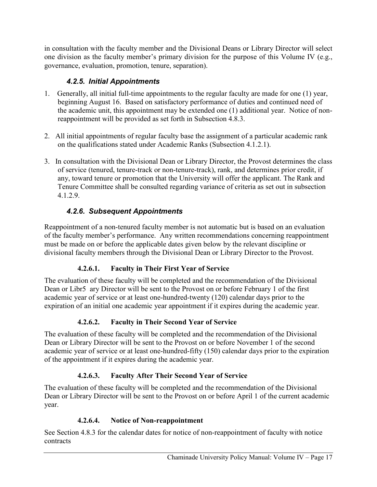in consultation with the faculty member and the Divisional Deans or Library Director will select one division as the faculty member's primary division for the purpose of this Volume IV (e.g., governance, evaluation, promotion, tenure, separation).

# *4.2.5. Initial Appointments*

- <span id="page-21-0"></span>1. Generally, all initial full-time appointments to the regular faculty are made for one (1) year, beginning August 16. Based on satisfactory performance of duties and continued need of the academic unit, this appointment may be extended one (1) additional year. Notice of nonreappointment will be provided as set forth in Subsection 4.8.3.
- 2. All initial appointments of regular faculty base the assignment of a particular academic rank on the qualifications stated under Academic Ranks (Subsection 4.1.2.1).
- 3. In consultation with the Divisional Dean or Library Director, the Provost determines the class of service (tenured, tenure-track or non-tenure-track), rank, and determines prior credit, if any, toward tenure or promotion that the University will offer the applicant. The Rank and Tenure Committee shall be consulted regarding variance of criteria as set out in subsection 4.1.2.9.

# *4.2.6. Subsequent Appointments*

<span id="page-21-1"></span>Reappointment of a non-tenured faculty member is not automatic but is based on an evaluation of the faculty member's performance. Any written recommendations concerning reappointment must be made on or before the applicable dates given below by the relevant discipline or divisional faculty members through the Divisional Dean or Library Director to the Provost.

#### **4.2.6.1. Faculty in Their First Year of Service**

The evaluation of these faculty will be completed and the recommendation of the Divisional Dean or Libr5 ary Director will be sent to the Provost on or before February 1 of the first academic year of service or at least one-hundred-twenty (120) calendar days prior to the expiration of an initial one academic year appointment if it expires during the academic year.

# **4.2.6.2. Faculty in Their Second Year of Service**

The evaluation of these faculty will be completed and the recommendation of the Divisional Dean or Library Director will be sent to the Provost on or before November 1 of the second academic year of service or at least one-hundred-fifty (150) calendar days prior to the expiration of the appointment if it expires during the academic year.

# **4.2.6.3. Faculty After Their Second Year of Service**

The evaluation of these faculty will be completed and the recommendation of the Divisional Dean or Library Director will be sent to the Provost on or before April 1 of the current academic year.

#### **4.2.6.4. Notice of Non-reappointment**

See Section 4.8.3 for the calendar dates for notice of non-reappointment of faculty with notice contracts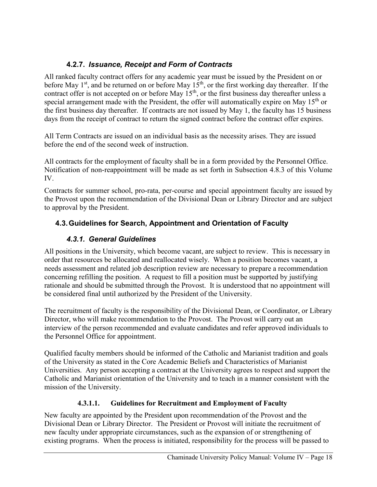# **4.2.7.** *Issuance, Receipt and Form of Contracts*

<span id="page-22-0"></span>All ranked faculty contract offers for any academic year must be issued by the President on or before May  $1<sup>st</sup>$ , and be returned on or before May  $15<sup>th</sup>$ , or the first working day thereafter. If the contract offer is not accepted on or before May  $15<sup>th</sup>$ , or the first business day thereafter unless a special arrangement made with the President, the offer will automatically expire on May  $15<sup>th</sup>$  or the first business day thereafter. If contracts are not issued by May 1, the faculty has 15 business days from the receipt of contract to return the signed contract before the contract offer expires.

All Term Contracts are issued on an individual basis as the necessity arises. They are issued before the end of the second week of instruction.

All contracts for the employment of faculty shall be in a form provided by the Personnel Office. Notification of non-reappointment will be made as set forth in Subsection 4.8.3 of this Volume IV.

Contracts for summer school, pro-rata, per-course and special appointment faculty are issued by the Provost upon the recommendation of the Divisional Dean or Library Director and are subject to approval by the President.

# <span id="page-22-1"></span>**4.3.Guidelines for Search, Appointment and Orientation of Faculty**

# *4.3.1. General Guidelines*

<span id="page-22-2"></span>All positions in the University, which become vacant, are subject to review. This is necessary in order that resources be allocated and reallocated wisely. When a position becomes vacant, a needs assessment and related job description review are necessary to prepare a recommendation concerning refilling the position. A request to fill a position must be supported by justifying rationale and should be submitted through the Provost. It is understood that no appointment will be considered final until authorized by the President of the University.

The recruitment of faculty is the responsibility of the Divisional Dean, or Coordinator, or Library Director, who will make recommendation to the Provost. The Provost will carry out an interview of the person recommended and evaluate candidates and refer approved individuals to the Personnel Office for appointment.

Qualified faculty members should be informed of the Catholic and Marianist tradition and goals of the University as stated in the Core Academic Beliefs and Characteristics of Marianist Universities. Any person accepting a contract at the University agrees to respect and support the Catholic and Marianist orientation of the University and to teach in a manner consistent with the mission of the University.

#### **4.3.1.1. Guidelines for Recruitment and Employment of Faculty**

New faculty are appointed by the President upon recommendation of the Provost and the Divisional Dean or Library Director. The President or Provost will initiate the recruitment of new faculty under appropriate circumstances, such as the expansion of or strengthening of existing programs. When the process is initiated, responsibility for the process will be passed to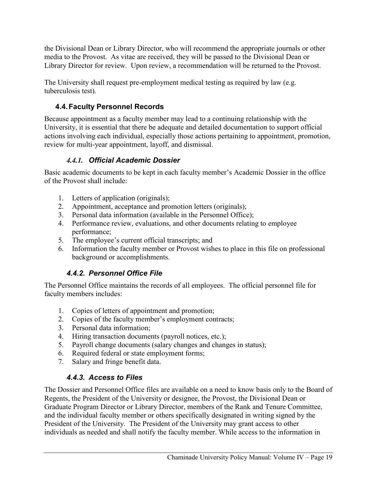the Divisional Dean or Library Director, who will recommend the appropriate journals or other media to the Provost. As vitae are received, they will be passed to the Divisional Dean or Library Director for review. Upon review, a recommendation will be returned to the Provost.

The University shall request pre-employment medical testing as required by law (e.g. tuberculosis test).

# <span id="page-23-0"></span>**4.4.Faculty Personnel Records**

Because appointment as a faculty member may lead to a continuing relationship with the University, it is essential that there be adequate and detailed documentation to support official actions involving each individual, especially those actions pertaining to appointment, promotion, review for multi-year appointment, layoff, and dismissal.

# *4.4.1. Official Academic Dossier*

<span id="page-23-1"></span>Basic academic documents to be kept in each faculty member's Academic Dossier in the office of the Provost shall include:

- 1. Letters of application (originals);
- 2. Appointment, acceptance and promotion letters (originals);
- 3. Personal data information (available in the Personnel Office);
- 4. Performance review, evaluations, and other documents relating to employee performance;
- 5. The employee's current official transcripts; and
- 6. Information the faculty member or Provost wishes to place in this file on professional background or accomplishments.

# *4.4.2. Personnel Office File*

<span id="page-23-2"></span>The Personnel Office maintains the records of all employees. The official personnel file for faculty members includes:

- 1. Copies of letters of appointment and promotion;
- 2. Copies of the faculty member's employment contracts;
- 3. Personal data information;
- 4. Hiring transaction documents (payroll notices, etc.);
- 5. Payroll change documents (salary changes and changes in status);
- 6. Required federal or state employment forms;
- <span id="page-23-3"></span>7. Salary and fringe benefit data.

# *4.4.3. Access to Files*

The Dossier and Personnel Office files are available on a need to know basis only to the Board of Regents, the President of the University or designee, the Provost, the Divisional Dean or Graduate Program Director or Library Director, members of the Rank and Tenure Committee, and the individual faculty member or others specifically designated in writing signed by the President of the University. The President of the University may grant access to other individuals as needed and shall notify the faculty member. While access to the information in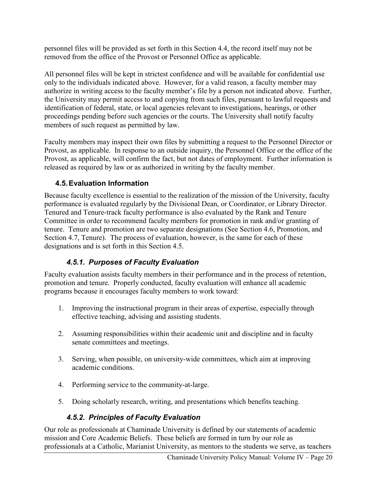personnel files will be provided as set forth in this Section 4.4, the record itself may not be removed from the office of the Provost or Personnel Office as applicable.

All personnel files will be kept in strictest confidence and will be available for confidential use only to the individuals indicated above. However, for a valid reason, a faculty member may authorize in writing access to the faculty member's file by a person not indicated above. Further, the University may permit access to and copying from such files, pursuant to lawful requests and identification of federal, state, or local agencies relevant to investigations, hearings, or other proceedings pending before such agencies or the courts. The University shall notify faculty members of such request as permitted by law.

Faculty members may inspect their own files by submitting a request to the Personnel Director or Provost, as applicable. In response to an outside inquiry, the Personnel Office or the office of the Provost, as applicable, will confirm the fact, but not dates of employment. Further information is released as required by law or as authorized in writing by the faculty member.

# <span id="page-24-0"></span>**4.5.Evaluation Information**

Because faculty excellence is essential to the realization of the mission of the University, faculty performance is evaluated regularly by the Divisional Dean, or Coordinator, or Library Director. Tenured and Tenure-track faculty performance is also evaluated by the Rank and Tenure Committee in order to recommend faculty members for promotion in rank and/or granting of tenure. Tenure and promotion are two separate designations (See Section 4.6, Promotion, and Section 4.7, Tenure). The process of evaluation, however, is the same for each of these designations and is set forth in this Section 4.5.

# *4.5.1. Purposes of Faculty Evaluation*

<span id="page-24-1"></span>Faculty evaluation assists faculty members in their performance and in the process of retention, promotion and tenure. Properly conducted, faculty evaluation will enhance all academic programs because it encourages faculty members to work toward:

- 1. Improving the instructional program in their areas of expertise, especially through effective teaching, advising and assisting students.
- 2. Assuming responsibilities within their academic unit and discipline and in faculty senate committees and meetings.
- 3. Serving, when possible, on university-wide committees, which aim at improving academic conditions.
- 4. Performing service to the community-at-large.
- <span id="page-24-2"></span>5. Doing scholarly research, writing, and presentations which benefits teaching.

# *4.5.2. Principles of Faculty Evaluation*

Our role as professionals at Chaminade University is defined by our statements of academic mission and Core Academic Beliefs. These beliefs are formed in turn by our role as professionals at a Catholic, Marianist University, as mentors to the students we serve, as teachers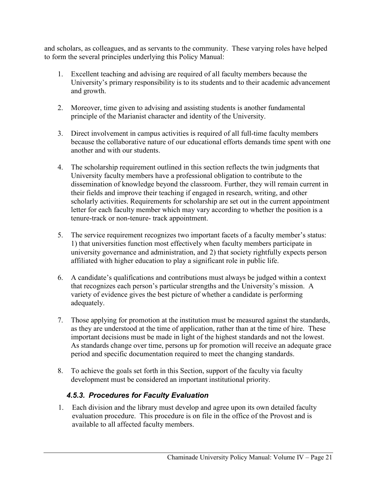and scholars, as colleagues, and as servants to the community. These varying roles have helped to form the several principles underlying this Policy Manual:

- 1. Excellent teaching and advising are required of all faculty members because the University's primary responsibility is to its students and to their academic advancement and growth.
- 2. Moreover, time given to advising and assisting students is another fundamental principle of the Marianist character and identity of the University.
- 3. Direct involvement in campus activities is required of all full-time faculty members because the collaborative nature of our educational efforts demands time spent with one another and with our students.
- 4. The scholarship requirement outlined in this section reflects the twin judgments that University faculty members have a professional obligation to contribute to the dissemination of knowledge beyond the classroom. Further, they will remain current in their fields and improve their teaching if engaged in research, writing, and other scholarly activities. Requirements for scholarship are set out in the current appointment letter for each faculty member which may vary according to whether the position is a tenure-track or non-tenure- track appointment.
- 5. The service requirement recognizes two important facets of a faculty member's status: 1) that universities function most effectively when faculty members participate in university governance and administration, and 2) that society rightfully expects person affiliated with higher education to play a significant role in public life.
- 6. A candidate's qualifications and contributions must always be judged within a context that recognizes each person's particular strengths and the University's mission. A variety of evidence gives the best picture of whether a candidate is performing adequately.
- 7. Those applying for promotion at the institution must be measured against the standards, as they are understood at the time of application, rather than at the time of hire. These important decisions must be made in light of the highest standards and not the lowest. As standards change over time, persons up for promotion will receive an adequate grace period and specific documentation required to meet the changing standards.
- <span id="page-25-0"></span>8. To achieve the goals set forth in this Section, support of the faculty via faculty development must be considered an important institutional priority.

# *4.5.3. Procedures for Faculty Evaluation*

1. Each division and the library must develop and agree upon its own detailed faculty evaluation procedure. This procedure is on file in the office of the Provost and is available to all affected faculty members.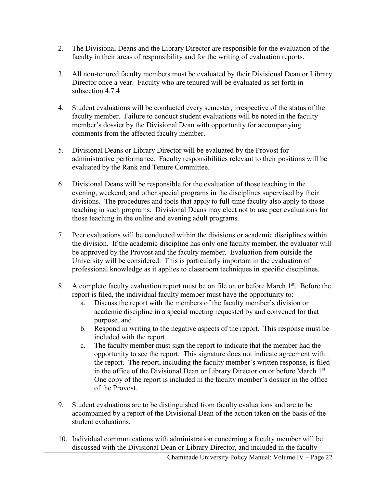- 2. The Divisional Deans and the Library Director are responsible for the evaluation of the faculty in their areas of responsibility and for the writing of evaluation reports.
- 3. All non-tenured faculty members must be evaluated by their Divisional Dean or Library Director once a year. Faculty who are tenured will be evaluated as set forth in subsection 4.7.4
- 4. Student evaluations will be conducted every semester, irrespective of the status of the faculty member. Failure to conduct student evaluations will be noted in the faculty member's dossier by the Divisional Dean with opportunity for accompanying comments from the affected faculty member.
- 5. Divisional Deans or Library Director will be evaluated by the Provost for administrative performance. Faculty responsibilities relevant to their positions will be evaluated by the Rank and Tenure Committee.
- 6. Divisional Deans will be responsible for the evaluation of those teaching in the evening, weekend, and other special programs in the disciplines supervised by their divisions. The procedures and tools that apply to full-time faculty also apply to those teaching in such programs. Divisional Deans may elect not to use peer evaluations for those teaching in the online and evening adult programs.
- 7. Peer evaluations will be conducted within the divisions or academic disciplines within the division. If the academic discipline has only one faculty member, the evaluator will be approved by the Provost and the faculty member. Evaluation from outside the University will be considered. This is particularly important in the evaluation of professional knowledge as it applies to classroom techniques in specific disciplines.
- 8. A complete faculty evaluation report must be on file on or before March  $1<sup>st</sup>$ . Before the report is filed, the individual faculty member must have the opportunity to:
	- a. Discuss the report with the members of the faculty member's division or academic discipline in a special meeting requested by and convened for that purpose, and
	- b. Respond in writing to the negative aspects of the report. This response must be included with the report.
	- c. The faculty member must sign the report to indicate that the member had the opportunity to see the report. This signature does not indicate agreement with the report. The report, including the faculty member's written response, is filed in the office of the Divisional Dean or Library Director on or before March 1<sup>st</sup>. One copy of the report is included in the faculty member's dossier in the office of the Provost.
- 9. Student evaluations are to be distinguished from faculty evaluations and are to be accompanied by a report of the Divisional Dean of the action taken on the basis of the student evaluations.
- 10. Individual communications with administration concerning a faculty member will be discussed with the Divisional Dean or Library Director, and included in the faculty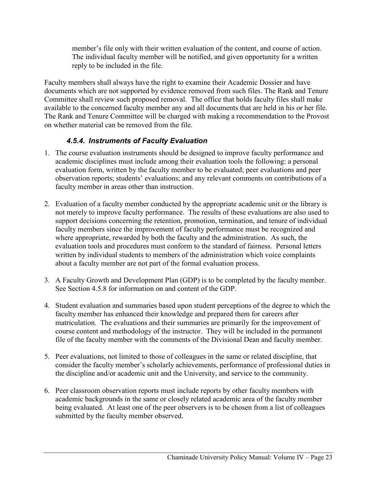member's file only with their written evaluation of the content, and course of action. The individual faculty member will be notified, and given opportunity for a written reply to be included in the file.

Faculty members shall always have the right to examine their Academic Dossier and have documents which are not supported by evidence removed from such files. The Rank and Tenure Committee shall review such proposed removal. The office that holds faculty files shall make available to the concerned faculty member any and all documents that are held in his or her file. The Rank and Tenure Committee will be charged with making a recommendation to the Provost on whether material can be removed from the file.

# *4.5.4. Instruments of Faculty Evaluation*

- <span id="page-27-0"></span>1. The course evaluation instruments should be designed to improve faculty performance and academic disciplines must include among their evaluation tools the following: a personal evaluation form, written by the faculty member to be evaluated; peer evaluations and peer observation reports; students' evaluations; and any relevant comments on contributions of a faculty member in areas other than instruction.
- 2. Evaluation of a faculty member conducted by the appropriate academic unit or the library is not merely to improve faculty performance. The results of these evaluations are also used to support decisions concerning the retention, promotion, termination, and tenure of individual faculty members since the improvement of faculty performance must be recognized and where appropriate, rewarded by both the faculty and the administration. As such, the evaluation tools and procedures must conform to the standard of fairness. Personal letters written by individual students to members of the administration which voice complaints about a faculty member are not part of the formal evaluation process.
- 3. A Faculty Growth and Development Plan (GDP) is to be completed by the faculty member. See Section 4.5.8 for information on and content of the GDP.
- 4. Student evaluation and summaries based upon student perceptions of the degree to which the faculty member has enhanced their knowledge and prepared them for careers after matriculation. The evaluations and their summaries are primarily for the improvement of course content and methodology of the instructor. They will be included in the permanent file of the faculty member with the comments of the Divisional Dean and faculty member.
- 5. Peer evaluations, not limited to those of colleagues in the same or related discipline, that consider the faculty member's scholarly achievements, performance of professional duties in the discipline and/or academic unit and the University, and service to the community.
- 6. Peer classroom observation reports must include reports by other faculty members with academic backgrounds in the same or closely related academic area of the faculty member being evaluated. At least one of the peer observers is to be chosen from a list of colleagues submitted by the faculty member observed.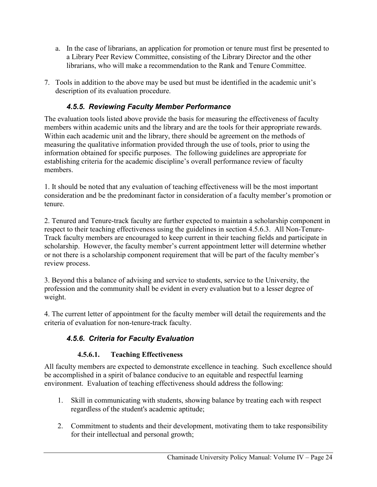- a. In the case of librarians, an application for promotion or tenure must first be presented to a Library Peer Review Committee, consisting of the Library Director and the other librarians, who will make a recommendation to the Rank and Tenure Committee.
- <span id="page-28-0"></span>7. Tools in addition to the above may be used but must be identified in the academic unit's description of its evaluation procedure.

# *4.5.5. Reviewing Faculty Member Performance*

The evaluation tools listed above provide the basis for measuring the effectiveness of faculty members within academic units and the library and are the tools for their appropriate rewards. Within each academic unit and the library, there should be agreement on the methods of measuring the qualitative information provided through the use of tools, prior to using the information obtained for specific purposes. The following guidelines are appropriate for establishing criteria for the academic discipline's overall performance review of faculty members.

1. It should be noted that any evaluation of teaching effectiveness will be the most important consideration and be the predominant factor in consideration of a faculty member's promotion or tenure.

2. Tenured and Tenure-track faculty are further expected to maintain a scholarship component in respect to their teaching effectiveness using the guidelines in section 4.5.6.3. All Non-Tenure-Track faculty members are encouraged to keep current in their teaching fields and participate in scholarship. However, the faculty member's current appointment letter will determine whether or not there is a scholarship component requirement that will be part of the faculty member's review process.

3. Beyond this a balance of advising and service to students, service to the University, the profession and the community shall be evident in every evaluation but to a lesser degree of weight.

<span id="page-28-1"></span>4. The current letter of appointment for the faculty member will detail the requirements and the criteria of evaluation for non-tenure-track faculty.

# *4.5.6. Criteria for Faculty Evaluation*

#### **4.5.6.1. Teaching Effectiveness**

All faculty members are expected to demonstrate excellence in teaching. Such excellence should be accomplished in a spirit of balance conducive to an equitable and respectful learning environment. Evaluation of teaching effectiveness should address the following:

- 1. Skill in communicating with students, showing balance by treating each with respect regardless of the student's academic aptitude;
- 2. Commitment to students and their development, motivating them to take responsibility for their intellectual and personal growth;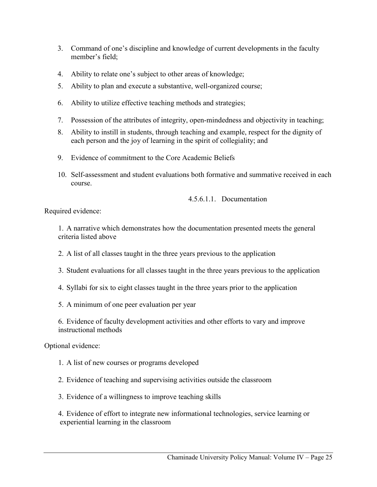- 3. Command of one's discipline and knowledge of current developments in the faculty member's field;
- 4. Ability to relate one's subject to other areas of knowledge;
- 5. Ability to plan and execute a substantive, well-organized course;
- 6. Ability to utilize effective teaching methods and strategies;
- 7. Possession of the attributes of integrity, open-mindedness and objectivity in teaching;
- 8. Ability to instill in students, through teaching and example, respect for the dignity of each person and the joy of learning in the spirit of collegiality; and
- 9. Evidence of commitment to the Core Academic Beliefs
- 10. Self-assessment and student evaluations both formative and summative received in each course.

4.5.6.1.1. Documentation

Required evidence:

1. A narrative which demonstrates how the documentation presented meets the general criteria listed above

- 2. A list of all classes taught in the three years previous to the application
- 3. Student evaluations for all classes taught in the three years previous to the application
- 4. Syllabi for six to eight classes taught in the three years prior to the application
- 5. A minimum of one peer evaluation per year

6. Evidence of faculty development activities and other efforts to vary and improve instructional methods

Optional evidence:

- 1. A list of new courses or programs developed
- 2. Evidence of teaching and supervising activities outside the classroom
- 3. Evidence of a willingness to improve teaching skills

4. Evidence of effort to integrate new informational technologies, service learning or experiential learning in the classroom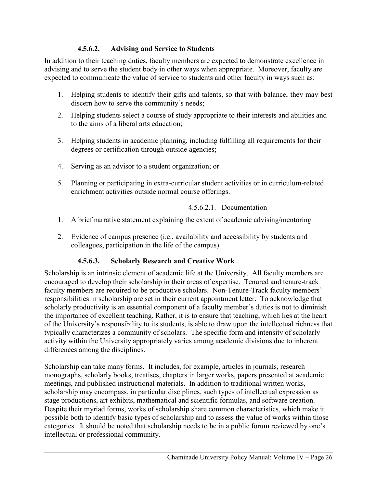#### **4.5.6.2. Advising and Service to Students**

In addition to their teaching duties, faculty members are expected to demonstrate excellence in advising and to serve the student body in other ways when appropriate. Moreover, faculty are expected to communicate the value of service to students and other faculty in ways such as:

- 1. Helping students to identify their gifts and talents, so that with balance, they may best discern how to serve the community's needs;
- 2. Helping students select a course of study appropriate to their interests and abilities and to the aims of a liberal arts education;
- 3. Helping students in academic planning, including fulfilling all requirements for their degrees or certification through outside agencies;
- 4. Serving as an advisor to a student organization; or
- 5. Planning or participating in extra-curricular student activities or in curriculum-related enrichment activities outside normal course offerings.

#### 4.5.6.2.1. Documentation

- 1. A brief narrative statement explaining the extent of academic advising/mentoring
- 2. Evidence of campus presence (i.e., availability and accessibility by students and colleagues, participation in the life of the campus)

#### **4.5.6.3. Scholarly Research and Creative Work**

Scholarship is an intrinsic element of academic life at the University. All faculty members are encouraged to develop their scholarship in their areas of expertise. Tenured and tenure-track faculty members are required to be productive scholars. Non-Tenure-Track faculty members' responsibilities in scholarship are set in their current appointment letter. To acknowledge that scholarly productivity is an essential component of a faculty member's duties is not to diminish the importance of excellent teaching. Rather, it is to ensure that teaching, which lies at the heart of the University's responsibility to its students, is able to draw upon the intellectual richness that typically characterizes a community of scholars. The specific form and intensity of scholarly activity within the University appropriately varies among academic divisions due to inherent differences among the disciplines.

Scholarship can take many forms. It includes, for example, articles in journals, research monographs, scholarly books, treatises, chapters in larger works, papers presented at academic meetings, and published instructional materials. In addition to traditional written works, scholarship may encompass, in particular disciplines, such types of intellectual expression as stage productions, art exhibits, mathematical and scientific formulas, and software creation. Despite their myriad forms, works of scholarship share common characteristics, which make it possible both to identify basic types of scholarship and to assess the value of works within those categories. It should be noted that scholarship needs to be in a public forum reviewed by one's intellectual or professional community.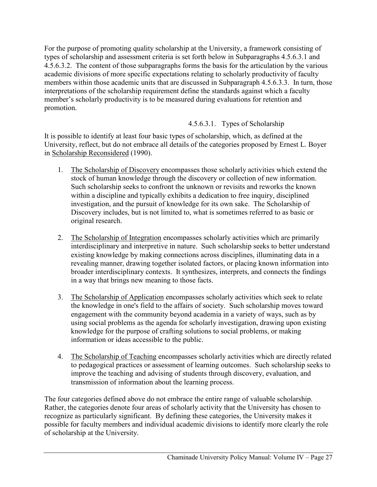For the purpose of promoting quality scholarship at the University, a framework consisting of types of scholarship and assessment criteria is set forth below in Subparagraphs 4.5.6.3.1 and 4.5.6.3.2. The content of those subparagraphs forms the basis for the articulation by the various academic divisions of more specific expectations relating to scholarly productivity of faculty members within those academic units that are discussed in Subparagraph 4.5.6.3.3. In turn, those interpretations of the scholarship requirement define the standards against which a faculty member's scholarly productivity is to be measured during evaluations for retention and promotion.

#### 4.5.6.3.1. Types of Scholarship

It is possible to identify at least four basic types of scholarship, which, as defined at the University, reflect, but do not embrace all details of the categories proposed by Ernest L. Boyer in Scholarship Reconsidered (1990).

- 1. The Scholarship of Discovery encompasses those scholarly activities which extend the stock of human knowledge through the discovery or collection of new information. Such scholarship seeks to confront the unknown or revisits and reworks the known within a discipline and typically exhibits a dedication to free inquiry, disciplined investigation, and the pursuit of knowledge for its own sake. The Scholarship of Discovery includes, but is not limited to, what is sometimes referred to as basic or original research.
- 2. The Scholarship of Integration encompasses scholarly activities which are primarily interdisciplinary and interpretive in nature. Such scholarship seeks to better understand existing knowledge by making connections across disciplines, illuminating data in a revealing manner, drawing together isolated factors, or placing known information into broader interdisciplinary contexts. It synthesizes, interprets, and connects the findings in a way that brings new meaning to those facts.
- 3. The Scholarship of Application encompasses scholarly activities which seek to relate the knowledge in one's field to the affairs of society. Such scholarship moves toward engagement with the community beyond academia in a variety of ways, such as by using social problems as the agenda for scholarly investigation, drawing upon existing knowledge for the purpose of crafting solutions to social problems, or making information or ideas accessible to the public.
- 4. The Scholarship of Teaching encompasses scholarly activities which are directly related to pedagogical practices or assessment of learning outcomes. Such scholarship seeks to improve the teaching and advising of students through discovery, evaluation, and transmission of information about the learning process.

The four categories defined above do not embrace the entire range of valuable scholarship. Rather, the categories denote four areas of scholarly activity that the University has chosen to recognize as particularly significant. By defining these categories, the University makes it possible for faculty members and individual academic divisions to identify more clearly the role of scholarship at the University.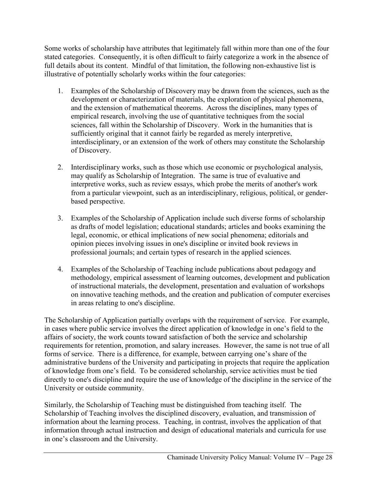Some works of scholarship have attributes that legitimately fall within more than one of the four stated categories. Consequently, it is often difficult to fairly categorize a work in the absence of full details about its content. Mindful of that limitation, the following non-exhaustive list is illustrative of potentially scholarly works within the four categories:

- 1. Examples of the Scholarship of Discovery may be drawn from the sciences, such as the development or characterization of materials, the exploration of physical phenomena, and the extension of mathematical theorems. Across the disciplines, many types of empirical research, involving the use of quantitative techniques from the social sciences, fall within the Scholarship of Discovery. Work in the humanities that is sufficiently original that it cannot fairly be regarded as merely interpretive, interdisciplinary, or an extension of the work of others may constitute the Scholarship of Discovery.
- 2. Interdisciplinary works, such as those which use economic or psychological analysis, may qualify as Scholarship of Integration. The same is true of evaluative and interpretive works, such as review essays, which probe the merits of another's work from a particular viewpoint, such as an interdisciplinary, religious, political, or genderbased perspective.
- 3. Examples of the Scholarship of Application include such diverse forms of scholarship as drafts of model legislation; educational standards; articles and books examining the legal, economic, or ethical implications of new social phenomena; editorials and opinion pieces involving issues in one's discipline or invited book reviews in professional journals; and certain types of research in the applied sciences.
- 4. Examples of the Scholarship of Teaching include publications about pedagogy and methodology, empirical assessment of learning outcomes, development and publication of instructional materials, the development, presentation and evaluation of workshops on innovative teaching methods, and the creation and publication of computer exercises in areas relating to one's discipline.

The Scholarship of Application partially overlaps with the requirement of service. For example, in cases where public service involves the direct application of knowledge in one's field to the affairs of society, the work counts toward satisfaction of both the service and scholarship requirements for retention, promotion, and salary increases. However, the same is not true of all forms of service. There is a difference, for example, between carrying one's share of the administrative burdens of the University and participating in projects that require the application of knowledge from one's field. To be considered scholarship, service activities must be tied directly to one's discipline and require the use of knowledge of the discipline in the service of the University or outside community.

Similarly, the Scholarship of Teaching must be distinguished from teaching itself. The Scholarship of Teaching involves the disciplined discovery, evaluation, and transmission of information about the learning process. Teaching, in contrast, involves the application of that information through actual instruction and design of educational materials and curricula for use in one's classroom and the University.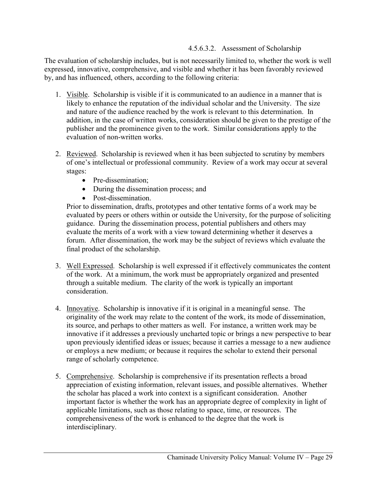#### 4.5.6.3.2. Assessment of Scholarship

The evaluation of scholarship includes, but is not necessarily limited to, whether the work is well expressed, innovative, comprehensive, and visible and whether it has been favorably reviewed by, and has influenced, others, according to the following criteria:

- 1. Visible. Scholarship is visible if it is communicated to an audience in a manner that is likely to enhance the reputation of the individual scholar and the University. The size and nature of the audience reached by the work is relevant to this determination. In addition, in the case of written works, consideration should be given to the prestige of the publisher and the prominence given to the work. Similar considerations apply to the evaluation of non-written works.
- 2. Reviewed. Scholarship is reviewed when it has been subjected to scrutiny by members of one's intellectual or professional community. Review of a work may occur at several stages:
	- Pre-dissemination;
	- During the dissemination process; and
	- Post-dissemination.

Prior to dissemination, drafts, prototypes and other tentative forms of a work may be evaluated by peers or others within or outside the University, for the purpose of soliciting guidance. During the dissemination process, potential publishers and others may evaluate the merits of a work with a view toward determining whether it deserves a forum. After dissemination, the work may be the subject of reviews which evaluate the final product of the scholarship.

- 3. Well Expressed. Scholarship is well expressed if it effectively communicates the content of the work. At a minimum, the work must be appropriately organized and presented through a suitable medium. The clarity of the work is typically an important consideration.
- 4. Innovative. Scholarship is innovative if it is original in a meaningful sense. The originality of the work may relate to the content of the work, its mode of dissemination, its source, and perhaps to other matters as well. For instance, a written work may be innovative if it addresses a previously uncharted topic or brings a new perspective to bear upon previously identified ideas or issues; because it carries a message to a new audience or employs a new medium; or because it requires the scholar to extend their personal range of scholarly competence.
- 5. Comprehensive. Scholarship is comprehensive if its presentation reflects a broad appreciation of existing information, relevant issues, and possible alternatives. Whether the scholar has placed a work into context is a significant consideration. Another important factor is whether the work has an appropriate degree of complexity in light of applicable limitations, such as those relating to space, time, or resources. The comprehensiveness of the work is enhanced to the degree that the work is interdisciplinary.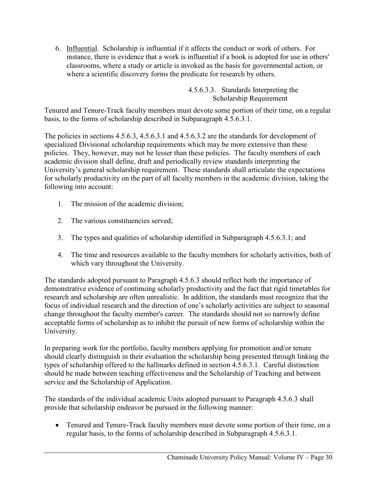6. Influential. Scholarship is influential if it affects the conduct or work of others. For instance, there is evidence that a work is influential if a book is adopted for use in others' classrooms, where a study or article is invoked as the basis for governmental action, or where a scientific discovery forms the predicate for research by others.

> 4.5.6.3.3. Standards Interpreting the Scholarship Requirement

Tenured and Tenure-Track faculty members must devote some portion of their time, on a regular basis, to the forms of scholarship described in Subparagraph 4.5.6.3.1.

The policies in sections 4.5.6.3, 4.5.6.3.1 and 4.5.6.3.2 are the standards for development of specialized Divisional scholarship requirements which may be more extensive than these policies. They, however, may not be lesser than these policies. The faculty members of each academic division shall define, draft and periodically review standards interpreting the University's general scholarship requirement. These standards shall articulate the expectations for scholarly productivity on the part of all faculty members in the academic division, taking the following into account:

- 1. The mission of the academic division;
- 2. The various constituencies served;
- 3. The types and qualities of scholarship identified in Subparagraph 4.5.6.3.1; and
- 4. The time and resources available to the faculty members for scholarly activities, both of which vary throughout the University.

The standards adopted pursuant to Paragraph 4.5.6.3 should reflect both the importance of demonstrative evidence of continuing scholarly productivity and the fact that rigid timetables for research and scholarship are often unrealistic. In addition, the standards must recognize that the focus of individual research and the direction of one's scholarly activities are subject to seasonal change throughout the faculty member's career. The standards should not so narrowly define acceptable forms of scholarship as to inhibit the pursuit of new forms of scholarship within the University.

In preparing work for the portfolio, faculty members applying for promotion and/or tenure should clearly distinguish in their evaluation the scholarship being presented through linking the types of scholarship offered to the hallmarks defined in section 4.5.6.3.1. Careful distinction should be made between teaching effectiveness and the Scholarship of Teaching and between service and the Scholarship of Application.

The standards of the individual academic Units adopted pursuant to Paragraph 4.5.6.3 shall provide that scholarship endeavor be pursued in the following manner:

• Tenured and Tenure-Track faculty members must devote some portion of their time, on a regular basis, to the forms of scholarship described in Subparagraph 4.5.6.3.1.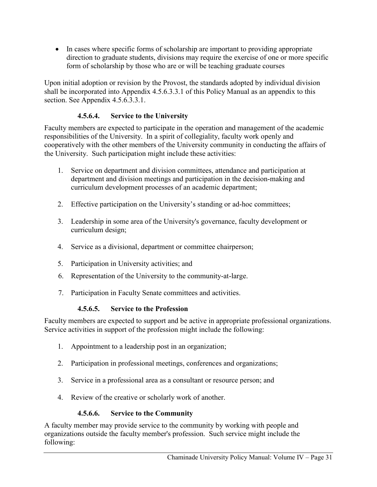• In cases where specific forms of scholarship are important to providing appropriate direction to graduate students, divisions may require the exercise of one or more specific form of scholarship by those who are or will be teaching graduate courses

Upon initial adoption or revision by the Provost, the standards adopted by individual division shall be incorporated into Appendix 4.5.6.3.3.1 of this Policy Manual as an appendix to this section. See Appendix 4.5.6.3.3.1.

#### **4.5.6.4. Service to the University**

Faculty members are expected to participate in the operation and management of the academic responsibilities of the University. In a spirit of collegiality, faculty work openly and cooperatively with the other members of the University community in conducting the affairs of the University. Such participation might include these activities:

- 1. Service on department and division committees, attendance and participation at department and division meetings and participation in the decision-making and curriculum development processes of an academic department;
- 2. Effective participation on the University's standing or ad-hoc committees;
- 3. Leadership in some area of the University's governance, faculty development or curriculum design;
- 4. Service as a divisional, department or committee chairperson;
- 5. Participation in University activities; and
- 6. Representation of the University to the community-at-large.
- 7. Participation in Faculty Senate committees and activities.

#### **4.5.6.5. Service to the Profession**

Faculty members are expected to support and be active in appropriate professional organizations. Service activities in support of the profession might include the following:

- 1. Appointment to a leadership post in an organization;
- 2. Participation in professional meetings, conferences and organizations;
- 3. Service in a professional area as a consultant or resource person; and
- 4. Review of the creative or scholarly work of another.

#### **4.5.6.6. Service to the Community**

A faculty member may provide service to the community by working with people and organizations outside the faculty member's profession. Such service might include the following: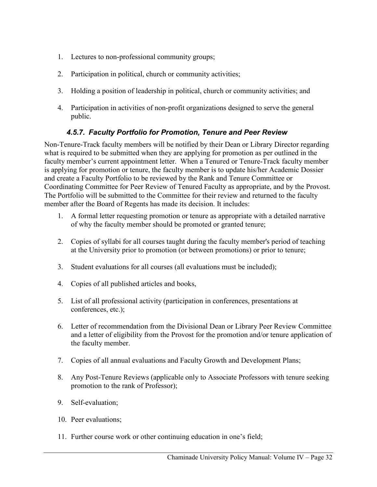- 1. Lectures to non-professional community groups;
- 2. Participation in political, church or community activities;
- 3. Holding a position of leadership in political, church or community activities; and
- 4. Participation in activities of non-profit organizations designed to serve the general public.

## *4.5.7. Faculty Portfolio for Promotion, Tenure and Peer Review*

Non-Tenure-Track faculty members will be notified by their Dean or Library Director regarding what is required to be submitted when they are applying for promotion as per outlined in the faculty member's current appointment letter. When a Tenured or Tenure-Track faculty member is applying for promotion or tenure, the faculty member is to update his/her Academic Dossier and create a Faculty Portfolio to be reviewed by the Rank and Tenure Committee or Coordinating Committee for Peer Review of Tenured Faculty as appropriate, and by the Provost. The Portfolio will be submitted to the Committee for their review and returned to the faculty member after the Board of Regents has made its decision. It includes:

- 1. A formal letter requesting promotion or tenure as appropriate with a detailed narrative of why the faculty member should be promoted or granted tenure;
- 2. Copies of syllabi for all courses taught during the faculty member's period of teaching at the University prior to promotion (or between promotions) or prior to tenure;
- 3. Student evaluations for all courses (all evaluations must be included);
- 4. Copies of all published articles and books,
- 5. List of all professional activity (participation in conferences, presentations at conferences, etc.);
- 6. Letter of recommendation from the Divisional Dean or Library Peer Review Committee and a letter of eligibility from the Provost for the promotion and/or tenure application of the faculty member.
- 7. Copies of all annual evaluations and Faculty Growth and Development Plans;
- 8. Any Post-Tenure Reviews (applicable only to Associate Professors with tenure seeking promotion to the rank of Professor);
- 9. Self-evaluation;
- 10. Peer evaluations;
- 11. Further course work or other continuing education in one's field;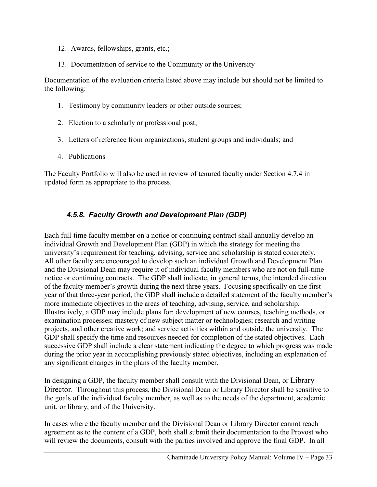- 12. Awards, fellowships, grants, etc.;
- 13. Documentation of service to the Community or the University

Documentation of the evaluation criteria listed above may include but should not be limited to the following:

- 1. Testimony by community leaders or other outside sources;
- 2. Election to a scholarly or professional post;
- 3. Letters of reference from organizations, student groups and individuals; and
- 4. Publications

The Faculty Portfolio will also be used in review of tenured faculty under Section 4.7.4 in updated form as appropriate to the process.

### *4.5.8. Faculty Growth and Development Plan (GDP)*

Each full-time faculty member on a notice or continuing contract shall annually develop an individual Growth and Development Plan (GDP) in which the strategy for meeting the university's requirement for teaching, advising, service and scholarship is stated concretely. All other faculty are encouraged to develop such an individual Growth and Development Plan and the Divisional Dean may require it of individual faculty members who are not on full-time notice or continuing contracts. The GDP shall indicate, in general terms, the intended direction of the faculty member's growth during the next three years. Focusing specifically on the first year of that three-year period, the GDP shall include a detailed statement of the faculty member's more immediate objectives in the areas of teaching, advising, service, and scholarship. Illustratively, a GDP may include plans for: development of new courses, teaching methods, or examination processes; mastery of new subject matter or technologies; research and writing projects, and other creative work; and service activities within and outside the university. The GDP shall specify the time and resources needed for completion of the stated objectives. Each successive GDP shall include a clear statement indicating the degree to which progress was made during the prior year in accomplishing previously stated objectives, including an explanation of any significant changes in the plans of the faculty member.

In designing a GDP, the faculty member shall consult with the Divisional Dean, or Library Director. Throughout this process, the Divisional Dean or Library Director shall be sensitive to the goals of the individual faculty member, as well as to the needs of the department, academic unit, or library, and of the University.

In cases where the faculty member and the Divisional Dean or Library Director cannot reach agreement as to the content of a GDP, both shall submit their documentation to the Provost who will review the documents, consult with the parties involved and approve the final GDP. In all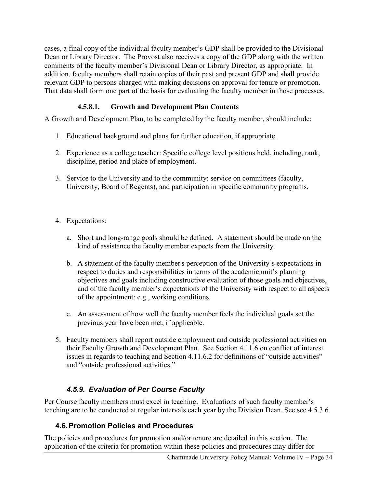cases, a final copy of the individual faculty member's GDP shall be provided to the Divisional Dean or Library Director. The Provost also receives a copy of the GDP along with the written comments of the faculty member's Divisional Dean or Library Director, as appropriate. In addition, faculty members shall retain copies of their past and present GDP and shall provide relevant GDP to persons charged with making decisions on approval for tenure or promotion. That data shall form one part of the basis for evaluating the faculty member in those processes.

#### **4.5.8.1. Growth and Development Plan Contents**

A Growth and Development Plan, to be completed by the faculty member, should include:

- 1. Educational background and plans for further education, if appropriate.
- 2. Experience as a college teacher: Specific college level positions held, including, rank, discipline, period and place of employment.
- 3. Service to the University and to the community: service on committees (faculty, University, Board of Regents), and participation in specific community programs.

#### 4. Expectations:

- a. Short and long-range goals should be defined. A statement should be made on the kind of assistance the faculty member expects from the University.
- b. A statement of the faculty member's perception of the University's expectations in respect to duties and responsibilities in terms of the academic unit's planning objectives and goals including constructive evaluation of those goals and objectives, and of the faculty member's expectations of the University with respect to all aspects of the appointment: e.g., working conditions.
- c. An assessment of how well the faculty member feels the individual goals set the previous year have been met, if applicable.
- 5. Faculty members shall report outside employment and outside professional activities on their Faculty Growth and Development Plan. See Section 4.11.6 on conflict of interest issues in regards to teaching and Section 4.11.6.2 for definitions of "outside activities" and "outside professional activities."

## *4.5.9. Evaluation of Per Course Faculty*

Per Course faculty members must excel in teaching. Evaluations of such faculty member's teaching are to be conducted at regular intervals each year by the Division Dean. See sec 4.5.3.6.

## **4.6.Promotion Policies and Procedures**

The policies and procedures for promotion and/or tenure are detailed in this section. The application of the criteria for promotion within these policies and procedures may differ for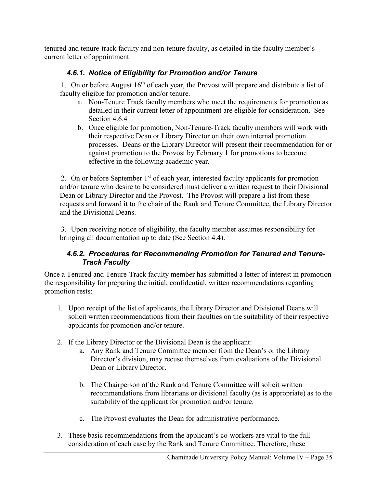tenured and tenure-track faculty and non-tenure faculty, as detailed in the faculty member's current letter of appointment.

## *4.6.1. Notice of Eligibility for Promotion and/or Tenure*

1. On or before August  $16<sup>th</sup>$  of each year, the Provost will prepare and distribute a list of faculty eligible for promotion and/or tenure.

- a. Non-Tenure Track faculty members who meet the requirements for promotion as detailed in their current letter of appointment are eligible for consideration. See Section 4.6.4
- b. Once eligible for promotion, Non-Tenure-Track faculty members will work with their respective Dean or Library Director on their own internal promotion processes. Deans or the Library Director will present their recommendation for or against promotion to the Provost by February 1 for promotions to become effective in the following academic year.

2. On or before September  $1<sup>st</sup>$  of each year, interested faculty applicants for promotion and/or tenure who desire to be considered must deliver a written request to their Divisional Dean or Library Director and the Provost. The Provost will prepare a list from these requests and forward it to the chair of the Rank and Tenure Committee, the Library Director and the Divisional Deans.

3. Upon receiving notice of eligibility, the faculty member assumes responsibility for bringing all documentation up to date (See Section 4.4).

#### *4.6.2. Procedures for Recommending Promotion for Tenured and Tenure-Track Faculty*

Once a Tenured and Tenure-Track faculty member has submitted a letter of interest in promotion the responsibility for preparing the initial, confidential, written recommendations regarding promotion rests:

- 1. Upon receipt of the list of applicants, the Library Director and Divisional Deans will solicit written recommendations from their faculties on the suitability of their respective applicants for promotion and/or tenure.
- 2. If the Library Director or the Divisional Dean is the applicant:
	- a. Any Rank and Tenure Committee member from the Dean's or the Library Director's division, may recuse themselves from evaluations of the Divisional Dean or Library Director.
	- b. The Chairperson of the Rank and Tenure Committee will solicit written recommendations from librarians or divisional faculty (as is appropriate) as to the suitability of the applicant for promotion and/or tenure.
	- c. The Provost evaluates the Dean for administrative performance.
- 3. These basic recommendations from the applicant's co-workers are vital to the full consideration of each case by the Rank and Tenure Committee. Therefore, these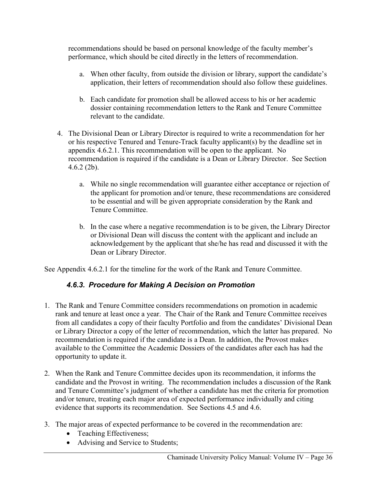recommendations should be based on personal knowledge of the faculty member's performance, which should be cited directly in the letters of recommendation.

- a. When other faculty, from outside the division or library, support the candidate's application, their letters of recommendation should also follow these guidelines.
- b. Each candidate for promotion shall be allowed access to his or her academic dossier containing recommendation letters to the Rank and Tenure Committee relevant to the candidate.
- 4. The Divisional Dean or Library Director is required to write a recommendation for her or his respective Tenured and Tenure-Track faculty applicant(s) by the deadline set in appendix 4.6.2.1. This recommendation will be open to the applicant. No recommendation is required if the candidate is a Dean or Library Director. See Section 4.6.2 (2b).
	- a. While no single recommendation will guarantee either acceptance or rejection of the applicant for promotion and/or tenure, these recommendations are considered to be essential and will be given appropriate consideration by the Rank and Tenure Committee.
	- b. In the case where a negative recommendation is to be given, the Library Director or Divisional Dean will discuss the content with the applicant and include an acknowledgement by the applicant that she/he has read and discussed it with the Dean or Library Director.

See Appendix 4.6.2.1 for the timeline for the work of the Rank and Tenure Committee.

## *4.6.3. Procedure for Making A Decision on Promotion*

- 1. The Rank and Tenure Committee considers recommendations on promotion in academic rank and tenure at least once a year. The Chair of the Rank and Tenure Committee receives from all candidates a copy of their faculty Portfolio and from the candidates' Divisional Dean or Library Director a copy of the letter of recommendation, which the latter has prepared. No recommendation is required if the candidate is a Dean. In addition, the Provost makes available to the Committee the Academic Dossiers of the candidates after each has had the opportunity to update it.
- 2. When the Rank and Tenure Committee decides upon its recommendation, it informs the candidate and the Provost in writing. The recommendation includes a discussion of the Rank and Tenure Committee's judgment of whether a candidate has met the criteria for promotion and/or tenure, treating each major area of expected performance individually and citing evidence that supports its recommendation. See Sections 4.5 and 4.6.
- 3. The major areas of expected performance to be covered in the recommendation are:
	- Teaching Effectiveness;
	- Advising and Service to Students;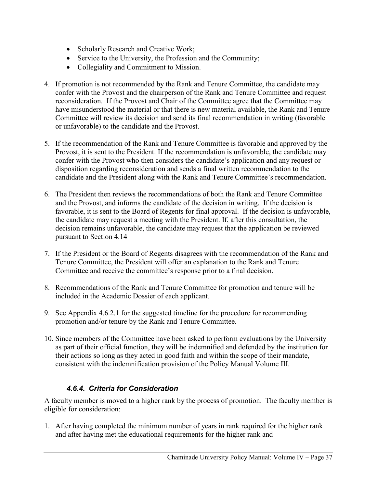- Scholarly Research and Creative Work;
- Service to the University, the Profession and the Community;
- Collegiality and Commitment to Mission.
- 4. If promotion is not recommended by the Rank and Tenure Committee, the candidate may confer with the Provost and the chairperson of the Rank and Tenure Committee and request reconsideration. If the Provost and Chair of the Committee agree that the Committee may have misunderstood the material or that there is new material available, the Rank and Tenure Committee will review its decision and send its final recommendation in writing (favorable or unfavorable) to the candidate and the Provost.
- 5. If the recommendation of the Rank and Tenure Committee is favorable and approved by the Provost, it is sent to the President. If the recommendation is unfavorable, the candidate may confer with the Provost who then considers the candidate's application and any request or disposition regarding reconsideration and sends a final written recommendation to the candidate and the President along with the Rank and Tenure Committee's recommendation.
- 6. The President then reviews the recommendations of both the Rank and Tenure Committee and the Provost, and informs the candidate of the decision in writing. If the decision is favorable, it is sent to the Board of Regents for final approval. If the decision is unfavorable, the candidate may request a meeting with the President. If, after this consultation, the decision remains unfavorable, the candidate may request that the application be reviewed pursuant to Section 4.14
- 7. If the President or the Board of Regents disagrees with the recommendation of the Rank and Tenure Committee, the President will offer an explanation to the Rank and Tenure Committee and receive the committee's response prior to a final decision.
- 8. Recommendations of the Rank and Tenure Committee for promotion and tenure will be included in the Academic Dossier of each applicant.
- 9. See Appendix 4.6.2.1 for the suggested timeline for the procedure for recommending promotion and/or tenure by the Rank and Tenure Committee.
- 10. Since members of the Committee have been asked to perform evaluations by the University as part of their official function, they will be indemnified and defended by the institution for their actions so long as they acted in good faith and within the scope of their mandate, consistent with the indemnification provision of the Policy Manual Volume III.

#### *4.6.4. Criteria for Consideration*

A faculty member is moved to a higher rank by the process of promotion. The faculty member is eligible for consideration:

1. After having completed the minimum number of years in rank required for the higher rank and after having met the educational requirements for the higher rank and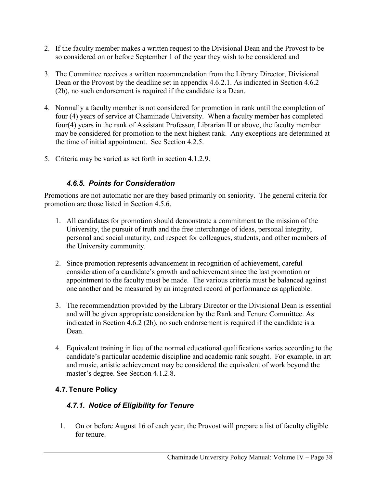- 2. If the faculty member makes a written request to the Divisional Dean and the Provost to be so considered on or before September 1 of the year they wish to be considered and
- 3. The Committee receives a written recommendation from the Library Director, Divisional Dean or the Provost by the deadline set in appendix 4.6.2.1. As indicated in Section 4.6.2 (2b), no such endorsement is required if the candidate is a Dean.
- 4. Normally a faculty member is not considered for promotion in rank until the completion of four (4) years of service at Chaminade University. When a faculty member has completed four(4) years in the rank of Assistant Professor, Librarian II or above, the faculty member may be considered for promotion to the next highest rank. Any exceptions are determined at the time of initial appointment. See Section 4.2.5.
- 5. Criteria may be varied as set forth in section 4.1.2.9.

### *4.6.5. Points for Consideration*

Promotions are not automatic nor are they based primarily on seniority. The general criteria for promotion are those listed in Section 4.5.6.

- 1. All candidates for promotion should demonstrate a commitment to the mission of the University, the pursuit of truth and the free interchange of ideas, personal integrity, personal and social maturity, and respect for colleagues, students, and other members of the University community.
- 2. Since promotion represents advancement in recognition of achievement, careful consideration of a candidate's growth and achievement since the last promotion or appointment to the faculty must be made. The various criteria must be balanced against one another and be measured by an integrated record of performance as applicable.
- 3. The recommendation provided by the Library Director or the Divisional Dean is essential and will be given appropriate consideration by the Rank and Tenure Committee. As indicated in Section 4.6.2 (2b), no such endorsement is required if the candidate is a Dean.
- 4. Equivalent training in lieu of the normal educational qualifications varies according to the candidate's particular academic discipline and academic rank sought. For example, in art and music, artistic achievement may be considered the equivalent of work beyond the master's degree. See Section 4.1.2.8.

## **4.7.Tenure Policy**

#### *4.7.1. Notice of Eligibility for Tenure*

1. On or before August 16 of each year, the Provost will prepare a list of faculty eligible for tenure.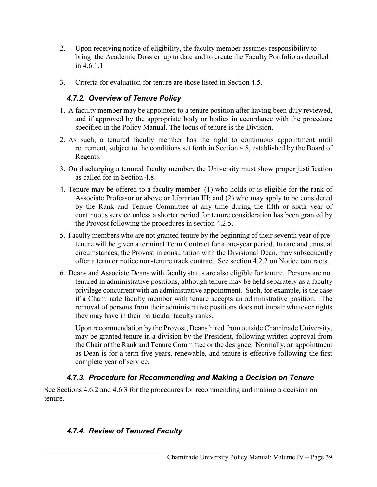- 2. Upon receiving notice of eligibility, the faculty member assumes responsibility to bring the Academic Dossier up to date and to create the Faculty Portfolio as detailed in 4.6.1.1
- 3. Criteria for evaluation for tenure are those listed in Section 4.5.

### *4.7.2. Overview of Tenure Policy*

- 1. A faculty member may be appointed to a tenure position after having been duly reviewed, and if approved by the appropriate body or bodies in accordance with the procedure specified in the Policy Manual. The locus of tenure is the Division.
- 2. As such, a tenured faculty member has the right to continuous appointment until retirement, subject to the conditions set forth in Section 4.8, established by the Board of Regents.
- 3. On discharging a tenured faculty member, the University must show proper justification as called for in Section 4.8.
- 4. Tenure may be offered to a faculty member: (1) who holds or is eligible for the rank of Associate Professor or above or Librarian III; and (2) who may apply to be considered by the Rank and Tenure Committee at any time during the fifth or sixth year of continuous service unless a shorter period for tenure consideration has been granted by the Provost following the procedures in section 4.2.5.
- 5. Faculty members who are not granted tenure by the beginning of their seventh year of pretenure will be given a terminal Term Contract for a one-year period. In rare and unusual circumstances, the Provost in consultation with the Divisional Dean, may subsequently offer a term or notice non-tenure track contract. See section 4.2.2 on Notice contracts.
- 6. Deans and Associate Deans with faculty status are also eligible for tenure. Persons are not tenured in administrative positions, although tenure may be held separately as a faculty privilege concurrent with an administrative appointment. Such, for example, is the case if a Chaminade faculty member with tenure accepts an administrative position. The removal of persons from their administrative positions does not impair whatever rights they may have in their particular faculty ranks.

Upon recommendation by the Provost, Deans hired from outside Chaminade University, may be granted tenure in a division by the President, following written approval from the Chair of the Rank and Tenure Committee or the designee. Normally, an appointment as Dean is for a term five years, renewable, and tenure is effective following the first complete year of service.

#### *4.7.3. Procedure for Recommending and Making a Decision on Tenure*

See Sections 4.6.2 and 4.6.3 for the procedures for recommending and making a decision on tenure.

#### *4.7.4. Review of Tenured Faculty*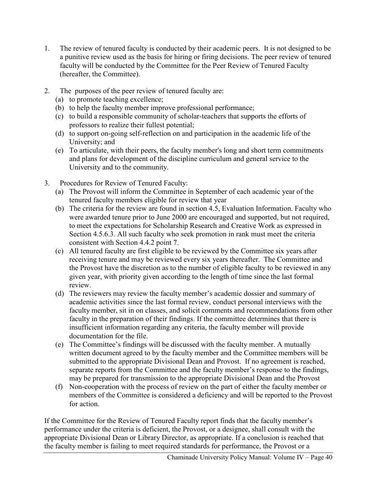- 1. The review of tenured faculty is conducted by their academic peers. It is not designed to be a punitive review used as the basis for hiring or firing decisions. The peer review of tenured faculty will be conducted by the Committee for the Peer Review of Tenured Faculty (hereafter, the Committee).
- 2. The purposes of the peer review of tenured faculty are:
	- (a) to promote teaching excellence;
	- (b) to help the faculty member improve professional performance;
	- (c) to build a responsible community of scholar-teachers that supports the efforts of professors to realize their fullest potential;
	- (d) to support on-going self-reflection on and participation in the academic life of the University; and
	- (e) To articulate, with their peers, the faculty member's long and short term commitments and plans for development of the discipline curriculum and general service to the University and to the community.
- 3. Procedures for Review of Tenured Faculty:
	- (a) The Provost will inform the Committee in September of each academic year of the tenured faculty members eligible for review that year
	- (b) The criteria for the review are found in section 4.5, Evaluation Information. Faculty who were awarded tenure prior to June 2000 are encouraged and supported, but not required, to meet the expectations for Scholarship Research and Creative Work as expressed in Section 4.5.6.3. All such faculty who seek promotion in rank must meet the criteria consistent with Section 4.4.2 point 7.
	- (c) All tenured faculty are first eligible to be reviewed by the Committee six years after receiving tenure and may be reviewed every six years thereafter. The Committee and the Provost have the discretion as to the number of eligible faculty to be reviewed in any given year, with priority given according to the length of time since the last formal review.
	- (d) The reviewers may review the faculty member's academic dossier and summary of academic activities since the last formal review, conduct personal interviews with the faculty member, sit in on classes, and solicit comments and recommendations from other faculty in the preparation of their findings. If the committee determines that there is insufficient information regarding any criteria, the faculty member will provide documentation for the file.
	- (e) The Committee's findings will be discussed with the faculty member. A mutually written document agreed to by the faculty member and the Committee members will be submitted to the appropriate Divisional Dean and Provost. If no agreement is reached, separate reports from the Committee and the faculty member's response to the findings, may be prepared for transmission to the appropriate Divisional Dean and the Provost
	- (f) Non-cooperation with the process of review on the part of either the faculty member or members of the Committee is considered a deficiency and will be reported to the Provost for action.

If the Committee for the Review of Tenured Faculty report finds that the faculty member's performance under the criteria is deficient, the Provost, or a designee, shall consult with the appropriate Divisional Dean or Library Director, as appropriate. If a conclusion is reached that the faculty member is failing to meet required standards for performance, the Provost or a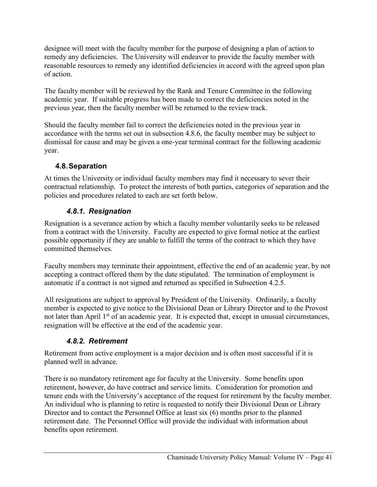designee will meet with the faculty member for the purpose of designing a plan of action to remedy any deficiencies. The University will endeavor to provide the faculty member with reasonable resources to remedy any identified deficiencies in accord with the agreed upon plan of action.

The faculty member will be reviewed by the Rank and Tenure Committee in the following academic year. If suitable progress has been made to correct the deficiencies noted in the previous year, then the faculty member will be returned to the review track.

Should the faculty member fail to correct the deficiencies noted in the previous year in accordance with the terms set out in subsection 4.8.6, the faculty member may be subject to dismissal for cause and may be given a one-year terminal contract for the following academic year.

### **4.8.Separation**

At times the University or individual faculty members may find it necessary to sever their contractual relationship. To protect the interests of both parties, categories of separation and the policies and procedures related to each are set forth below.

## *4.8.1. Resignation*

Resignation is a severance action by which a faculty member voluntarily seeks to be released from a contract with the University. Faculty are expected to give formal notice at the earliest possible opportunity if they are unable to fulfill the terms of the contract to which they have committed themselves.

Faculty members may terminate their appointment, effective the end of an academic year, by not accepting a contract offered them by the date stipulated. The termination of employment is automatic if a contract is not signed and returned as specified in Subsection 4.2.5.

All resignations are subject to approval by President of the University. Ordinarily, a faculty member is expected to give notice to the Divisional Dean or Library Director and to the Provost not later than April 1<sup>st</sup> of an academic year. It is expected that, except in unusual circumstances, resignation will be effective at the end of the academic year.

#### *4.8.2. Retirement*

Retirement from active employment is a major decision and is often most successful if it is planned well in advance.

There is no mandatory retirement age for faculty at the University. Some benefits upon retirement, however, do have contract and service limits. Consideration for promotion and tenure ends with the University's acceptance of the request for retirement by the faculty member. An individual who is planning to retire is requested to notify their Divisional Dean or Library Director and to contact the Personnel Office at least six (6) months prior to the planned retirement date. The Personnel Office will provide the individual with information about benefits upon retirement.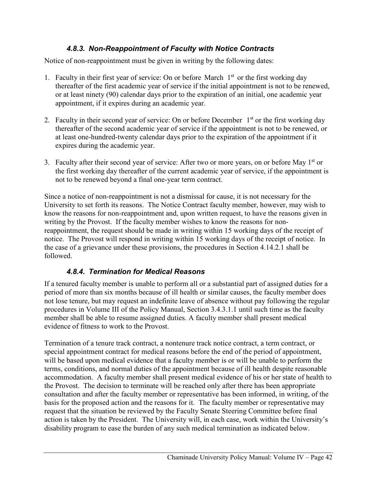### *4.8.3. Non-Reappointment of Faculty with Notice Contracts*

Notice of non-reappointment must be given in writing by the following dates:

- 1. Faculty in their first year of service: On or before March  $1<sup>st</sup>$  or the first working day thereafter of the first academic year of service if the initial appointment is not to be renewed, or at least ninety (90) calendar days prior to the expiration of an initial, one academic year appointment, if it expires during an academic year.
- 2. Faculty in their second year of service: On or before December  $1<sup>st</sup>$  or the first working day thereafter of the second academic year of service if the appointment is not to be renewed, or at least one-hundred-twenty calendar days prior to the expiration of the appointment if it expires during the academic year.
- 3. Faculty after their second year of service: After two or more years, on or before May  $1<sup>st</sup>$  or the first working day thereafter of the current academic year of service, if the appointment is not to be renewed beyond a final one-year term contract.

Since a notice of non-reappointment is not a dismissal for cause, it is not necessary for the University to set forth its reasons. The Notice Contract faculty member, however, may wish to know the reasons for non-reappointment and, upon written request, to have the reasons given in writing by the Provost. If the faculty member wishes to know the reasons for nonreappointment, the request should be made in writing within 15 working days of the receipt of notice. The Provost will respond in writing within 15 working days of the receipt of notice. In the case of a grievance under these provisions, the procedures in Section 4.14.2.1 shall be followed.

#### *4.8.4. Termination for Medical Reasons*

If a tenured faculty member is unable to perform all or a substantial part of assigned duties for a period of more than six months because of ill health or similar causes, the faculty member does not lose tenure, but may request an indefinite leave of absence without pay following the regular procedures in Volume III of the Policy Manual, Section 3.4.3.1.1 until such time as the faculty member shall be able to resume assigned duties. A faculty member shall present medical evidence of fitness to work to the Provost.

Termination of a tenure track contract, a nontenure track notice contract, a term contract, or special appointment contract for medical reasons before the end of the period of appointment, will be based upon medical evidence that a faculty member is or will be unable to perform the terms, conditions, and normal duties of the appointment because of ill health despite reasonable accommodation. A faculty member shall present medical evidence of his or her state of health to the Provost. The decision to terminate will be reached only after there has been appropriate consultation and after the faculty member or representative has been informed, in writing, of the basis for the proposed action and the reasons for it. The faculty member or representative may request that the situation be reviewed by the Faculty Senate Steering Committee before final action is taken by the President. The University will, in each case, work within the University's disability program to ease the burden of any such medical termination as indicated below.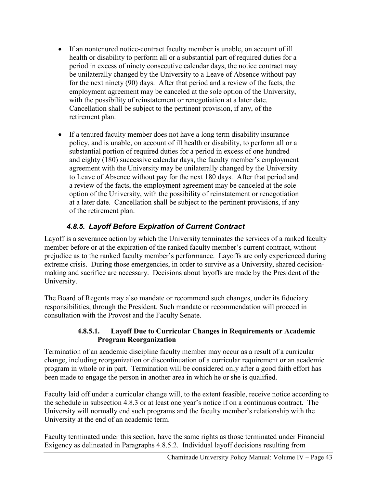- If an nontenured notice-contract faculty member is unable, on account of ill health or disability to perform all or a substantial part of required duties for a period in excess of ninety consecutive calendar days, the notice contract may be unilaterally changed by the University to a Leave of Absence without pay for the next ninety (90) days. After that period and a review of the facts, the employment agreement may be canceled at the sole option of the University, with the possibility of reinstatement or renegotiation at a later date. Cancellation shall be subject to the pertinent provision, if any, of the retirement plan.
- If a tenured faculty member does not have a long term disability insurance policy, and is unable, on account of ill health or disability, to perform all or a substantial portion of required duties for a period in excess of one hundred and eighty (180) successive calendar days, the faculty member's employment agreement with the University may be unilaterally changed by the University to Leave of Absence without pay for the next 180 days. After that period and a review of the facts, the employment agreement may be canceled at the sole option of the University, with the possibility of reinstatement or renegotiation at a later date. Cancellation shall be subject to the pertinent provisions, if any of the retirement plan.

## *4.8.5. Layoff Before Expiration of Current Contract*

Layoff is a severance action by which the University terminates the services of a ranked faculty member before or at the expiration of the ranked faculty member's current contract, without prejudice as to the ranked faculty member's performance. Layoffs are only experienced during extreme crisis. During those emergencies, in order to survive as a University, shared decisionmaking and sacrifice are necessary. Decisions about layoffs are made by the President of the University.

The Board of Regents may also mandate or recommend such changes, under its fiduciary responsibilities, through the President. Such mandate or recommendation will proceed in consultation with the Provost and the Faculty Senate.

#### **4.8.5.1. Layoff Due to Curricular Changes in Requirements or Academic Program Reorganization**

Termination of an academic discipline faculty member may occur as a result of a curricular change, including reorganization or discontinuation of a curricular requirement or an academic program in whole or in part. Termination will be considered only after a good faith effort has been made to engage the person in another area in which he or she is qualified.

Faculty laid off under a curricular change will, to the extent feasible, receive notice according to the schedule in subsection 4.8.3 or at least one year's notice if on a continuous contract. The University will normally end such programs and the faculty member's relationship with the University at the end of an academic term.

Faculty terminated under this section, have the same rights as those terminated under Financial Exigency as delineated in Paragraphs 4.8.5.2. Individual layoff decisions resulting from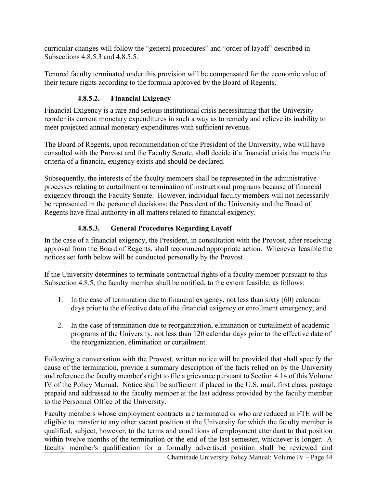curricular changes will follow the "general procedures" and "order of layoff" described in Subsections 4.8.5.3 and 4.8.5.5.

Tenured faculty terminated under this provision will be compensated for the economic value of their tenure rights according to the formula approved by the Board of Regents.

#### **4.8.5.2. Financial Exigency**

Financial Exigency is a rare and serious institutional crisis necessitating that the University reorder its current monetary expenditures in such a way as to remedy and relieve its inability to meet projected annual monetary expenditures with sufficient revenue.

The Board of Regents, upon recommendation of the President of the University, who will have consulted with the Provost and the Faculty Senate, shall decide if a financial crisis that meets the criteria of a financial exigency exists and should be declared.

Subsequently, the interests of the faculty members shall be represented in the administrative processes relating to curtailment or termination of instructional programs because of financial exigency through the Faculty Senate. However, individual faculty members will not necessarily be represented in the personnel decisions; the President of the University and the Board of Regents have final authority in all matters related to financial exigency.

## **4.8.5.3. General Procedures Regarding Layoff**

In the case of a financial exigency, the President, in consultation with the Provost, after receiving approval from the Board of Regents, shall recommend appropriate action. Whenever feasible the notices set forth below will be conducted personally by the Provost.

If the University determines to terminate contractual rights of a faculty member pursuant to this Subsection 4.8.5, the faculty member shall be notified, to the extent feasible, as follows:

- 1. In the case of termination due to financial exigency, not less than sixty (60) calendar days prior to the effective date of the financial exigency or enrollment emergency; and
- 2. In the case of termination due to reorganization, elimination or curtailment of academic programs of the University, not less than 120 calendar days prior to the effective date of the reorganization, elimination or curtailment.

Following a conversation with the Provost, written notice will be provided that shall specify the cause of the termination, provide a summary description of the facts relied on by the University and reference the faculty member's right to file a grievance pursuant to Section 4.14 of this Volume IV of the Policy Manual. Notice shall be sufficient if placed in the U.S. mail, first class, postage prepaid and addressed to the faculty member at the last address provided by the faculty member to the Personnel Office of the University.

Faculty members whose employment contracts are terminated or who are reduced in FTE will be eligible to transfer to any other vacant position at the University for which the faculty member is qualified, subject, however, to the terms and conditions of employment attendant to that position within twelve months of the termination or the end of the last semester, whichever is longer. A faculty member's qualification for a formally advertised position shall be reviewed and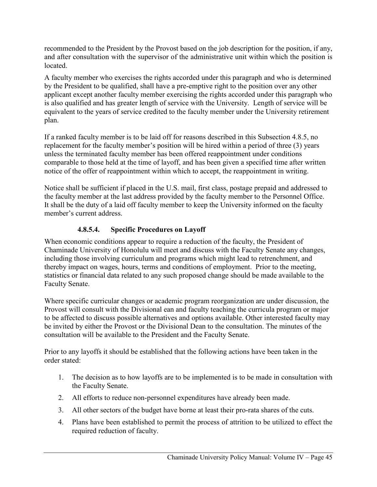recommended to the President by the Provost based on the job description for the position, if any, and after consultation with the supervisor of the administrative unit within which the position is located.

A faculty member who exercises the rights accorded under this paragraph and who is determined by the President to be qualified, shall have a pre-emptive right to the position over any other applicant except another faculty member exercising the rights accorded under this paragraph who is also qualified and has greater length of service with the University. Length of service will be equivalent to the years of service credited to the faculty member under the University retirement plan.

If a ranked faculty member is to be laid off for reasons described in this Subsection 4.8.5, no replacement for the faculty member's position will be hired within a period of three (3) years unless the terminated faculty member has been offered reappointment under conditions comparable to those held at the time of layoff, and has been given a specified time after written notice of the offer of reappointment within which to accept, the reappointment in writing.

Notice shall be sufficient if placed in the U.S. mail, first class, postage prepaid and addressed to the faculty member at the last address provided by the faculty member to the Personnel Office. It shall be the duty of a laid off faculty member to keep the University informed on the faculty member's current address.

### **4.8.5.4. Specific Procedures on Layoff**

When economic conditions appear to require a reduction of the faculty, the President of Chaminade University of Honolulu will meet and discuss with the Faculty Senate any changes, including those involving curriculum and programs which might lead to retrenchment, and thereby impact on wages, hours, terms and conditions of employment. Prior to the meeting, statistics or financial data related to any such proposed change should be made available to the Faculty Senate.

Where specific curricular changes or academic program reorganization are under discussion, the Provost will consult with the Divisional ean and faculty teaching the curricula program or major to be affected to discuss possible alternatives and options available. Other interested faculty may be invited by either the Provost or the Divisional Dean to the consultation. The minutes of the consultation will be available to the President and the Faculty Senate.

Prior to any layoffs it should be established that the following actions have been taken in the order stated:

- 1. The decision as to how layoffs are to be implemented is to be made in consultation with the Faculty Senate.
- 2. All efforts to reduce non-personnel expenditures have already been made.
- 3. All other sectors of the budget have borne at least their pro-rata shares of the cuts.
- 4. Plans have been established to permit the process of attrition to be utilized to effect the required reduction of faculty.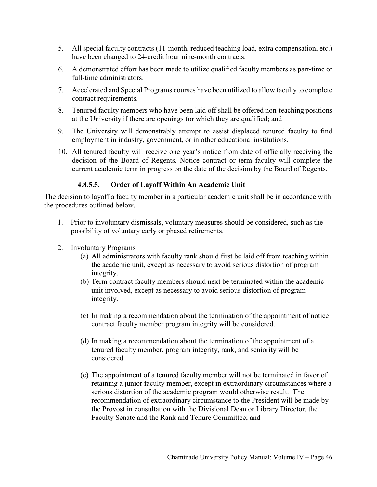- 5. All special faculty contracts (11-month, reduced teaching load, extra compensation, etc.) have been changed to 24-credit hour nine-month contracts.
- 6. A demonstrated effort has been made to utilize qualified faculty members as part-time or full-time administrators.
- 7. Accelerated and Special Programs courses have been utilized to allow faculty to complete contract requirements.
- 8. Tenured faculty members who have been laid off shall be offered non-teaching positions at the University if there are openings for which they are qualified; and
- 9. The University will demonstrably attempt to assist displaced tenured faculty to find employment in industry, government, or in other educational institutions.
- 10. All tenured faculty will receive one year's notice from date of officially receiving the decision of the Board of Regents. Notice contract or term faculty will complete the current academic term in progress on the date of the decision by the Board of Regents.

#### **4.8.5.5. Order of Layoff Within An Academic Unit**

The decision to layoff a faculty member in a particular academic unit shall be in accordance with the procedures outlined below.

- 1. Prior to involuntary dismissals, voluntary measures should be considered, such as the possibility of voluntary early or phased retirements.
- 2. Involuntary Programs
	- (a) All administrators with faculty rank should first be laid off from teaching within the academic unit, except as necessary to avoid serious distortion of program integrity.
	- (b) Term contract faculty members should next be terminated within the academic unit involved, except as necessary to avoid serious distortion of program integrity.
	- (c) In making a recommendation about the termination of the appointment of notice contract faculty member program integrity will be considered.
	- (d) In making a recommendation about the termination of the appointment of a tenured faculty member, program integrity, rank, and seniority will be considered.
	- (e) The appointment of a tenured faculty member will not be terminated in favor of retaining a junior faculty member, except in extraordinary circumstances where a serious distortion of the academic program would otherwise result. The recommendation of extraordinary circumstance to the President will be made by the Provost in consultation with the Divisional Dean or Library Director, the Faculty Senate and the Rank and Tenure Committee; and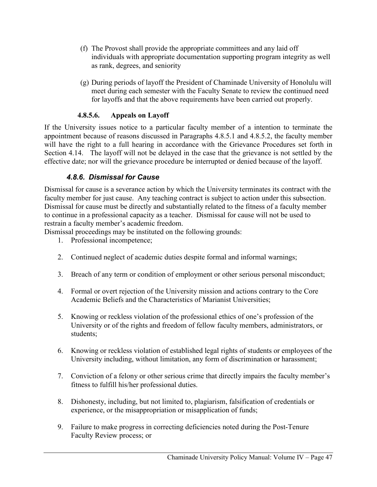- (f) The Provost shall provide the appropriate committees and any laid off individuals with appropriate documentation supporting program integrity as well as rank, degrees, and seniority
- (g) During periods of layoff the President of Chaminade University of Honolulu will meet during each semester with the Faculty Senate to review the continued need for layoffs and that the above requirements have been carried out properly.

#### **4.8.5.6. Appeals on Layoff**

If the University issues notice to a particular faculty member of a intention to terminate the appointment because of reasons discussed in Paragraphs 4.8.5.1 and 4.8.5.2, the faculty member will have the right to a full hearing in accordance with the Grievance Procedures set forth in Section 4.14. The layoff will not be delayed in the case that the grievance is not settled by the effective date; nor will the grievance procedure be interrupted or denied because of the layoff.

#### *4.8.6. Dismissal for Cause*

Dismissal for cause is a severance action by which the University terminates its contract with the faculty member for just cause. Any teaching contract is subject to action under this subsection. Dismissal for cause must be directly and substantially related to the fitness of a faculty member to continue in a professional capacity as a teacher. Dismissal for cause will not be used to restrain a faculty member's academic freedom.

Dismissal proceedings may be instituted on the following grounds:

- 1. Professional incompetence;
- 2. Continued neglect of academic duties despite formal and informal warnings;
- 3. Breach of any term or condition of employment or other serious personal misconduct;
- 4. Formal or overt rejection of the University mission and actions contrary to the Core Academic Beliefs and the Characteristics of Marianist Universities;
- 5. Knowing or reckless violation of the professional ethics of one's profession of the University or of the rights and freedom of fellow faculty members, administrators, or students;
- 6. Knowing or reckless violation of established legal rights of students or employees of the University including, without limitation, any form of discrimination or harassment;
- 7. Conviction of a felony or other serious crime that directly impairs the faculty member's fitness to fulfill his/her professional duties.
- 8. Dishonesty, including, but not limited to, plagiarism, falsification of credentials or experience, or the misappropriation or misapplication of funds;
- 9. Failure to make progress in correcting deficiencies noted during the Post-Tenure Faculty Review process; or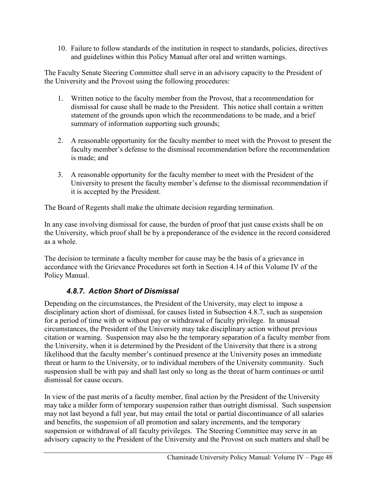10. Failure to follow standards of the institution in respect to standards, policies, directives and guidelines within this Policy Manual after oral and written warnings.

The Faculty Senate Steering Committee shall serve in an advisory capacity to the President of the University and the Provost using the following procedures:

- 1. Written notice to the faculty member from the Provost, that a recommendation for dismissal for cause shall be made to the President. This notice shall contain a written statement of the grounds upon which the recommendations to be made, and a brief summary of information supporting such grounds;
- 2. A reasonable opportunity for the faculty member to meet with the Provost to present the faculty member's defense to the dismissal recommendation before the recommendation is made; and
- 3. A reasonable opportunity for the faculty member to meet with the President of the University to present the faculty member's defense to the dismissal recommendation if it is accepted by the President.

The Board of Regents shall make the ultimate decision regarding termination.

In any case involving dismissal for cause, the burden of proof that just cause exists shall be on the University, which proof shall be by a preponderance of the evidence in the record considered as a whole.

The decision to terminate a faculty member for cause may be the basis of a grievance in accordance with the Grievance Procedures set forth in Section 4.14 of this Volume IV of the Policy Manual.

## *4.8.7. Action Short of Dismissal*

Depending on the circumstances, the President of the University, may elect to impose a disciplinary action short of dismissal, for causes listed in Subsection 4.8.7, such as suspension for a period of time with or without pay or withdrawal of faculty privilege. In unusual circumstances, the President of the University may take disciplinary action without previous citation or warning. Suspension may also be the temporary separation of a faculty member from the University, when it is determined by the President of the University that there is a strong likelihood that the faculty member's continued presence at the University poses an immediate threat or harm to the University, or to individual members of the University community. Such suspension shall be with pay and shall last only so long as the threat of harm continues or until dismissal for cause occurs.

In view of the past merits of a faculty member, final action by the President of the University may take a milder form of temporary suspension rather than outright dismissal. Such suspension may not last beyond a full year, but may entail the total or partial discontinuance of all salaries and benefits, the suspension of all promotion and salary increments, and the temporary suspension or withdrawal of all faculty privileges. The Steering Committee may serve in an advisory capacity to the President of the University and the Provost on such matters and shall be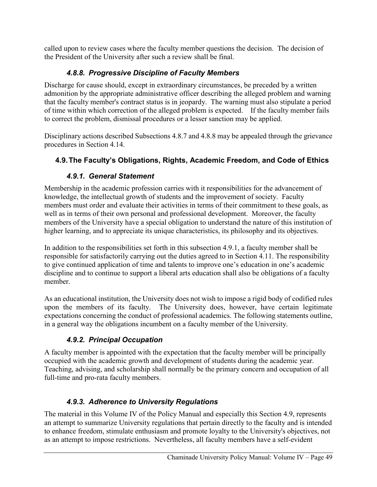called upon to review cases where the faculty member questions the decision. The decision of the President of the University after such a review shall be final.

## *4.8.8. Progressive Discipline of Faculty Members*

Discharge for cause should, except in extraordinary circumstances, be preceded by a written admonition by the appropriate administrative officer describing the alleged problem and warning that the faculty member's contract status is in jeopardy. The warning must also stipulate a period of time within which correction of the alleged problem is expected. If the faculty member fails to correct the problem, dismissal procedures or a lesser sanction may be applied.

Disciplinary actions described Subsections 4.8.7 and 4.8.8 may be appealed through the grievance procedures in Section 4.14.

## **4.9.The Faculty's Obligations, Rights, Academic Freedom, and Code of Ethics**

## *4.9.1. General Statement*

Membership in the academic profession carries with it responsibilities for the advancement of knowledge, the intellectual growth of students and the improvement of society. Faculty members must order and evaluate their activities in terms of their commitment to these goals, as well as in terms of their own personal and professional development. Moreover, the faculty members of the University have a special obligation to understand the nature of this institution of higher learning, and to appreciate its unique characteristics, its philosophy and its objectives.

In addition to the responsibilities set forth in this subsection 4.9.1, a faculty member shall be responsible for satisfactorily carrying out the duties agreed to in Section 4.11. The responsibility to give continued application of time and talents to improve one's education in one's academic discipline and to continue to support a liberal arts education shall also be obligations of a faculty member.

As an educational institution, the University does not wish to impose a rigid body of codified rules upon the members of its faculty. The University does, however, have certain legitimate expectations concerning the conduct of professional academics. The following statements outline, in a general way the obligations incumbent on a faculty member of the University.

## *4.9.2. Principal Occupation*

A faculty member is appointed with the expectation that the faculty member will be principally occupied with the academic growth and development of students during the academic year. Teaching, advising, and scholarship shall normally be the primary concern and occupation of all full-time and pro-rata faculty members.

# *4.9.3. Adherence to University Regulations*

The material in this Volume IV of the Policy Manual and especially this Section 4.9, represents an attempt to summarize University regulations that pertain directly to the faculty and is intended to enhance freedom, stimulate enthusiasm and promote loyalty to the University's objectives, not as an attempt to impose restrictions. Nevertheless, all faculty members have a self-evident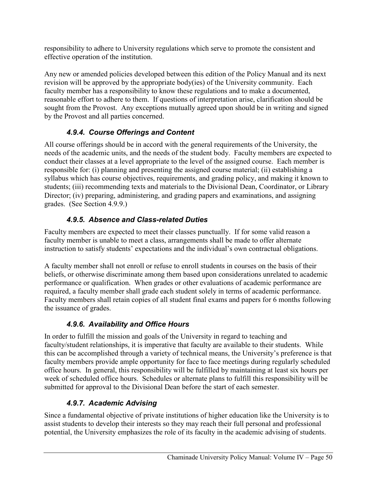responsibility to adhere to University regulations which serve to promote the consistent and effective operation of the institution.

Any new or amended policies developed between this edition of the Policy Manual and its next revision will be approved by the appropriate body(ies) of the University community. Each faculty member has a responsibility to know these regulations and to make a documented, reasonable effort to adhere to them. If questions of interpretation arise, clarification should be sought from the Provost. Any exceptions mutually agreed upon should be in writing and signed by the Provost and all parties concerned.

## *4.9.4. Course Offerings and Content*

All course offerings should be in accord with the general requirements of the University, the needs of the academic units, and the needs of the student body. Faculty members are expected to conduct their classes at a level appropriate to the level of the assigned course. Each member is responsible for: (i) planning and presenting the assigned course material; (ii) establishing a syllabus which has course objectives, requirements, and grading policy, and making it known to students; (iii) recommending texts and materials to the Divisional Dean, Coordinator, or Library Director; (iv) preparing, administering, and grading papers and examinations, and assigning grades. (See Section 4.9.9.)

# *4.9.5. Absence and Class-related Duties*

Faculty members are expected to meet their classes punctually. If for some valid reason a faculty member is unable to meet a class, arrangements shall be made to offer alternate instruction to satisfy students' expectations and the individual's own contractual obligations.

A faculty member shall not enroll or refuse to enroll students in courses on the basis of their beliefs, or otherwise discriminate among them based upon considerations unrelated to academic performance or qualification. When grades or other evaluations of academic performance are required, a faculty member shall grade each student solely in terms of academic performance. Faculty members shall retain copies of all student final exams and papers for 6 months following the issuance of grades.

# *4.9.6. Availability and Office Hours*

In order to fulfill the mission and goals of the University in regard to teaching and faculty/student relationships, it is imperative that faculty are available to their students. While this can be accomplished through a variety of technical means, the University's preference is that faculty members provide ample opportunity for face to face meetings during regularly scheduled office hours. In general, this responsibility will be fulfilled by maintaining at least six hours per week of scheduled office hours. Schedules or alternate plans to fulfill this responsibility will be submitted for approval to the Divisional Dean before the start of each semester.

# *4.9.7. Academic Advising*

Since a fundamental objective of private institutions of higher education like the University is to assist students to develop their interests so they may reach their full personal and professional potential, the University emphasizes the role of its faculty in the academic advising of students.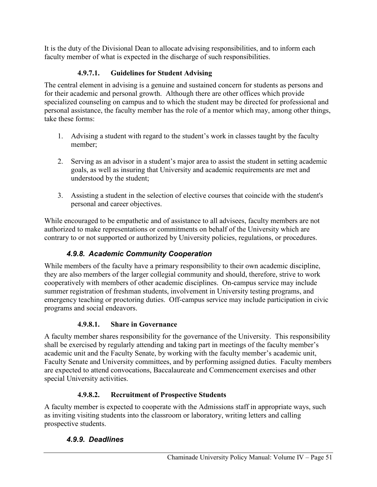It is the duty of the Divisional Dean to allocate advising responsibilities, and to inform each faculty member of what is expected in the discharge of such responsibilities.

## **4.9.7.1. Guidelines for Student Advising**

The central element in advising is a genuine and sustained concern for students as persons and for their academic and personal growth. Although there are other offices which provide specialized counseling on campus and to which the student may be directed for professional and personal assistance, the faculty member has the role of a mentor which may, among other things, take these forms:

- 1. Advising a student with regard to the student's work in classes taught by the faculty member;
- 2. Serving as an advisor in a student's major area to assist the student in setting academic goals, as well as insuring that University and academic requirements are met and understood by the student;
- 3. Assisting a student in the selection of elective courses that coincide with the student's personal and career objectives.

While encouraged to be empathetic and of assistance to all advisees, faculty members are not authorized to make representations or commitments on behalf of the University which are contrary to or not supported or authorized by University policies, regulations, or procedures.

## *4.9.8. Academic Community Cooperation*

While members of the faculty have a primary responsibility to their own academic discipline, they are also members of the larger collegial community and should, therefore, strive to work cooperatively with members of other academic disciplines. On-campus service may include summer registration of freshman students, involvement in University testing programs, and emergency teaching or proctoring duties. Off-campus service may include participation in civic programs and social endeavors.

## **4.9.8.1. Share in Governance**

A faculty member shares responsibility for the governance of the University. This responsibility shall be exercised by regularly attending and taking part in meetings of the faculty member's academic unit and the Faculty Senate, by working with the faculty member's academic unit, Faculty Senate and University committees, and by performing assigned duties. Faculty members are expected to attend convocations, Baccalaureate and Commencement exercises and other special University activities.

## **4.9.8.2. Recruitment of Prospective Students**

A faculty member is expected to cooperate with the Admissions staff in appropriate ways, such as inviting visiting students into the classroom or laboratory, writing letters and calling prospective students.

## *4.9.9. Deadlines*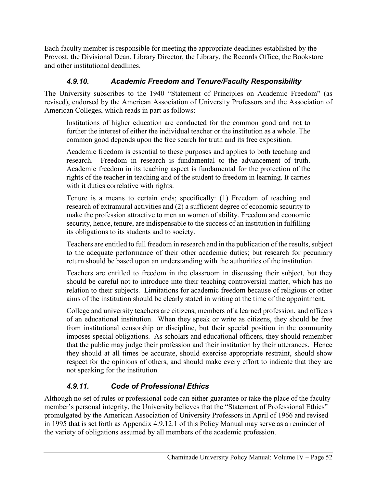Each faculty member is responsible for meeting the appropriate deadlines established by the Provost, the Divisional Dean, Library Director, the Library, the Records Office, the Bookstore and other institutional deadlines.

## *4.9.10. Academic Freedom and Tenure/Faculty Responsibility*

The University subscribes to the 1940 "Statement of Principles on Academic Freedom" (as revised), endorsed by the American Association of University Professors and the Association of American Colleges, which reads in part as follows:

Institutions of higher education are conducted for the common good and not to further the interest of either the individual teacher or the institution as a whole. The common good depends upon the free search for truth and its free exposition.

Academic freedom is essential to these purposes and applies to both teaching and research. Freedom in research is fundamental to the advancement of truth. Academic freedom in its teaching aspect is fundamental for the protection of the rights of the teacher in teaching and of the student to freedom in learning. It carries with it duties correlative with rights.

Tenure is a means to certain ends; specifically: (1) Freedom of teaching and research of extramural activities and (2) a sufficient degree of economic security to make the profession attractive to men an women of ability. Freedom and economic security, hence, tenure, are indispensable to the success of an institution in fulfilling its obligations to its students and to society.

Teachers are entitled to full freedom in research and in the publication of the results, subject to the adequate performance of their other academic duties; but research for pecuniary return should be based upon an understanding with the authorities of the institution.

Teachers are entitled to freedom in the classroom in discussing their subject, but they should be careful not to introduce into their teaching controversial matter, which has no relation to their subjects. Limitations for academic freedom because of religious or other aims of the institution should be clearly stated in writing at the time of the appointment.

College and university teachers are citizens, members of a learned profession, and officers of an educational institution. When they speak or write as citizens, they should be free from institutional censorship or discipline, but their special position in the community imposes special obligations. As scholars and educational officers, they should remember that the public may judge their profession and their institution by their utterances. Hence they should at all times be accurate, should exercise appropriate restraint, should show respect for the opinions of others, and should make every effort to indicate that they are not speaking for the institution.

## *4.9.11. Code of Professional Ethics*

Although no set of rules or professional code can either guarantee or take the place of the faculty member's personal integrity, the University believes that the "Statement of Professional Ethics" promulgated by the American Association of University Professors in April of 1966 and revised in 1995 that is set forth as Appendix 4.9.12.1 of this Policy Manual may serve as a reminder of the variety of obligations assumed by all members of the academic profession.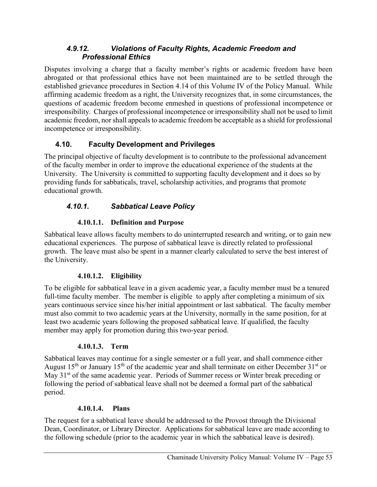#### *4.9.12. Violations of Faculty Rights, Academic Freedom and Professional Ethics*

Disputes involving a charge that a faculty member's rights or academic freedom have been abrogated or that professional ethics have not been maintained are to be settled through the established grievance procedures in Section 4.14 of this Volume IV of the Policy Manual. While affirming academic freedom as a right, the University recognizes that, in some circumstances, the questions of academic freedom become enmeshed in questions of professional incompetence or irresponsibility. Charges of professional incompetence or irresponsibility shall not be used to limit academic freedom, nor shall appeals to academic freedom be acceptable as a shield for professional incompetence or irresponsibility.

## **4.10. Faculty Development and Privileges**

The principal objective of faculty development is to contribute to the professional advancement of the faculty member in order to improve the educational experience of the students at the University. The University is committed to supporting faculty development and it does so by providing funds for sabbaticals, travel, scholarship activities, and programs that promote educational growth.

## *4.10.1. Sabbatical Leave Policy*

### **4.10.1.1. Definition and Purpose**

Sabbatical leave allows faculty members to do uninterrupted research and writing, or to gain new educational experiences. The purpose of sabbatical leave is directly related to professional growth. The leave must also be spent in a manner clearly calculated to serve the best interest of the University.

## **4.10.1.2. Eligibility**

To be eligible for sabbatical leave in a given academic year, a faculty member must be a tenured full-time faculty member. The member is eligible to apply after completing a minimum of six years continuous service since his/her initial appointment or last sabbatical. The faculty member must also commit to two academic years at the University, normally in the same position, for at least two academic years following the proposed sabbatical leave. If qualified, the faculty member may apply for promotion during this two-year period.

#### **4.10.1.3. Term**

Sabbatical leaves may continue for a single semester or a full year, and shall commence either August 15<sup>th</sup> or January 15<sup>th</sup> of the academic year and shall terminate on either December 31<sup>st</sup> or May 31<sup>st</sup> of the same academic year. Periods of Summer recess or Winter break preceding or following the period of sabbatical leave shall not be deemed a formal part of the sabbatical period.

#### **4.10.1.4. Plans**

The request for a sabbatical leave should be addressed to the Provost through the Divisional Dean, Coordinator, or Library Director. Applications for sabbatical leave are made according to the following schedule (prior to the academic year in which the sabbatical leave is desired).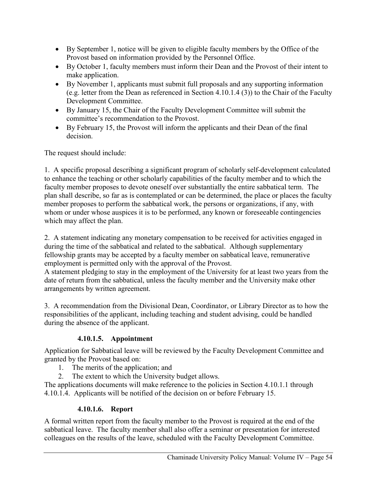- By September 1, notice will be given to eligible faculty members by the Office of the Provost based on information provided by the Personnel Office.
- By October 1, faculty members must inform their Dean and the Provost of their intent to make application.
- By November 1, applicants must submit full proposals and any supporting information (e.g. letter from the Dean as referenced in Section 4.10.1.4 (3)) to the Chair of the Faculty Development Committee.
- By January 15, the Chair of the Faculty Development Committee will submit the committee's recommendation to the Provost.
- By February 15, the Provost will inform the applicants and their Dean of the final decision.

The request should include:

1. A specific proposal describing a significant program of scholarly self-development calculated to enhance the teaching or other scholarly capabilities of the faculty member and to which the faculty member proposes to devote oneself over substantially the entire sabbatical term. The plan shall describe, so far as is contemplated or can be determined, the place or places the faculty member proposes to perform the sabbatical work, the persons or organizations, if any, with whom or under whose auspices it is to be performed, any known or foreseeable contingencies which may affect the plan.

2. A statement indicating any monetary compensation to be received for activities engaged in during the time of the sabbatical and related to the sabbatical. Although supplementary fellowship grants may be accepted by a faculty member on sabbatical leave, remunerative employment is permitted only with the approval of the Provost.

A statement pledging to stay in the employment of the University for at least two years from the date of return from the sabbatical, unless the faculty member and the University make other arrangements by written agreement.

3. A recommendation from the Divisional Dean, Coordinator, or Library Director as to how the responsibilities of the applicant, including teaching and student advising, could be handled during the absence of the applicant.

#### **4.10.1.5. Appointment**

Application for Sabbatical leave will be reviewed by the Faculty Development Committee and granted by the Provost based on:

- 1. The merits of the application; and
- 2. The extent to which the University budget allows.

The applications documents will make reference to the policies in Section 4.10.1.1 through 4.10.1.4. Applicants will be notified of the decision on or before February 15.

## **4.10.1.6. Report**

A formal written report from the faculty member to the Provost is required at the end of the sabbatical leave. The faculty member shall also offer a seminar or presentation for interested colleagues on the results of the leave, scheduled with the Faculty Development Committee.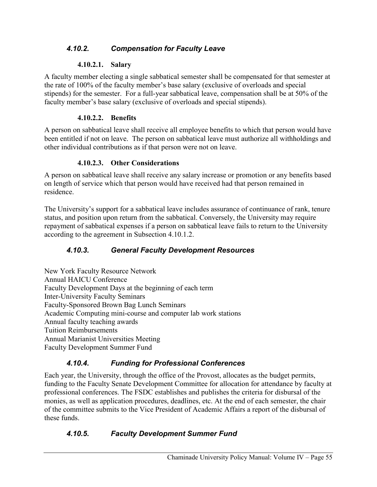### *4.10.2. Compensation for Faculty Leave*

#### **4.10.2.1. Salary**

A faculty member electing a single sabbatical semester shall be compensated for that semester at the rate of 100% of the faculty member's base salary (exclusive of overloads and special stipends) for the semester. For a full-year sabbatical leave, compensation shall be at 50% of the faculty member's base salary (exclusive of overloads and special stipends).

#### **4.10.2.2. Benefits**

A person on sabbatical leave shall receive all employee benefits to which that person would have been entitled if not on leave. The person on sabbatical leave must authorize all withholdings and other individual contributions as if that person were not on leave.

#### **4.10.2.3. Other Considerations**

A person on sabbatical leave shall receive any salary increase or promotion or any benefits based on length of service which that person would have received had that person remained in residence.

The University's support for a sabbatical leave includes assurance of continuance of rank, tenure status, and position upon return from the sabbatical. Conversely, the University may require repayment of sabbatical expenses if a person on sabbatical leave fails to return to the University according to the agreement in Subsection 4.10.1.2.

## *4.10.3. General Faculty Development Resources*

New York Faculty Resource Network Annual HAICU Conference Faculty Development Days at the beginning of each term Inter-University Faculty Seminars Faculty-Sponsored Brown Bag Lunch Seminars Academic Computing mini-course and computer lab work stations Annual faculty teaching awards Tuition Reimbursements Annual Marianist Universities Meeting Faculty Development Summer Fund

## *4.10.4. Funding for Professional Conferences*

Each year, the University, through the office of the Provost, allocates as the budget permits, funding to the Faculty Senate Development Committee for allocation for attendance by faculty at professional conferences. The FSDC establishes and publishes the criteria for disbursal of the monies, as well as application procedures, deadlines, etc. At the end of each semester, the chair of the committee submits to the Vice President of Academic Affairs a report of the disbursal of these funds.

## *4.10.5. Faculty Development Summer Fund*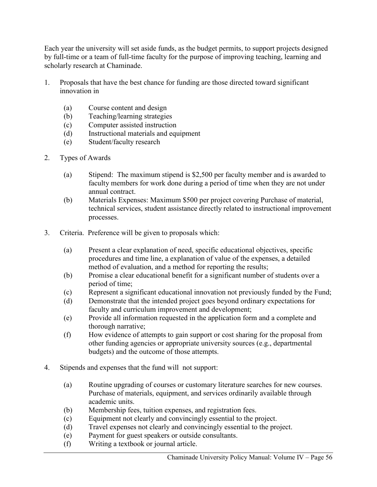Each year the university will set aside funds, as the budget permits, to support projects designed by full-time or a team of full-time faculty for the purpose of improving teaching, learning and scholarly research at Chaminade.

- 1. Proposals that have the best chance for funding are those directed toward significant innovation in
	- (a) Course content and design
	- (b) Teaching/learning strategies
	- (c) Computer assisted instruction
	- (d) Instructional materials and equipment
	- (e) Student/faculty research
- 2. Types of Awards
	- (a) Stipend: The maximum stipend is \$2,500 per faculty member and is awarded to faculty members for work done during a period of time when they are not under annual contract.
	- (b) Materials Expenses: Maximum \$500 per project covering Purchase of material, technical services, student assistance directly related to instructional improvement processes.
- 3. Criteria. Preference will be given to proposals which:
	- (a) Present a clear explanation of need, specific educational objectives, specific procedures and time line, a explanation of value of the expenses, a detailed method of evaluation, and a method for reporting the results;
	- (b) Promise a clear educational benefit for a significant number of students over a period of time;
	- (c) Represent a significant educational innovation not previously funded by the Fund;
	- (d) Demonstrate that the intended project goes beyond ordinary expectations for faculty and curriculum improvement and development;
	- (e) Provide all information requested in the application form and a complete and thorough narrative;
	- (f) How evidence of attempts to gain support or cost sharing for the proposal from other funding agencies or appropriate university sources (e.g., departmental budgets) and the outcome of those attempts.
- 4. Stipends and expenses that the fund will not support:
	- (a) Routine upgrading of courses or customary literature searches for new courses. Purchase of materials, equipment, and services ordinarily available through academic units.
	- (b) Membership fees, tuition expenses, and registration fees.
	- (c) Equipment not clearly and convincingly essential to the project.
	- (d) Travel expenses not clearly and convincingly essential to the project.
	- (e) Payment for guest speakers or outside consultants.
	- (f) Writing a textbook or journal article.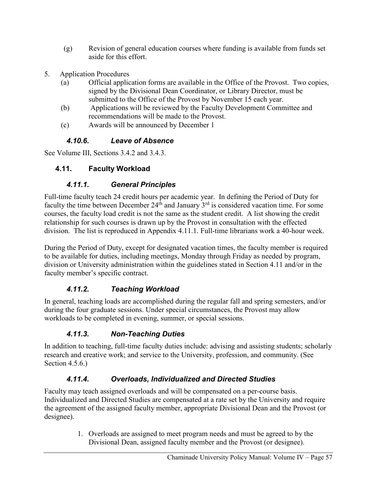- (g) Revision of general education courses where funding is available from funds set aside for this effort.
- 5. Application Procedures
	- (a) Official application forms are available in the Office of the Provost. Two copies, signed by the Divisional Dean Coordinator, or Library Director, must be submitted to the Office of the Provost by November 15 each year.
	- (b) Applications will be reviewed by the Faculty Development Committee and recommendations will be made to the Provost.
	- (c) Awards will be announced by December 1

#### *4.10.6. Leave of Absence*

See Volume III, Sections 3.4.2 and 3.4.3.

### **4.11. Faculty Workload**

#### *4.11.1. General Principles*

Full-time faculty teach 24 credit hours per academic year. In defining the Period of Duty for faculty the time between December 24<sup>th</sup> and January  $3<sup>rd</sup>$  is considered vacation time. For some courses, the faculty load credit is not the same as the student credit. A list showing the credit relationship for such courses is drawn up by the Provost in consultation with the effected division. The list is reproduced in Appendix 4.11.1. Full-time librarians work a 40-hour week.

During the Period of Duty, except for designated vacation times, the faculty member is required to be available for duties, including meetings, Monday through Friday as needed by program, division or University administration within the guidelines stated in Section 4.11 and/or in the faculty member's specific contract.

#### *4.11.2. Teaching Workload*

In general, teaching loads are accomplished during the regular fall and spring semesters, and/or during the four graduate sessions. Under special circumstances, the Provost may allow workloads to be completed in evening, summer, or special sessions.

#### *4.11.3. Non-Teaching Duties*

In addition to teaching, full-time faculty duties include: advising and assisting students; scholarly research and creative work; and service to the University, profession, and community. (See Section 4.5.6.)

#### *4.11.4. Overloads, Individualized and Directed Studies*

Faculty may teach assigned overloads and will be compensated on a per-course basis. Individualized and Directed Studies are compensated at a rate set by the University and require the agreement of the assigned faculty member, appropriate Divisional Dean and the Provost (or designee).

> 1. Overloads are assigned to meet program needs and must be agreed to by the Divisional Dean, assigned faculty member and the Provost (or designee).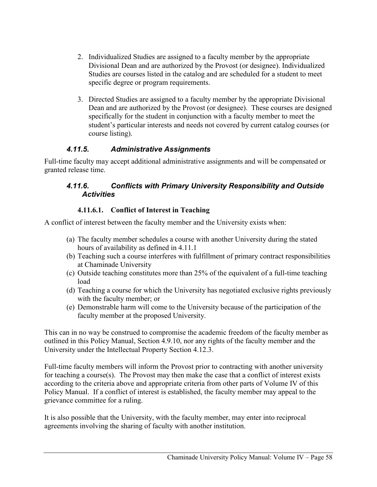- 2. Individualized Studies are assigned to a faculty member by the appropriate Divisional Dean and are authorized by the Provost (or designee). Individualized Studies are courses listed in the catalog and are scheduled for a student to meet specific degree or program requirements.
- 3. Directed Studies are assigned to a faculty member by the appropriate Divisional Dean and are authorized by the Provost (or designee). These courses are designed specifically for the student in conjunction with a faculty member to meet the student's particular interests and needs not covered by current catalog courses (or course listing).

#### *4.11.5. Administrative Assignments*

Full-time faculty may accept additional administrative assignments and will be compensated or granted release time.

#### *4.11.6. Conflicts with Primary University Responsibility and Outside Activities*

#### **4.11.6.1. Conflict of Interest in Teaching**

A conflict of interest between the faculty member and the University exists when:

- (a) The faculty member schedules a course with another University during the stated hours of availability as defined in 4.11.1
- (b) Teaching such a course interferes with fulfillment of primary contract responsibilities at Chaminade University
- (c) Outside teaching constitutes more than 25% of the equivalent of a full-time teaching load
- (d) Teaching a course for which the University has negotiated exclusive rights previously with the faculty member; or
- (e) Demonstrable harm will come to the University because of the participation of the faculty member at the proposed University.

This can in no way be construed to compromise the academic freedom of the faculty member as outlined in this Policy Manual, Section 4.9.10, nor any rights of the faculty member and the University under the Intellectual Property Section 4.12.3.

Full-time faculty members will inform the Provost prior to contracting with another university for teaching a course(s). The Provost may then make the case that a conflict of interest exists according to the criteria above and appropriate criteria from other parts of Volume IV of this Policy Manual. If a conflict of interest is established, the faculty member may appeal to the grievance committee for a ruling.

It is also possible that the University, with the faculty member, may enter into reciprocal agreements involving the sharing of faculty with another institution.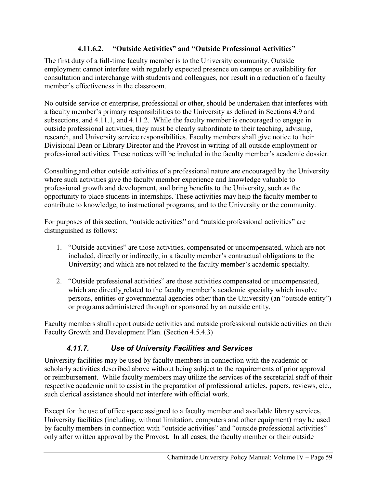#### **4.11.6.2. "Outside Activities" and "Outside Professional Activities"**

The first duty of a full-time faculty member is to the University community. Outside employment cannot interfere with regularly expected presence on campus or availability for consultation and interchange with students and colleagues, nor result in a reduction of a faculty member's effectiveness in the classroom.

No outside service or enterprise, professional or other, should be undertaken that interferes with a faculty member's primary responsibilities to the University as defined in Sections 4.9 and subsections, and 4.11.1, and 4.11.2. While the faculty member is encouraged to engage in outside professional activities, they must be clearly subordinate to their teaching, advising, research, and University service responsibilities. Faculty members shall give notice to their Divisional Dean or Library Director and the Provost in writing of all outside employment or professional activities. These notices will be included in the faculty member's academic dossier.

Consulting and other outside activities of a professional nature are encouraged by the University where such activities give the faculty member experience and knowledge valuable to professional growth and development, and bring benefits to the University, such as the opportunity to place students in internships. These activities may help the faculty member to contribute to knowledge, to instructional programs, and to the University or the community.

For purposes of this section, "outside activities" and "outside professional activities" are distinguished as follows:

- 1. "Outside activities" are those activities, compensated or uncompensated, which are not included, directly or indirectly, in a faculty member's contractual obligations to the University; and which are not related to the faculty member's academic specialty.
- 2. "Outside professional activities" are those activities compensated or uncompensated, which are directly related to the faculty member's academic specialty which involve persons, entities or governmental agencies other than the University (an "outside entity") or programs administered through or sponsored by an outside entity.

Faculty members shall report outside activities and outside professional outside activities on their Faculty Growth and Development Plan. (Section 4.5.4.3)

## *4.11.7. Use of University Facilities and Services*

University facilities may be used by faculty members in connection with the academic or scholarly activities described above without being subject to the requirements of prior approval or reimbursement. While faculty members may utilize the services of the secretarial staff of their respective academic unit to assist in the preparation of professional articles, papers, reviews, etc., such clerical assistance should not interfere with official work.

Except for the use of office space assigned to a faculty member and available library services, University facilities (including, without limitation, computers and other equipment) may be used by faculty members in connection with "outside activities" and "outside professional activities" only after written approval by the Provost. In all cases, the faculty member or their outside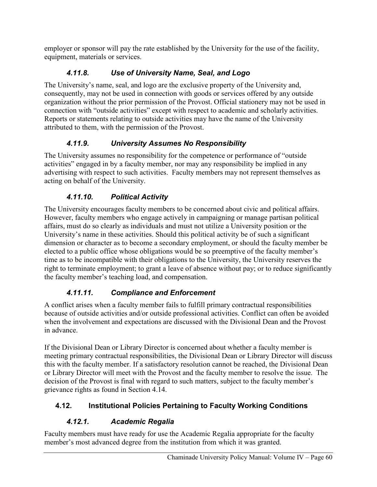employer or sponsor will pay the rate established by the University for the use of the facility, equipment, materials or services.

## *4.11.8. Use of University Name, Seal, and Logo*

The University's name, seal, and logo are the exclusive property of the University and, consequently, may not be used in connection with goods or services offered by any outside organization without the prior permission of the Provost. Official stationery may not be used in connection with "outside activities" except with respect to academic and scholarly activities. Reports or statements relating to outside activities may have the name of the University attributed to them, with the permission of the Provost.

# *4.11.9. University Assumes No Responsibility*

The University assumes no responsibility for the competence or performance of "outside activities" engaged in by a faculty member, nor may any responsibility be implied in any advertising with respect to such activities. Faculty members may not represent themselves as acting on behalf of the University.

# *4.11.10. Political Activity*

The University encourages faculty members to be concerned about civic and political affairs. However, faculty members who engage actively in campaigning or manage partisan political affairs, must do so clearly as individuals and must not utilize a University position or the University's name in these activities. Should this political activity be of such a significant dimension or character as to become a secondary employment, or should the faculty member be elected to a public office whose obligations would be so preemptive of the faculty member's time as to be incompatible with their obligations to the University, the University reserves the right to terminate employment; to grant a leave of absence without pay; or to reduce significantly the faculty member's teaching load, and compensation.

# *4.11.11. Compliance and Enforcement*

A conflict arises when a faculty member fails to fulfill primary contractual responsibilities because of outside activities and/or outside professional activities. Conflict can often be avoided when the involvement and expectations are discussed with the Divisional Dean and the Provost in advance.

If the Divisional Dean or Library Director is concerned about whether a faculty member is meeting primary contractual responsibilities, the Divisional Dean or Library Director will discuss this with the faculty member. If a satisfactory resolution cannot be reached, the Divisional Dean or Library Director will meet with the Provost and the faculty member to resolve the issue. The decision of the Provost is final with regard to such matters, subject to the faculty member's grievance rights as found in Section 4.14.

# **4.12. Institutional Policies Pertaining to Faculty Working Conditions**

# *4.12.1. Academic Regalia*

Faculty members must have ready for use the Academic Regalia appropriate for the faculty member's most advanced degree from the institution from which it was granted.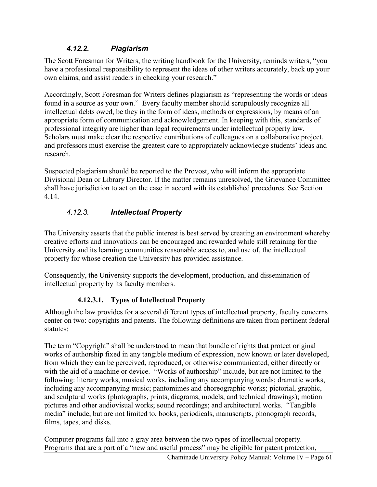#### *4.12.2. Plagiarism*

The Scott Foresman for Writers, the writing handbook for the University, reminds writers, "you have a professional responsibility to represent the ideas of other writers accurately, back up your own claims, and assist readers in checking your research."

Accordingly, Scott Foresman for Writers defines plagiarism as "representing the words or ideas found in a source as your own." Every faculty member should scrupulously recognize all intellectual debts owed, be they in the form of ideas, methods or expressions, by means of an appropriate form of communication and acknowledgement. In keeping with this, standards of professional integrity are higher than legal requirements under intellectual property law. Scholars must make clear the respective contributions of colleagues on a collaborative project, and professors must exercise the greatest care to appropriately acknowledge students' ideas and research.

Suspected plagiarism should be reported to the Provost, who will inform the appropriate Divisional Dean or Library Director. If the matter remains unresolved, the Grievance Committee shall have jurisdiction to act on the case in accord with its established procedures. See Section 4.14.

## *4.12.3. Intellectual Property*

The University asserts that the public interest is best served by creating an environment whereby creative efforts and innovations can be encouraged and rewarded while still retaining for the University and its learning communities reasonable access to, and use of, the intellectual property for whose creation the University has provided assistance.

Consequently, the University supports the development, production, and dissemination of intellectual property by its faculty members.

## **4.12.3.1. Types of Intellectual Property**

Although the law provides for a several different types of intellectual property, faculty concerns center on two: copyrights and patents. The following definitions are taken from pertinent federal statutes:

The term "Copyright" shall be understood to mean that bundle of rights that protect original works of authorship fixed in any tangible medium of expression, now known or later developed, from which they can be perceived, reproduced, or otherwise communicated, either directly or with the aid of a machine or device. "Works of authorship" include, but are not limited to the following: literary works, musical works, including any accompanying words; dramatic works, including any accompanying music; pantomimes and choreographic works; pictorial, graphic, and sculptural works (photographs, prints, diagrams, models, and technical drawings); motion pictures and other audiovisual works; sound recordings; and architectural works. "Tangible media" include, but are not limited to, books, periodicals, manuscripts, phonograph records, films, tapes, and disks.

Computer programs fall into a gray area between the two types of intellectual property. Programs that are a part of a "new and useful process" may be eligible for patent protection,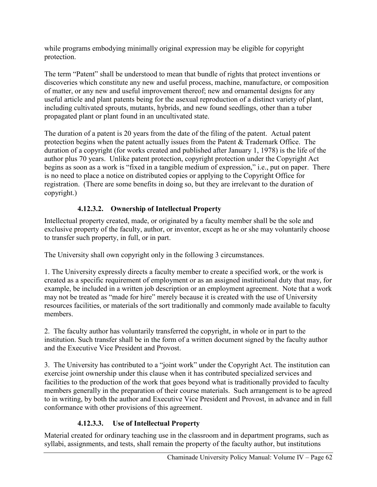while programs embodying minimally original expression may be eligible for copyright protection.

The term "Patent" shall be understood to mean that bundle of rights that protect inventions or discoveries which constitute any new and useful process, machine, manufacture, or composition of matter, or any new and useful improvement thereof; new and ornamental designs for any useful article and plant patents being for the asexual reproduction of a distinct variety of plant, including cultivated sprouts, mutants, hybrids, and new found seedlings, other than a tuber propagated plant or plant found in an uncultivated state.

The duration of a patent is 20 years from the date of the filing of the patent. Actual patent protection begins when the patent actually issues from the Patent & Trademark Office. The duration of a copyright (for works created and published after January 1, 1978) is the life of the author plus 70 years. Unlike patent protection, copyright protection under the Copyright Act begins as soon as a work is "fixed in a tangible medium of expression," i.e., put on paper. There is no need to place a notice on distributed copies or applying to the Copyright Office for registration. (There are some benefits in doing so, but they are irrelevant to the duration of copyright.)

## **4.12.3.2. Ownership of Intellectual Property**

Intellectual property created, made, or originated by a faculty member shall be the sole and exclusive property of the faculty, author, or inventor, except as he or she may voluntarily choose to transfer such property, in full, or in part.

The University shall own copyright only in the following 3 circumstances.

1. The University expressly directs a faculty member to create a specified work, or the work is created as a specific requirement of employment or as an assigned institutional duty that may, for example, be included in a written job description or an employment agreement. Note that a work may not be treated as "made for hire" merely because it is created with the use of University resources facilities, or materials of the sort traditionally and commonly made available to faculty members.

2. The faculty author has voluntarily transferred the copyright, in whole or in part to the institution. Such transfer shall be in the form of a written document signed by the faculty author and the Executive Vice President and Provost.

3. The University has contributed to a "joint work" under the Copyright Act. The institution can exercise joint ownership under this clause when it has contributed specialized services and facilities to the production of the work that goes beyond what is traditionally provided to faculty members generally in the preparation of their course materials. Such arrangement is to be agreed to in writing, by both the author and Executive Vice President and Provost, in advance and in full conformance with other provisions of this agreement.

## **4.12.3.3. Use of Intellectual Property**

Material created for ordinary teaching use in the classroom and in department programs, such as syllabi, assignments, and tests, shall remain the property of the faculty author, but institutions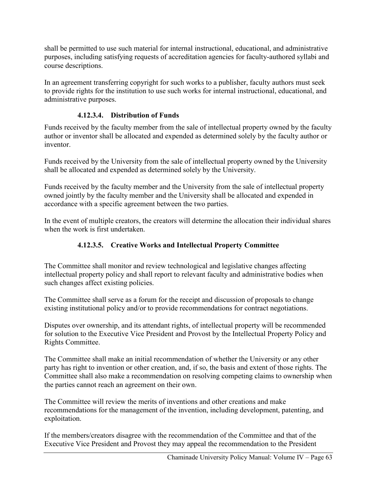shall be permitted to use such material for internal instructional, educational, and administrative purposes, including satisfying requests of accreditation agencies for faculty-authored syllabi and course descriptions.

In an agreement transferring copyright for such works to a publisher, faculty authors must seek to provide rights for the institution to use such works for internal instructional, educational, and administrative purposes.

#### **4.12.3.4. Distribution of Funds**

Funds received by the faculty member from the sale of intellectual property owned by the faculty author or inventor shall be allocated and expended as determined solely by the faculty author or inventor.

Funds received by the University from the sale of intellectual property owned by the University shall be allocated and expended as determined solely by the University.

Funds received by the faculty member and the University from the sale of intellectual property owned jointly by the faculty member and the University shall be allocated and expended in accordance with a specific agreement between the two parties.

In the event of multiple creators, the creators will determine the allocation their individual shares when the work is first undertaken.

## **4.12.3.5. Creative Works and Intellectual Property Committee**

The Committee shall monitor and review technological and legislative changes affecting intellectual property policy and shall report to relevant faculty and administrative bodies when such changes affect existing policies.

The Committee shall serve as a forum for the receipt and discussion of proposals to change existing institutional policy and/or to provide recommendations for contract negotiations.

Disputes over ownership, and its attendant rights, of intellectual property will be recommended for solution to the Executive Vice President and Provost by the Intellectual Property Policy and Rights Committee.

The Committee shall make an initial recommendation of whether the University or any other party has right to invention or other creation, and, if so, the basis and extent of those rights. The Committee shall also make a recommendation on resolving competing claims to ownership when the parties cannot reach an agreement on their own.

The Committee will review the merits of inventions and other creations and make recommendations for the management of the invention, including development, patenting, and exploitation.

If the members/creators disagree with the recommendation of the Committee and that of the Executive Vice President and Provost they may appeal the recommendation to the President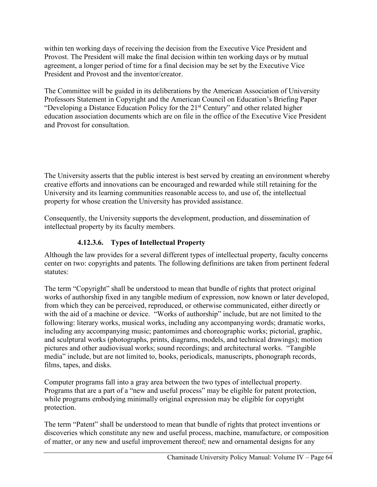within ten working days of receiving the decision from the Executive Vice President and Provost. The President will make the final decision within ten working days or by mutual agreement, a longer period of time for a final decision may be set by the Executive Vice President and Provost and the inventor/creator.

The Committee will be guided in its deliberations by the American Association of University Professors Statement in Copyright and the American Council on Education's Briefing Paper "Developing a Distance Education Policy for the  $21<sup>st</sup>$  Century" and other related higher education association documents which are on file in the office of the Executive Vice President and Provost for consultation.

The University asserts that the public interest is best served by creating an environment whereby creative efforts and innovations can be encouraged and rewarded while still retaining for the University and its learning communities reasonable access to, and use of, the intellectual property for whose creation the University has provided assistance.

Consequently, the University supports the development, production, and dissemination of intellectual property by its faculty members.

### **4.12.3.6. Types of Intellectual Property**

Although the law provides for a several different types of intellectual property, faculty concerns center on two: copyrights and patents. The following definitions are taken from pertinent federal statutes:

The term "Copyright" shall be understood to mean that bundle of rights that protect original works of authorship fixed in any tangible medium of expression, now known or later developed, from which they can be perceived, reproduced, or otherwise communicated, either directly or with the aid of a machine or device. "Works of authorship" include, but are not limited to the following: literary works, musical works, including any accompanying words; dramatic works, including any accompanying music; pantomimes and choreographic works; pictorial, graphic, and sculptural works (photographs, prints, diagrams, models, and technical drawings); motion pictures and other audiovisual works; sound recordings; and architectural works. "Tangible media" include, but are not limited to, books, periodicals, manuscripts, phonograph records, films, tapes, and disks.

Computer programs fall into a gray area between the two types of intellectual property. Programs that are a part of a "new and useful process" may be eligible for patent protection, while programs embodying minimally original expression may be eligible for copyright protection.

The term "Patent" shall be understood to mean that bundle of rights that protect inventions or discoveries which constitute any new and useful process, machine, manufacture, or composition of matter, or any new and useful improvement thereof; new and ornamental designs for any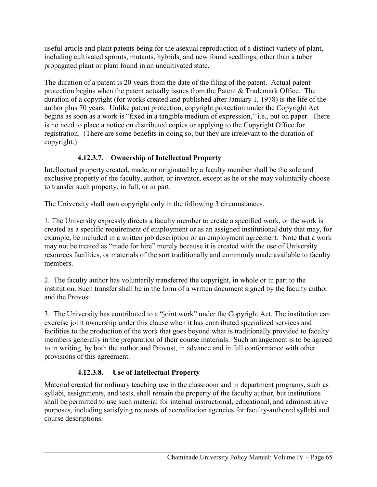useful article and plant patents being for the asexual reproduction of a distinct variety of plant, including cultivated sprouts, mutants, hybrids, and new found seedlings, other than a tuber propagated plant or plant found in an uncultivated state.

The duration of a patent is 20 years from the date of the filing of the patent. Actual patent protection begins when the patent actually issues from the Patent & Trademark Office. The duration of a copyright (for works created and published after January 1, 1978) is the life of the author plus 70 years. Unlike patent protection, copyright protection under the Copyright Act begins as soon as a work is "fixed in a tangible medium of expression," i.e., put on paper. There is no need to place a notice on distributed copies or applying to the Copyright Office for registration. (There are some benefits in doing so, but they are irrelevant to the duration of copyright.)

### **4.12.3.7. Ownership of Intellectual Property**

Intellectual property created, made, or originated by a faculty member shall be the sole and exclusive property of the faculty, author, or inventor, except as he or she may voluntarily choose to transfer such property, in full, or in part.

The University shall own copyright only in the following 3 circumstances.

1. The University expressly directs a faculty member to create a specified work, or the work is created as a specific requirement of employment or as an assigned institutional duty that may, for example, be included in a written job description or an employment agreement. Note that a work may not be treated as "made for hire" merely because it is created with the use of University resources facilities, or materials of the sort traditionally and commonly made available to faculty members.

2. The faculty author has voluntarily transferred the copyright, in whole or in part to the institution. Such transfer shall be in the form of a written document signed by the faculty author and the Provost.

3. The University has contributed to a "joint work" under the Copyright Act. The institution can exercise joint ownership under this clause when it has contributed specialized services and facilities to the production of the work that goes beyond what is traditionally provided to faculty members generally in the preparation of their course materials. Such arrangement is to be agreed to in writing, by both the author and Provost, in advance and in full conformance with other provisions of this agreement.

## **4.12.3.8. Use of Intellectual Property**

Material created for ordinary teaching use in the classroom and in department programs, such as syllabi, assignments, and tests, shall remain the property of the faculty author, but institutions shall be permitted to use such material for internal instructional, educational, and administrative purposes, including satisfying requests of accreditation agencies for faculty-authored syllabi and course descriptions.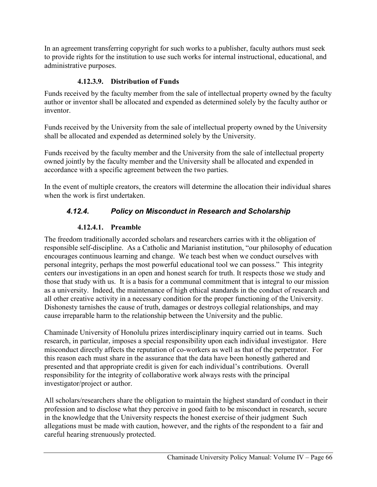In an agreement transferring copyright for such works to a publisher, faculty authors must seek to provide rights for the institution to use such works for internal instructional, educational, and administrative purposes.

#### **4.12.3.9. Distribution of Funds**

Funds received by the faculty member from the sale of intellectual property owned by the faculty author or inventor shall be allocated and expended as determined solely by the faculty author or inventor.

Funds received by the University from the sale of intellectual property owned by the University shall be allocated and expended as determined solely by the University.

Funds received by the faculty member and the University from the sale of intellectual property owned jointly by the faculty member and the University shall be allocated and expended in accordance with a specific agreement between the two parties.

In the event of multiple creators, the creators will determine the allocation their individual shares when the work is first undertaken.

# *4.12.4. Policy on Misconduct in Research and Scholarship*

### **4.12.4.1. Preamble**

The freedom traditionally accorded scholars and researchers carries with it the obligation of responsible self-discipline. As a Catholic and Marianist institution, "our philosophy of education encourages continuous learning and change. We teach best when we conduct ourselves with personal integrity, perhaps the most powerful educational tool we can possess." This integrity centers our investigations in an open and honest search for truth. It respects those we study and those that study with us. It is a basis for a communal commitment that is integral to our mission as a university. Indeed, the maintenance of high ethical standards in the conduct of research and all other creative activity in a necessary condition for the proper functioning of the University. Dishonesty tarnishes the cause of truth, damages or destroys collegial relationships, and may cause irreparable harm to the relationship between the University and the public.

Chaminade University of Honolulu prizes interdisciplinary inquiry carried out in teams. Such research, in particular, imposes a special responsibility upon each individual investigator. Here misconduct directly affects the reputation of co-workers as well as that of the perpetrator. For this reason each must share in the assurance that the data have been honestly gathered and presented and that appropriate credit is given for each individual's contributions. Overall responsibility for the integrity of collaborative work always rests with the principal investigator/project or author.

All scholars/researchers share the obligation to maintain the highest standard of conduct in their profession and to disclose what they perceive in good faith to be misconduct in research, secure in the knowledge that the University respects the honest exercise of their judgment Such allegations must be made with caution, however, and the rights of the respondent to a fair and careful hearing strenuously protected.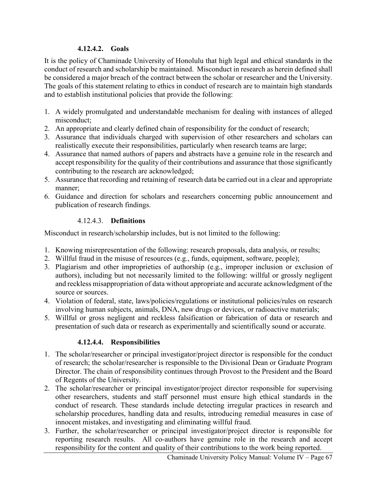#### **4.12.4.2. Goals**

It is the policy of Chaminade University of Honolulu that high legal and ethical standards in the conduct of research and scholarship be maintained. Misconduct in research as herein defined shall be considered a major breach of the contract between the scholar or researcher and the University. The goals of this statement relating to ethics in conduct of research are to maintain high standards and to establish institutional policies that provide the following:

- 1. A widely promulgated and understandable mechanism for dealing with instances of alleged misconduct;
- 2. An appropriate and clearly defined chain of responsibility for the conduct of research;
- 3. Assurance that individuals charged with supervision of other researchers and scholars can realistically execute their responsibilities, particularly when research teams are large;
- 4. Assurance that named authors of papers and abstracts have a genuine role in the research and accept responsibility for the quality of their contributions and assurance that those significantly contributing to the research are acknowledged;
- 5. Assurance that recording and retaining of research data be carried out in a clear and appropriate manner;
- 6. Guidance and direction for scholars and researchers concerning public announcement and publication of research findings.

#### 4.12.4.3. **Definitions**

Misconduct in research/scholarship includes, but is not limited to the following:

- 1. Knowing misrepresentation of the following: research proposals, data analysis, or results;
- 2. Willful fraud in the misuse of resources (e.g., funds, equipment, software, people);
- 3. Plagiarism and other improprieties of authorship (e.g., improper inclusion or exclusion of authors), including but not necessarily limited to the following: willful or grossly negligent and reckless misappropriation of data without appropriate and accurate acknowledgment of the source or sources.
- 4. Violation of federal, state, laws/policies/regulations or institutional policies/rules on research involving human subjects, animals, DNA, new drugs or devices, or radioactive materials;
- 5. Willful or gross negligent and reckless falsification or fabrication of data or research and presentation of such data or research as experimentally and scientifically sound or accurate.

## **4.12.4.4. Responsibilities**

- 1. The scholar/researcher or principal investigator/project director is responsible for the conduct of research; the scholar/researcher is responsible to the Divisional Dean or Graduate Program Director. The chain of responsibility continues through Provost to the President and the Board of Regents of the University.
- 2. The scholar/researcher or principal investigator/project director responsible for supervising other researchers, students and staff personnel must ensure high ethical standards in the conduct of research. These standards include detecting irregular practices in research and scholarship procedures, handling data and results, introducing remedial measures in case of innocent mistakes, and investigating and eliminating willful fraud.
- 3. Further, the scholar/researcher or principal investigator/project director is responsible for reporting research results. All co-authors have genuine role in the research and accept responsibility for the content and quality of their contributions to the work being reported.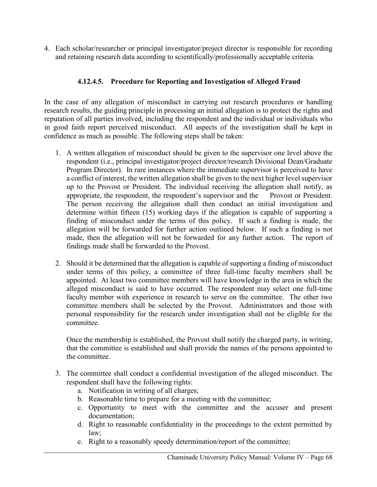4. Each scholar/researcher or principal investigator/project director is responsible for recording and retaining research data according to scientifically/professionally acceptable criteria.

#### **4.12.4.5. Procedure for Reporting and Investigation of Alleged Fraud**

In the case of any allegation of misconduct in carrying out research procedures or handling research results, the guiding principle in processing an initial allegation is to protect the rights and reputation of all parties involved, including the respondent and the individual or individuals who in good faith report perceived misconduct. All aspects of the investigation shall be kept in confidence as much as possible. The following steps shall be taken:

- 1. A written allegation of misconduct should be given to the supervisor one level above the respondent (i.e., principal investigator/project director/research Divisional Dean/Graduate Program Director). In rare instances where the immediate supervisor is perceived to have a conflict of interest, the written allegation shall be given to the next higher level supervisor up to the Provost or President. The individual receiving the allegation shall notify, as appropriate, the respondent, the respondent's supervisor and the Provost or President. The person receiving the allegation shall then conduct an initial investigation and determine within fifteen (15) working days if the allegation is capable of supporting a finding of misconduct under the terms of this policy. If such a finding is made, the allegation will be forwarded for further action outlined below. If such a finding is not made, then the allegation will not be forwarded for any further action. The report of findings made shall be forwarded to the Provost.
- 2. Should it be determined that the allegation is capable of supporting a finding of misconduct under terms of this policy, a committee of three full-time faculty members shall be appointed. At least two committee members will have knowledge in the area in which the alleged misconduct is said to have occurred. The respondent may select one full-time faculty member with experience in research to serve on the committee. The other two committee members shall be selected by the Provost. Administrators and those with personal responsibility for the research under investigation shall not be eligible for the committee.

Once the membership is established, the Provost shall notify the charged party, in writing, that the committee is established and shall provide the names of the persons appointed to the committee.

- 3. The committee shall conduct a confidential investigation of the alleged misconduct. The respondent shall have the following rights:
	- a. Notification in writing of all charges;
	- b. Reasonable time to prepare for a meeting with the committee;
	- c. Opportunity to meet with the committee and the accuser and present documentation;
	- d. Right to reasonable confidentiality in the proceedings to the extent permitted by law;
	- e. Right to a reasonably speedy determination/report of the committee;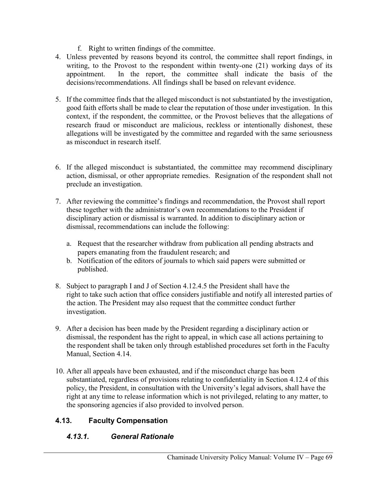- f. Right to written findings of the committee.
- 4. Unless prevented by reasons beyond its control, the committee shall report findings, in writing, to the Provost to the respondent within twenty-one (21) working days of its appointment. In the report, the committee shall indicate the basis of the decisions/recommendations. All findings shall be based on relevant evidence.
- 5. If the committee finds that the alleged misconduct is not substantiated by the investigation, good faith efforts shall be made to clear the reputation of those under investigation. In this context, if the respondent, the committee, or the Provost believes that the allegations of research fraud or misconduct are malicious, reckless or intentionally dishonest, these allegations will be investigated by the committee and regarded with the same seriousness as misconduct in research itself.
- 6. If the alleged misconduct is substantiated, the committee may recommend disciplinary action, dismissal, or other appropriate remedies. Resignation of the respondent shall not preclude an investigation.
- 7. After reviewing the committee's findings and recommendation, the Provost shall report these together with the administrator's own recommendations to the President if disciplinary action or dismissal is warranted. In addition to disciplinary action or dismissal, recommendations can include the following:
	- a. Request that the researcher withdraw from publication all pending abstracts and papers emanating from the fraudulent research; and
	- b. Notification of the editors of journals to which said papers were submitted or published.
- 8. Subject to paragraph I and J of Section 4.12.4.5 the President shall have the right to take such action that office considers justifiable and notify all interested parties of the action. The President may also request that the committee conduct further investigation.
- 9. After a decision has been made by the President regarding a disciplinary action or dismissal, the respondent has the right to appeal, in which case all actions pertaining to the respondent shall be taken only through established procedures set forth in the Faculty Manual, Section 4.14.
- 10. After all appeals have been exhausted, and if the misconduct charge has been substantiated, regardless of provisions relating to confidentiality in Section 4.12.4 of this policy, the President, in consultation with the University's legal advisors, shall have the right at any time to release information which is not privileged, relating to any matter, to the sponsoring agencies if also provided to involved person.

## **4.13. Faculty Compensation**

#### *4.13.1. General Rationale*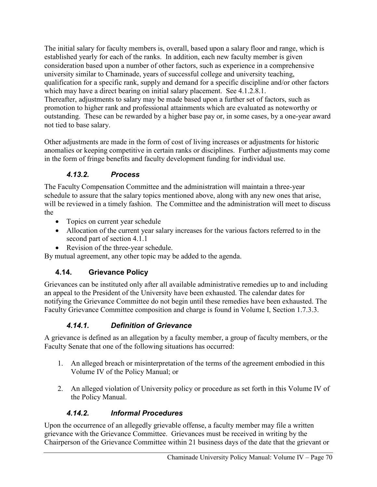The initial salary for faculty members is, overall, based upon a salary floor and range, which is established yearly for each of the ranks. In addition, each new faculty member is given consideration based upon a number of other factors, such as experience in a comprehensive university similar to Chaminade, years of successful college and university teaching, qualification for a specific rank, supply and demand for a specific discipline and/or other factors which may have a direct bearing on initial salary placement. See 4.1.2.8.1. Thereafter, adjustments to salary may be made based upon a further set of factors, such as promotion to higher rank and professional attainments which are evaluated as noteworthy or outstanding. These can be rewarded by a higher base pay or, in some cases, by a one-year award not tied to base salary.

Other adjustments are made in the form of cost of living increases or adjustments for historic anomalies or keeping competitive in certain ranks or disciplines. Further adjustments may come in the form of fringe benefits and faculty development funding for individual use.

# *4.13.2. Process*

The Faculty Compensation Committee and the administration will maintain a three-year schedule to assure that the salary topics mentioned above, along with any new ones that arise, will be reviewed in a timely fashion. The Committee and the administration will meet to discuss the

- Topics on current year schedule
- Allocation of the current year salary increases for the various factors referred to in the second part of section 4.1.1
- Revision of the three-year schedule.

By mutual agreement, any other topic may be added to the agenda.

# **4.14. Grievance Policy**

Grievances can be instituted only after all available administrative remedies up to and including an appeal to the President of the University have been exhausted. The calendar dates for notifying the Grievance Committee do not begin until these remedies have been exhausted. The Faculty Grievance Committee composition and charge is found in Volume I, Section 1.7.3.3.

## *4.14.1. Definition of Grievance*

A grievance is defined as an allegation by a faculty member, a group of faculty members, or the Faculty Senate that one of the following situations has occurred:

- 1. An alleged breach or misinterpretation of the terms of the agreement embodied in this Volume IV of the Policy Manual; or
- 2. An alleged violation of University policy or procedure as set forth in this Volume IV of the Policy Manual.

# *4.14.2. Informal Procedures*

Upon the occurrence of an allegedly grievable offense, a faculty member may file a written grievance with the Grievance Committee. Grievances must be received in writing by the Chairperson of the Grievance Committee within 21 business days of the date that the grievant or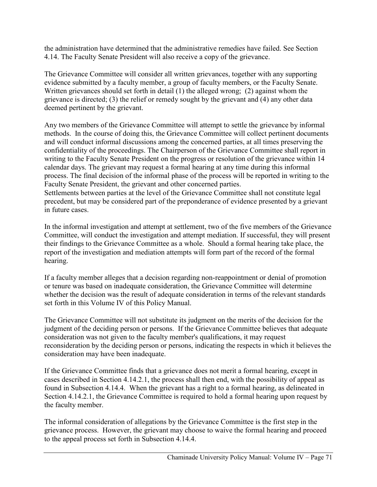the administration have determined that the administrative remedies have failed. See Section 4.14. The Faculty Senate President will also receive a copy of the grievance.

The Grievance Committee will consider all written grievances, together with any supporting evidence submitted by a faculty member, a group of faculty members, or the Faculty Senate. Written grievances should set forth in detail (1) the alleged wrong; (2) against whom the grievance is directed; (3) the relief or remedy sought by the grievant and (4) any other data deemed pertinent by the grievant.

Any two members of the Grievance Committee will attempt to settle the grievance by informal methods. In the course of doing this, the Grievance Committee will collect pertinent documents and will conduct informal discussions among the concerned parties, at all times preserving the confidentiality of the proceedings. The Chairperson of the Grievance Committee shall report in writing to the Faculty Senate President on the progress or resolution of the grievance within 14 calendar days. The grievant may request a formal hearing at any time during this informal process. The final decision of the informal phase of the process will be reported in writing to the Faculty Senate President, the grievant and other concerned parties.

Settlements between parties at the level of the Grievance Committee shall not constitute legal precedent, but may be considered part of the preponderance of evidence presented by a grievant in future cases.

In the informal investigation and attempt at settlement, two of the five members of the Grievance Committee, will conduct the investigation and attempt mediation. If successful, they will present their findings to the Grievance Committee as a whole. Should a formal hearing take place, the report of the investigation and mediation attempts will form part of the record of the formal hearing.

If a faculty member alleges that a decision regarding non-reappointment or denial of promotion or tenure was based on inadequate consideration, the Grievance Committee will determine whether the decision was the result of adequate consideration in terms of the relevant standards set forth in this Volume IV of this Policy Manual.

The Grievance Committee will not substitute its judgment on the merits of the decision for the judgment of the deciding person or persons. If the Grievance Committee believes that adequate consideration was not given to the faculty member's qualifications, it may request reconsideration by the deciding person or persons, indicating the respects in which it believes the consideration may have been inadequate.

If the Grievance Committee finds that a grievance does not merit a formal hearing, except in cases described in Section 4.14.2.1, the process shall then end, with the possibility of appeal as found in Subsection 4.14.4. When the grievant has a right to a formal hearing, as delineated in Section 4.14.2.1, the Grievance Committee is required to hold a formal hearing upon request by the faculty member.

The informal consideration of allegations by the Grievance Committee is the first step in the grievance process. However, the grievant may choose to waive the formal hearing and proceed to the appeal process set forth in Subsection 4.14.4.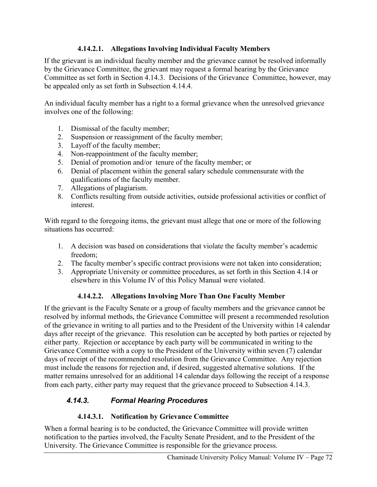## **4.14.2.1. Allegations Involving Individual Faculty Members**

If the grievant is an individual faculty member and the grievance cannot be resolved informally by the Grievance Committee, the grievant may request a formal hearing by the Grievance Committee as set forth in Section 4.14.3. Decisions of the Grievance Committee, however, may be appealed only as set forth in Subsection 4.14.4.

An individual faculty member has a right to a formal grievance when the unresolved grievance involves one of the following:

- 1. Dismissal of the faculty member;
- 2. Suspension or reassignment of the faculty member;
- 3. Layoff of the faculty member;
- 4. Non-reappointment of the faculty member;
- 5. Denial of promotion and/or tenure of the faculty member; or
- 6. Denial of placement within the general salary schedule commensurate with the qualifications of the faculty member.
- 7. Allegations of plagiarism.
- 8. Conflicts resulting from outside activities, outside professional activities or conflict of interest.

With regard to the foregoing items, the grievant must allege that one or more of the following situations has occurred:

- 1. A decision was based on considerations that violate the faculty member's academic freedom;
- 2. The faculty member's specific contract provisions were not taken into consideration;
- 3. Appropriate University or committee procedures, as set forth in this Section 4.14 or elsewhere in this Volume IV of this Policy Manual were violated.

## **4.14.2.2. Allegations Involving More Than One Faculty Member**

If the grievant is the Faculty Senate or a group of faculty members and the grievance cannot be resolved by informal methods, the Grievance Committee will present a recommended resolution of the grievance in writing to all parties and to the President of the University within 14 calendar days after receipt of the grievance. This resolution can be accepted by both parties or rejected by either party. Rejection or acceptance by each party will be communicated in writing to the Grievance Committee with a copy to the President of the University within seven (7) calendar days of receipt of the recommended resolution from the Grievance Committee. Any rejection must include the reasons for rejection and, if desired, suggested alternative solutions. If the matter remains unresolved for an additional 14 calendar days following the receipt of a response from each party, either party may request that the grievance proceed to Subsection 4.14.3.

# *4.14.3. Formal Hearing Procedures*

## **4.14.3.1. Notification by Grievance Committee**

When a formal hearing is to be conducted, the Grievance Committee will provide written notification to the parties involved, the Faculty Senate President, and to the President of the University. The Grievance Committee is responsible for the grievance process.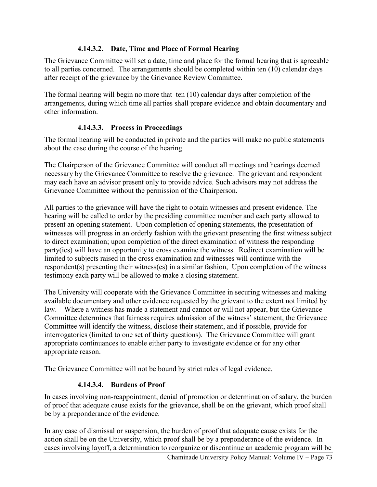#### **4.14.3.2. Date, Time and Place of Formal Hearing**

The Grievance Committee will set a date, time and place for the formal hearing that is agreeable to all parties concerned. The arrangements should be completed within ten (10) calendar days after receipt of the grievance by the Grievance Review Committee.

The formal hearing will begin no more that ten (10) calendar days after completion of the arrangements, during which time all parties shall prepare evidence and obtain documentary and other information.

#### **4.14.3.3. Process in Proceedings**

The formal hearing will be conducted in private and the parties will make no public statements about the case during the course of the hearing.

The Chairperson of the Grievance Committee will conduct all meetings and hearings deemed necessary by the Grievance Committee to resolve the grievance. The grievant and respondent may each have an advisor present only to provide advice. Such advisors may not address the Grievance Committee without the permission of the Chairperson.

All parties to the grievance will have the right to obtain witnesses and present evidence. The hearing will be called to order by the presiding committee member and each party allowed to present an opening statement. Upon completion of opening statements, the presentation of witnesses will progress in an orderly fashion with the grievant presenting the first witness subject to direct examination; upon completion of the direct examination of witness the responding party(ies) will have an opportunity to cross examine the witness. Redirect examination will be limited to subjects raised in the cross examination and witnesses will continue with the respondent(s) presenting their witness(es) in a similar fashion, Upon completion of the witness testimony each party will be allowed to make a closing statement.

The University will cooperate with the Grievance Committee in securing witnesses and making available documentary and other evidence requested by the grievant to the extent not limited by law. Where a witness has made a statement and cannot or will not appear, but the Grievance Committee determines that fairness requires admission of the witness' statement, the Grievance Committee will identify the witness, disclose their statement, and if possible, provide for interrogatories (limited to one set of thirty questions). The Grievance Committee will grant appropriate continuances to enable either party to investigate evidence or for any other appropriate reason.

The Grievance Committee will not be bound by strict rules of legal evidence.

## **4.14.3.4. Burdens of Proof**

In cases involving non-reappointment, denial of promotion or determination of salary, the burden of proof that adequate cause exists for the grievance, shall be on the grievant, which proof shall be by a preponderance of the evidence.

In any case of dismissal or suspension, the burden of proof that adequate cause exists for the action shall be on the University, which proof shall be by a preponderance of the evidence. In cases involving layoff, a determination to reorganize or discontinue an academic program will be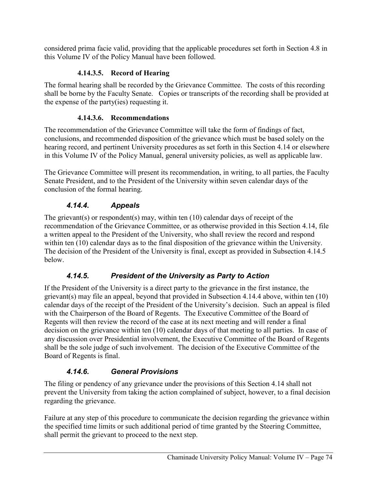considered prima facie valid, providing that the applicable procedures set forth in Section 4.8 in this Volume IV of the Policy Manual have been followed.

# **4.14.3.5. Record of Hearing**

The formal hearing shall be recorded by the Grievance Committee. The costs of this recording shall be borne by the Faculty Senate. Copies or transcripts of the recording shall be provided at the expense of the party(ies) requesting it.

# **4.14.3.6. Recommendations**

The recommendation of the Grievance Committee will take the form of findings of fact, conclusions, and recommended disposition of the grievance which must be based solely on the hearing record, and pertinent University procedures as set forth in this Section 4.14 or elsewhere in this Volume IV of the Policy Manual, general university policies, as well as applicable law.

The Grievance Committee will present its recommendation, in writing, to all parties, the Faculty Senate President, and to the President of the University within seven calendar days of the conclusion of the formal hearing.

# *4.14.4. Appeals*

The grievant(s) or respondent(s) may, within ten (10) calendar days of receipt of the recommendation of the Grievance Committee, or as otherwise provided in this Section 4.14, file a written appeal to the President of the University, who shall review the record and respond within ten (10) calendar days as to the final disposition of the grievance within the University. The decision of the President of the University is final, except as provided in Subsection 4.14.5 below.

# *4.14.5. President of the University as Party to Action*

If the President of the University is a direct party to the grievance in the first instance, the grievant(s) may file an appeal, beyond that provided in Subsection 4.14.4 above, within ten (10) calendar days of the receipt of the President of the University's decision. Such an appeal is filed with the Chairperson of the Board of Regents. The Executive Committee of the Board of Regents will then review the record of the case at its next meeting and will render a final decision on the grievance within ten (10) calendar days of that meeting to all parties. In case of any discussion over Presidential involvement, the Executive Committee of the Board of Regents shall be the sole judge of such involvement. The decision of the Executive Committee of the Board of Regents is final.

# *4.14.6. General Provisions*

The filing or pendency of any grievance under the provisions of this Section 4.14 shall not prevent the University from taking the action complained of subject, however, to a final decision regarding the grievance.

Failure at any step of this procedure to communicate the decision regarding the grievance within the specified time limits or such additional period of time granted by the Steering Committee, shall permit the grievant to proceed to the next step.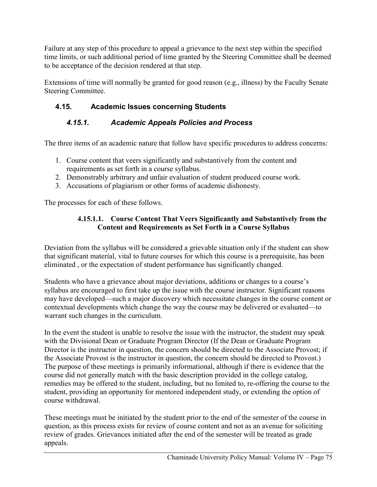Failure at any step of this procedure to appeal a grievance to the next step within the specified time limits, or such additional period of time granted by the Steering Committee shall be deemed to be acceptance of the decision rendered at that step.

Extensions of time will normally be granted for good reason (e.g., illness) by the Faculty Senate Steering Committee.

# **4.15. Academic Issues concerning Students**

# *4.15.1. Academic Appeals Policies and Process*

The three items of an academic nature that follow have specific procedures to address concerns:

- 1. Course content that veers significantly and substantively from the content and requirements as set forth in a course syllabus.
- 2. Demonstrably arbitrary and unfair evaluation of student produced course work.
- 3. Accusations of plagiarism or other forms of academic dishonesty.

The processes for each of these follows.

## **4.15.1.1. Course Content That Veers Significantly and Substantively from the Content and Requirements as Set Forth in a Course Syllabus**

Deviation from the syllabus will be considered a grievable situation only if the student can show that significant material, vital to future courses for which this course is a prerequisite, has been eliminated , or the expectation of student performance has significantly changed.

Students who have a grievance about major deviations, additions or changes to a course's syllabus are encouraged to first take up the issue with the course instructor. Significant reasons may have developed—such a major discovery which necessitate changes in the course content or contextual developments which change the way the course may be delivered or evaluated—to warrant such changes in the curriculum.

In the event the student is unable to resolve the issue with the instructor, the student may speak with the Divisional Dean or Graduate Program Director (If the Dean or Graduate Program Director is the instructor in question, the concern should be directed to the Associate Provost; if the Associate Provost is the instructor in question, the concern should be directed to Provost.) The purpose of these meetings is primarily informational, although if there is evidence that the course did not generally match with the basic description provided in the college catalog, remedies may be offered to the student, including, but no limited to, re-offering the course to the student, providing an opportunity for mentored independent study, or extending the option of course withdrawal.

These meetings must be initiated by the student prior to the end of the semester of the course in question, as this process exists for review of course content and not as an avenue for soliciting review of grades. Grievances initiated after the end of the semester will be treated as grade appeals.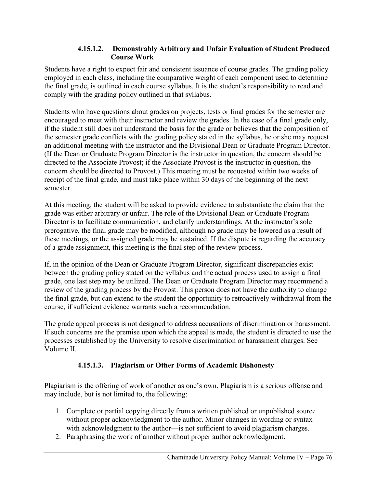#### **4.15.1.2. Demonstrably Arbitrary and Unfair Evaluation of Student Produced Course Work**

Students have a right to expect fair and consistent issuance of course grades. The grading policy employed in each class, including the comparative weight of each component used to determine the final grade, is outlined in each course syllabus. It is the student's responsibility to read and comply with the grading policy outlined in that syllabus.

Students who have questions about grades on projects, tests or final grades for the semester are encouraged to meet with their instructor and review the grades. In the case of a final grade only, if the student still does not understand the basis for the grade or believes that the composition of the semester grade conflicts with the grading policy stated in the syllabus, he or she may request an additional meeting with the instructor and the Divisional Dean or Graduate Program Director. (If the Dean or Graduate Program Director is the instructor in question, the concern should be directed to the Associate Provost; if the Associate Provost is the instructor in question, the concern should be directed to Provost.) This meeting must be requested within two weeks of receipt of the final grade, and must take place within 30 days of the beginning of the next semester.

At this meeting, the student will be asked to provide evidence to substantiate the claim that the grade was either arbitrary or unfair. The role of the Divisional Dean or Graduate Program Director is to facilitate communication, and clarify understandings. At the instructor's sole prerogative, the final grade may be modified, although no grade may be lowered as a result of these meetings, or the assigned grade may be sustained. If the dispute is regarding the accuracy of a grade assignment, this meeting is the final step of the review process.

If, in the opinion of the Dean or Graduate Program Director, significant discrepancies exist between the grading policy stated on the syllabus and the actual process used to assign a final grade, one last step may be utilized. The Dean or Graduate Program Director may recommend a review of the grading process by the Provost. This person does not have the authority to change the final grade, but can extend to the student the opportunity to retroactively withdrawal from the course, if sufficient evidence warrants such a recommendation.

The grade appeal process is not designed to address accusations of discrimination or harassment. If such concerns are the premise upon which the appeal is made, the student is directed to use the processes established by the University to resolve discrimination or harassment charges. See Volume II.

## **4.15.1.3. Plagiarism or Other Forms of Academic Dishonesty**

Plagiarism is the offering of work of another as one's own. Plagiarism is a serious offense and may include, but is not limited to, the following:

- 1. Complete or partial copying directly from a written published or unpublished source without proper acknowledgment to the author. Minor changes in wording or syntax with acknowledgment to the author—is not sufficient to avoid plagiarism charges.
- 2. Paraphrasing the work of another without proper author acknowledgment.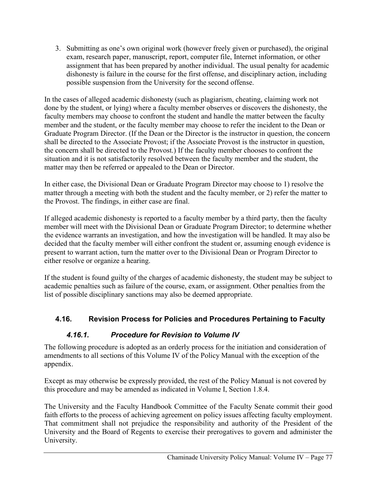3. Submitting as one's own original work (however freely given or purchased), the original exam, research paper, manuscript, report, computer file, Internet information, or other assignment that has been prepared by another individual. The usual penalty for academic dishonesty is failure in the course for the first offense, and disciplinary action, including possible suspension from the University for the second offense.

In the cases of alleged academic dishonesty (such as plagiarism, cheating, claiming work not done by the student, or lying) where a faculty member observes or discovers the dishonesty, the faculty members may choose to confront the student and handle the matter between the faculty member and the student, or the faculty member may choose to refer the incident to the Dean or Graduate Program Director. (If the Dean or the Director is the instructor in question, the concern shall be directed to the Associate Provost; if the Associate Provost is the instructor in question, the concern shall be directed to the Provost.) If the faculty member chooses to confront the situation and it is not satisfactorily resolved between the faculty member and the student, the matter may then be referred or appealed to the Dean or Director.

In either case, the Divisional Dean or Graduate Program Director may choose to 1) resolve the matter through a meeting with both the student and the faculty member, or 2) refer the matter to the Provost. The findings, in either case are final.

If alleged academic dishonesty is reported to a faculty member by a third party, then the faculty member will meet with the Divisional Dean or Graduate Program Director; to determine whether the evidence warrants an investigation, and how the investigation will be handled. It may also be decided that the faculty member will either confront the student or, assuming enough evidence is present to warrant action, turn the matter over to the Divisional Dean or Program Director to either resolve or organize a hearing.

If the student is found guilty of the charges of academic dishonesty, the student may be subject to academic penalties such as failure of the course, exam, or assignment. Other penalties from the list of possible disciplinary sanctions may also be deemed appropriate.

# **4.16. Revision Process for Policies and Procedures Pertaining to Faculty**

## *4.16.1. Procedure for Revision to Volume IV*

The following procedure is adopted as an orderly process for the initiation and consideration of amendments to all sections of this Volume IV of the Policy Manual with the exception of the appendix.

Except as may otherwise be expressly provided, the rest of the Policy Manual is not covered by this procedure and may be amended as indicated in Volume I, Section 1.8.4.

The University and the Faculty Handbook Committee of the Faculty Senate commit their good faith efforts to the process of achieving agreement on policy issues affecting faculty employment. That commitment shall not prejudice the responsibility and authority of the President of the University and the Board of Regents to exercise their prerogatives to govern and administer the University.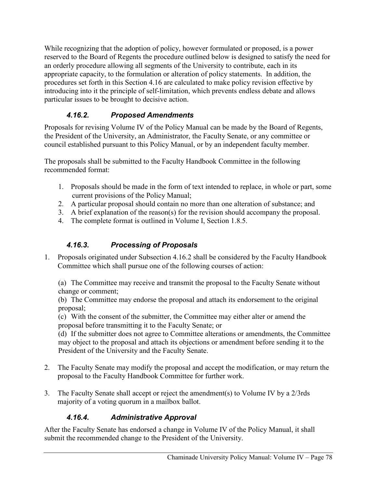While recognizing that the adoption of policy, however formulated or proposed, is a power reserved to the Board of Regents the procedure outlined below is designed to satisfy the need for an orderly procedure allowing all segments of the University to contribute, each in its appropriate capacity, to the formulation or alteration of policy statements. In addition, the procedures set forth in this Section 4.16 are calculated to make policy revision effective by introducing into it the principle of self-limitation, which prevents endless debate and allows particular issues to be brought to decisive action.

## *4.16.2. Proposed Amendments*

Proposals for revising Volume IV of the Policy Manual can be made by the Board of Regents, the President of the University, an Administrator, the Faculty Senate, or any committee or council established pursuant to this Policy Manual, or by an independent faculty member.

The proposals shall be submitted to the Faculty Handbook Committee in the following recommended format:

- 1. Proposals should be made in the form of text intended to replace, in whole or part, some current provisions of the Policy Manual;
- 2. A particular proposal should contain no more than one alteration of substance; and
- 3. A brief explanation of the reason(s) for the revision should accompany the proposal.
- 4. The complete format is outlined in Volume I, Section 1.8.5.

# *4.16.3. Processing of Proposals*

1. Proposals originated under Subsection 4.16.2 shall be considered by the Faculty Handbook Committee which shall pursue one of the following courses of action:

(a) The Committee may receive and transmit the proposal to the Faculty Senate without change or comment;

(b) The Committee may endorse the proposal and attach its endorsement to the original proposal;

(c) With the consent of the submitter, the Committee may either alter or amend the proposal before transmitting it to the Faculty Senate; or

(d) If the submitter does not agree to Committee alterations or amendments, the Committee may object to the proposal and attach its objections or amendment before sending it to the President of the University and the Faculty Senate.

- 2. The Faculty Senate may modify the proposal and accept the modification, or may return the proposal to the Faculty Handbook Committee for further work.
- 3. The Faculty Senate shall accept or reject the amendment(s) to Volume IV by a 2/3rds majority of a voting quorum in a mailbox ballot.

# *4.16.4. Administrative Approval*

After the Faculty Senate has endorsed a change in Volume IV of the Policy Manual, it shall submit the recommended change to the President of the University.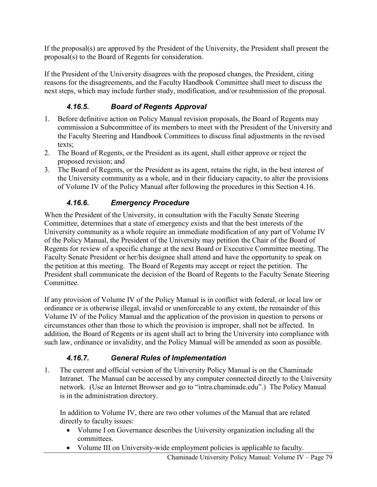If the proposal(s) are approved by the President of the University, the President shall present the proposal(s) to the Board of Regents for consideration.

If the President of the University disagrees with the proposed changes, the President, citing reasons for the disagreements, and the Faculty Handbook Committee shall meet to discuss the next steps, which may include further study, modification, and/or resubmission of the proposal.

# *4.16.5. Board of Regents Approval*

- 1. Before definitive action on Policy Manual revision proposals, the Board of Regents may commission a Subcommittee of its members to meet with the President of the University and the Faculty Steering and Handbook Committees to discuss final adjustments in the revised texts;
- 2. The Board of Regents, or the President as its agent, shall either approve or reject the proposed revision; and
- 3. The Board of Regents, or the President as its agent, retains the right, in the best interest of the University community as a whole, and in their fiduciary capacity, to alter the provisions of Volume IV of the Policy Manual after following the procedures in this Section 4.16.

# *4.16.6. Emergency Procedure*

When the President of the University, in consultation with the Faculty Senate Steering Committee, determines that a state of emergency exists and that the best interests of the University community as a whole require an immediate modification of any part of Volume IV of the Policy Manual, the President of the University may petition the Chair of the Board of Regents for review of a specific change at the next Board or Executive Committee meeting. The Faculty Senate President or her/his designee shall attend and have the opportunity to speak on the petition at this meeting. The Board of Regents may accept or reject the petition. The President shall communicate the decision of the Board of Regents to the Faculty Senate Steering Committee.

If any provision of Volume IV of the Policy Manual is in conflict with federal, or local law or ordinance or is otherwise illegal, invalid or unenforceable to any extent, the remainder of this Volume IV of the Policy Manual and the application of the provision in question to persons or circumstances other than those to which the provision is improper, shall not be affected. In addition, the Board of Regents or its agent shall act to bring the University into compliance with such law, ordinance or invalidity, and the Policy Manual will be amended as soon as possible.

## *4.16.7. General Rules of Implementation*

1. The current and official version of the University Policy Manual is on the Chaminade Intranet. The Manual can be accessed by any computer connected directly to the University network. (Use an Internet Browser and go to "intra.chaminade.edu".) The Policy Manual is in the administration directory.

In addition to Volume IV, there are two other volumes of the Manual that are related directly to faculty issues:

- Volume I on Governance describes the University organization including all the committees.
- Volume III on University-wide employment policies is applicable to faculty.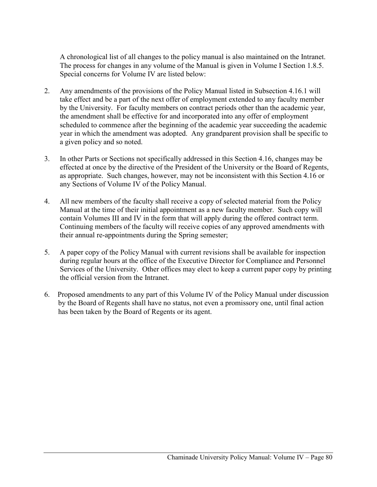A chronological list of all changes to the policy manual is also maintained on the Intranet. The process for changes in any volume of the Manual is given in Volume I Section 1.8.5. Special concerns for Volume IV are listed below:

- 2. Any amendments of the provisions of the Policy Manual listed in Subsection 4.16.1 will take effect and be a part of the next offer of employment extended to any faculty member by the University. For faculty members on contract periods other than the academic year, the amendment shall be effective for and incorporated into any offer of employment scheduled to commence after the beginning of the academic year succeeding the academic year in which the amendment was adopted. Any grandparent provision shall be specific to a given policy and so noted.
- 3. In other Parts or Sections not specifically addressed in this Section 4.16, changes may be effected at once by the directive of the President of the University or the Board of Regents, as appropriate. Such changes, however, may not be inconsistent with this Section 4.16 or any Sections of Volume IV of the Policy Manual.
- 4. All new members of the faculty shall receive a copy of selected material from the Policy Manual at the time of their initial appointment as a new faculty member. Such copy will contain Volumes III and IV in the form that will apply during the offered contract term. Continuing members of the faculty will receive copies of any approved amendments with their annual re-appointments during the Spring semester;
- 5. A paper copy of the Policy Manual with current revisions shall be available for inspection during regular hours at the office of the Executive Director for Compliance and Personnel Services of the University. Other offices may elect to keep a current paper copy by printing the official version from the Intranet.
- 6. Proposed amendments to any part of this Volume IV of the Policy Manual under discussion by the Board of Regents shall have no status, not even a promissory one, until final action has been taken by the Board of Regents or its agent.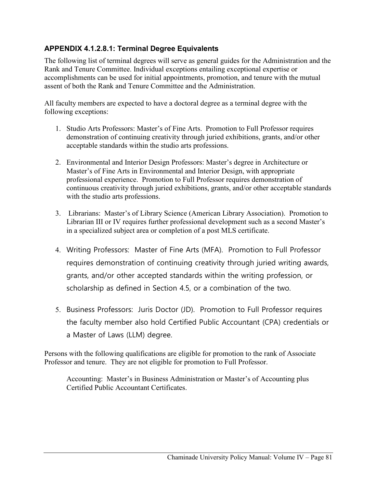## **APPENDIX 4.1.2.8.1: Terminal Degree Equivalents**

The following list of terminal degrees will serve as general guides for the Administration and the Rank and Tenure Committee. Individual exceptions entailing exceptional expertise or accomplishments can be used for initial appointments, promotion, and tenure with the mutual assent of both the Rank and Tenure Committee and the Administration.

All faculty members are expected to have a doctoral degree as a terminal degree with the following exceptions:

- 1. Studio Arts Professors: Master's of Fine Arts. Promotion to Full Professor requires demonstration of continuing creativity through juried exhibitions, grants, and/or other acceptable standards within the studio arts professions.
- 2. Environmental and Interior Design Professors: Master's degree in Architecture or Master's of Fine Arts in Environmental and Interior Design, with appropriate professional experience. Promotion to Full Professor requires demonstration of continuous creativity through juried exhibitions, grants, and/or other acceptable standards with the studio arts professions.
- 3. Librarians: Master's of Library Science (American Library Association). Promotion to Librarian III or IV requires further professional development such as a second Master's in a specialized subject area or completion of a post MLS certificate.
- 4. Writing Professors: Master of Fine Arts (MFA). Promotion to Full Professor requires demonstration of continuing creativity through juried writing awards, grants, and/or other accepted standards within the writing profession, or scholarship as defined in Section 4.5, or a combination of the two.
- 5. Business Professors: Juris Doctor (JD). Promotion to Full Professor requires the faculty member also hold Certified Public Accountant (CPA) credentials or a Master of Laws (LLM) degree.

Persons with the following qualifications are eligible for promotion to the rank of Associate Professor and tenure. They are not eligible for promotion to Full Professor.

Accounting: Master's in Business Administration or Master's of Accounting plus Certified Public Accountant Certificates.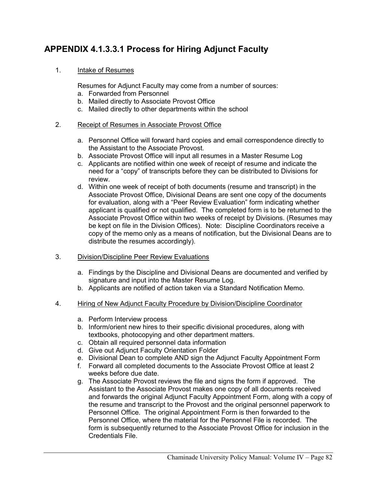# **APPENDIX 4.1.3.3.1 Process for Hiring Adjunct Faculty**

1. Intake of Resumes

Resumes for Adjunct Faculty may come from a number of sources:

- a. Forwarded from Personnel
- b. Mailed directly to Associate Provost Office
- c. Mailed directly to other departments within the school
- 2. Receipt of Resumes in Associate Provost Office
	- a. Personnel Office will forward hard copies and email correspondence directly to the Assistant to the Associate Provost.
	- b. Associate Provost Office will input all resumes in a Master Resume Log
	- c. Applicants are notified within one week of receipt of resume and indicate the need for a "copy" of transcripts before they can be distributed to Divisions for review.
	- d. Within one week of receipt of both documents (resume and transcript) in the Associate Provost Office, Divisional Deans are sent one copy of the documents for evaluation, along with a "Peer Review Evaluation" form indicating whether applicant is qualified or not qualified. The completed form is to be returned to the Associate Provost Office within two weeks of receipt by Divisions. (Resumes may be kept on file in the Division Offices). Note: Discipline Coordinators receive a copy of the memo only as a means of notification, but the Divisional Deans are to distribute the resumes accordingly).
- 3. Division/Discipline Peer Review Evaluations
	- a. Findings by the Discipline and Divisional Deans are documented and verified by signature and input into the Master Resume Log.
	- b. Applicants are notified of action taken via a Standard Notification Memo.
- 4. Hiring of New Adjunct Faculty Procedure by Division/Discipline Coordinator
	- a. Perform Interview process
	- b. Inform/orient new hires to their specific divisional procedures, along with textbooks, photocopying and other department matters.
	- c. Obtain all required personnel data information
	- d. Give out Adjunct Faculty Orientation Folder
	- e. Divisional Dean to complete AND sign the Adjunct Faculty Appointment Form
	- f. Forward all completed documents to the Associate Provost Office at least 2 weeks before due date.
	- g. The Associate Provost reviews the file and signs the form if approved. The Assistant to the Associate Provost makes one copy of all documents received and forwards the original Adjunct Faculty Appointment Form, along with a copy of the resume and transcript to the Provost and the original personnel paperwork to Personnel Office. The original Appointment Form is then forwarded to the Personnel Office, where the material for the Personnel File is recorded. The form is subsequently returned to the Associate Provost Office for inclusion in the Credentials File.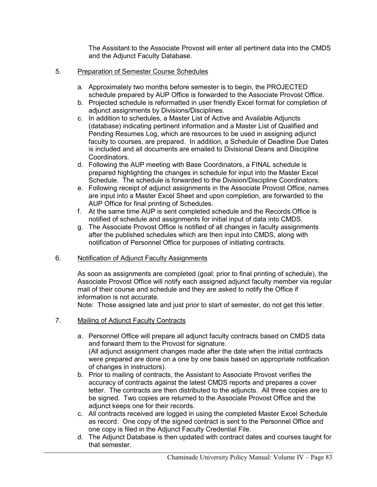The Assistant to the Associate Provost will enter all pertinent data into the CMDS and the Adjunct Faculty Database.

- 5. Preparation of Semester Course Schedules
	- a. Approximately two months before semester is to begin, the PROJECTED schedule prepared by AUP Office is forwarded to the Associate Provost Office.
	- b. Projected schedule is reformatted in user friendly Excel format for completion of adjunct assignments by Divisions/Disciplines.
	- c. In addition to schedules, a Master List of Active and Available Adjuncts (database) indicating pertinent information and a Master List of Qualified and Pending Resumes Log, which are resources to be used in assigning adjunct faculty to courses, are prepared. In addition, a Schedule of Deadline Due Dates is included and all documents are emailed to Divisional Deans and Discipline Coordinators.
	- d. Following the AUP meeting with Base Coordinators, a FINAL schedule is prepared highlighting the changes in schedule for input into the Master Excel Schedule. The schedule is forwarded to the Division/Discipline Coordinators.
	- e. Following receipt of adjunct assignments in the Associate Provost Office, names are input into a Master Excel Sheet and upon completion, are forwarded to the AUP Office for final printing of Schedules.
	- f. At the same time AUP is sent completed schedule and the Records Office is notified of schedule and assignments for initial input of data into CMDS.
	- g. The Associate Provost Office is notified of all changes in faculty assignments after the published schedules which are then input into CMDS, along with notification of Personnel Office for purposes of initiating contracts.

#### 6. Notification of Adjunct Faculty Assignments

As soon as assignments are completed (goal: prior to final printing of schedule), the Associate Provost Office will notify each assigned adjunct faculty member via regular mail of their course and schedule and they are asked to notify the Office if information is not accurate.

Note: Those assigned late and just prior to start of semester, do not get this letter.

- 7. Mailing of Adjunct Faculty Contracts
	- a. Personnel Office will prepare all adjunct faculty contracts based on CMDS data and forward them to the Provost for signature. (All adjunct assignment changes made after the date when the initial contracts were prepared are done on a one by one basis based on appropriate notification of changes in instructors).
	- b. Prior to mailing of contracts, the Assistant to Associate Provost verifies the accuracy of contracts against the latest CMDS reports and prepares a cover letter. The contracts are then distributed to the adjuncts. All three copies are to be signed. Two copies are returned to the Associate Provost Office and the adjunct keeps one for their records.
	- c. All contracts received are logged in using the completed Master Excel Schedule as record. One copy of the signed contract is sent to the Personnel Office and one copy is filed in the Adjunct Faculty Credential File.
	- d. The Adjunct Database is then updated with contract dates and courses taught for that semester.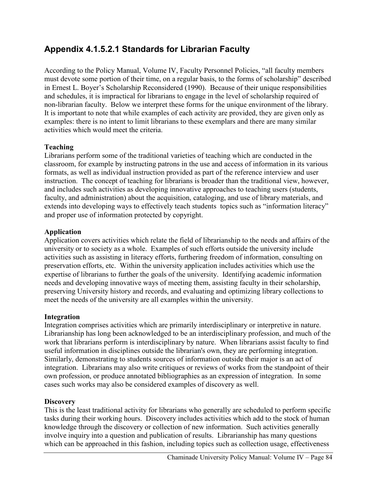# **Appendix 4.1.5.2.1 Standards for Librarian Faculty**

According to the Policy Manual, Volume IV, Faculty Personnel Policies, "all faculty members must devote some portion of their time, on a regular basis, to the forms of scholarship" described in Ernest L. Boyer's Scholarship Reconsidered (1990). Because of their unique responsibilities and schedules, it is impractical for librarians to engage in the level of scholarship required of non-librarian faculty. Below we interpret these forms for the unique environment of the library. It is important to note that while examples of each activity are provided, they are given only as examples: there is no intent to limit librarians to these exemplars and there are many similar activities which would meet the criteria.

#### **Teaching**

Librarians perform some of the traditional varieties of teaching which are conducted in the classroom, for example by instructing patrons in the use and access of information in its various formats, as well as individual instruction provided as part of the reference interview and user instruction. The concept of teaching for librarians is broader than the traditional view, however, and includes such activities as developing innovative approaches to teaching users (students, faculty, and administration) about the acquisition, cataloging, and use of library materials, and extends into developing ways to effectively teach students topics such as "information literacy" and proper use of information protected by copyright.

#### **Application**

Application covers activities which relate the field of librarianship to the needs and affairs of the university or to society as a whole. Examples of such efforts outside the university include activities such as assisting in literacy efforts, furthering freedom of information, consulting on preservation efforts, etc. Within the university application includes activities which use the expertise of librarians to further the goals of the university. Identifying academic information needs and developing innovative ways of meeting them, assisting faculty in their scholarship, preserving University history and records, and evaluating and optimizing library collections to meet the needs of the university are all examples within the university.

#### **Integration**

Integration comprises activities which are primarily interdisciplinary or interpretive in nature. Librarianship has long been acknowledged to be an interdisciplinary profession, and much of the work that librarians perform is interdisciplinary by nature. When librarians assist faculty to find useful information in disciplines outside the librarian's own, they are performing integration. Similarly, demonstrating to students sources of information outside their major is an act of integration. Librarians may also write critiques or reviews of works from the standpoint of their own profession, or produce annotated bibliographies as an expression of integration. In some cases such works may also be considered examples of discovery as well.

#### **Discovery**

This is the least traditional activity for librarians who generally are scheduled to perform specific tasks during their working hours. Discovery includes activities which add to the stock of human knowledge through the discovery or collection of new information. Such activities generally involve inquiry into a question and publication of results. Librarianship has many questions which can be approached in this fashion, including topics such as collection usage, effectiveness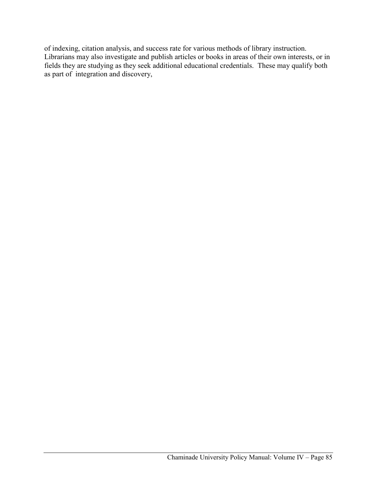of indexing, citation analysis, and success rate for various methods of library instruction. Librarians may also investigate and publish articles or books in areas of their own interests, or in fields they are studying as they seek additional educational credentials. These may qualify both as part of integration and discovery,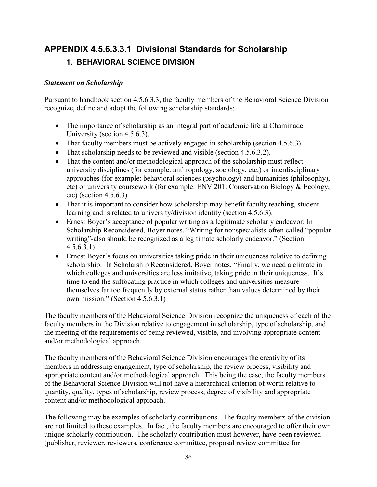# **APPENDIX 4.5.6.3.3.1 Divisional Standards for Scholarship 1. BEHAVIORAL SCIENCE DIVISION**

#### *Statement on Scholarship*

Pursuant to handbook section 4.5.6.3.3, the faculty members of the Behavioral Science Division recognize, define and adopt the following scholarship standards:

- The importance of scholarship as an integral part of academic life at Chaminade University (section 4.5.6.3).
- That faculty members must be actively engaged in scholarship (section 4.5.6.3)
- That scholarship needs to be reviewed and visible (section 4.5.6.3.2).
- That the content and/or methodological approach of the scholarship must reflect university disciplines (for example: anthropology, sociology, etc,) or interdisciplinary approaches (for example: behavioral sciences (psychology) and humanities (philosophy), etc) or university coursework (for example: ENV 201: Conservation Biology & Ecology, etc) (section 4.5.6.3).
- That it is important to consider how scholarship may benefit faculty teaching, student learning and is related to university/division identity (section 4.5.6.3).
- Ernest Boyer's acceptance of popular writing as a legitimate scholarly endeavor: In Scholarship Reconsidered, Boyer notes, "Writing for nonspecialists-often called "popular writing"-also should be recognized as a legitimate scholarly endeavor." (Section 4.5.6.3.1)
- Ernest Boyer's focus on universities taking pride in their uniqueness relative to defining scholarship: In Scholarship Reconsidered, Boyer notes, "Finally, we need a climate in which colleges and universities are less imitative, taking pride in their uniqueness. It's time to end the suffocating practice in which colleges and universities measure themselves far too frequently by external status rather than values determined by their own mission." (Section 4.5.6.3.1)

The faculty members of the Behavioral Science Division recognize the uniqueness of each of the faculty members in the Division relative to engagement in scholarship, type of scholarship, and the meeting of the requirements of being reviewed, visible, and involving appropriate content and/or methodological approach.

The faculty members of the Behavioral Science Division encourages the creativity of its members in addressing engagement, type of scholarship, the review process, visibility and appropriate content and/or methodological approach. This being the case, the faculty members of the Behavioral Science Division will not have a hierarchical criterion of worth relative to quantity, quality, types of scholarship, review process, degree of visibility and appropriate content and/or methodological approach.

The following may be examples of scholarly contributions. The faculty members of the division are not limited to these examples. In fact, the faculty members are encouraged to offer their own unique scholarly contribution. The scholarly contribution must however, have been reviewed (publisher, reviewer, reviewers, conference committee, proposal review committee for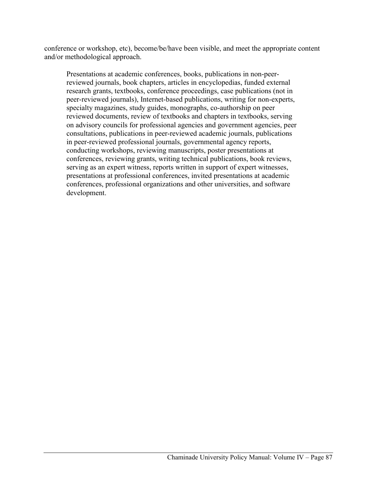conference or workshop, etc), become/be/have been visible, and meet the appropriate content and/or methodological approach.

Presentations at academic conferences, books, publications in non-peerreviewed journals, book chapters, articles in encyclopedias, funded external research grants, textbooks, conference proceedings, case publications (not in peer-reviewed journals), Internet-based publications, writing for non-experts, specialty magazines, study guides, monographs, co-authorship on peer reviewed documents, review of textbooks and chapters in textbooks, serving on advisory councils for professional agencies and government agencies, peer consultations, publications in peer-reviewed academic journals, publications in peer-reviewed professional journals, governmental agency reports, conducting workshops, reviewing manuscripts, poster presentations at conferences, reviewing grants, writing technical publications, book reviews, serving as an expert witness, reports written in support of expert witnesses, presentations at professional conferences, invited presentations at academic conferences, professional organizations and other universities, and software development.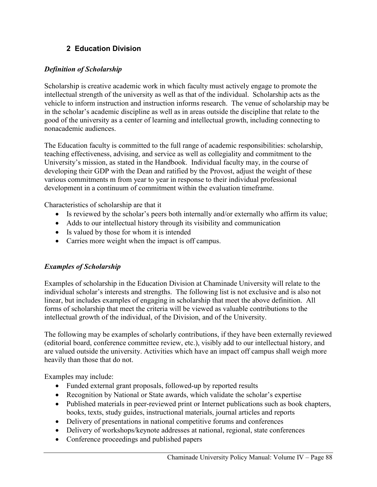## **2 Education Division**

#### *Definition of Scholarship*

Scholarship is creative academic work in which faculty must actively engage to promote the intellectual strength of the university as well as that of the individual. Scholarship acts as the vehicle to inform instruction and instruction informs research. The venue of scholarship may be in the scholar's academic discipline as well as in areas outside the discipline that relate to the good of the university as a center of learning and intellectual growth, including connecting to nonacademic audiences.

The Education faculty is committed to the full range of academic responsibilities: scholarship, teaching effectiveness, advising, and service as well as collegiality and commitment to the University's mission, as stated in the Handbook. Individual faculty may, in the course of developing their GDP with the Dean and ratified by the Provost, adjust the weight of these various commitments m from year to year in response to their individual professional development in a continuum of commitment within the evaluation timeframe.

Characteristics of scholarship are that it

- Is reviewed by the scholar's peers both internally and/or externally who affirm its value;
- Adds to our intellectual history through its visibility and communication
- Is valued by those for whom it is intended
- Carries more weight when the impact is off campus.

#### *Examples of Scholarship*

Examples of scholarship in the Education Division at Chaminade University will relate to the individual scholar's interests and strengths. The following list is not exclusive and is also not linear, but includes examples of engaging in scholarship that meet the above definition. All forms of scholarship that meet the criteria will be viewed as valuable contributions to the intellectual growth of the individual, of the Division, and of the University.

The following may be examples of scholarly contributions, if they have been externally reviewed (editorial board, conference committee review, etc.), visibly add to our intellectual history, and are valued outside the university. Activities which have an impact off campus shall weigh more heavily than those that do not.

Examples may include:

- Funded external grant proposals, followed-up by reported results
- Recognition by National or State awards, which validate the scholar's expertise
- Published materials in peer-reviewed print or Internet publications such as book chapters, books, texts, study guides, instructional materials, journal articles and reports
- Delivery of presentations in national competitive forums and conferences
- Delivery of workshops/keynote addresses at national, regional, state conferences
- Conference proceedings and published papers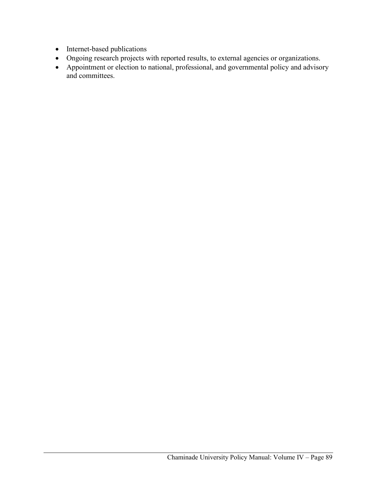- Internet-based publications
- Ongoing research projects with reported results, to external agencies or organizations.
- Appointment or election to national, professional, and governmental policy and advisory and committees.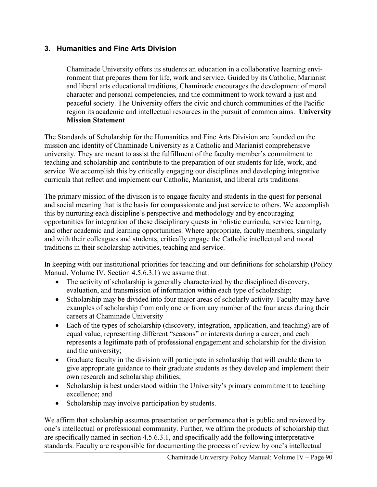#### **3. Humanities and Fine Arts Division**

Chaminade University offers its students an education in a collaborative learning environment that prepares them for life, work and service. Guided by its Catholic, Marianist and liberal arts educational traditions, Chaminade encourages the development of moral character and personal competencies, and the commitment to work toward a just and peaceful society. The University offers the civic and church communities of the Pacific region its academic and intellectual resources in the pursuit of common aims. **University Mission Statement**

The Standards of Scholarship for the Humanities and Fine Arts Division are founded on the mission and identity of Chaminade University as a Catholic and Marianist comprehensive university. They are meant to assist the fulfillment of the faculty member's commitment to teaching and scholarship and contribute to the preparation of our students for life, work, and service. We accomplish this by critically engaging our disciplines and developing integrative curricula that reflect and implement our Catholic, Marianist, and liberal arts traditions.

The primary mission of the division is to engage faculty and students in the quest for personal and social meaning that is the basis for compassionate and just service to others. We accomplish this by nurturing each discipline's perspective and methodology and by encouraging opportunities for integration of these disciplinary quests in holistic curricula, service learning, and other academic and learning opportunities. Where appropriate, faculty members, singularly and with their colleagues and students, critically engage the Catholic intellectual and moral traditions in their scholarship activities, teaching and service.

In keeping with our institutional priorities for teaching and our definitions for scholarship (Policy Manual, Volume IV, Section 4.5.6.3.1) we assume that:

- The activity of scholarship is generally characterized by the disciplined discovery, evaluation, and transmission of information within each type of scholarship;
- Scholarship may be divided into four major areas of scholarly activity. Faculty may have examples of scholarship from only one or from any number of the four areas during their careers at Chaminade University
- Each of the types of scholarship (discovery, integration, application, and teaching) are of equal value, representing different "seasons" or interests during a career, and each represents a legitimate path of professional engagement and scholarship for the division and the university;
- Graduate faculty in the division will participate in scholarship that will enable them to give appropriate guidance to their graduate students as they develop and implement their own research and scholarship abilities;
- Scholarship is best understood within the University's primary commitment to teaching excellence; and
- Scholarship may involve participation by students.

We affirm that scholarship assumes presentation or performance that is public and reviewed by one's intellectual or professional community. Further, we affirm the products of scholarship that are specifically named in section 4.5.6.3.1, and specifically add the following interpretative standards. Faculty are responsible for documenting the process of review by one's intellectual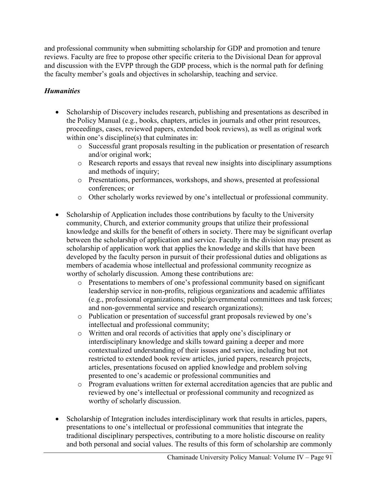and professional community when submitting scholarship for GDP and promotion and tenure reviews. Faculty are free to propose other specific criteria to the Divisional Dean for approval and discussion with the EVPP through the GDP process, which is the normal path for defining the faculty member's goals and objectives in scholarship, teaching and service.

## *Humanities*

- Scholarship of Discovery includes research, publishing and presentations as described in the Policy Manual (e.g., books, chapters, articles in journals and other print resources, proceedings, cases, reviewed papers, extended book reviews), as well as original work within one's discipline(s) that culminates in:
	- o Successful grant proposals resulting in the publication or presentation of research and/or original work;
	- o Research reports and essays that reveal new insights into disciplinary assumptions and methods of inquiry;
	- o Presentations, performances, workshops, and shows, presented at professional conferences; or
	- o Other scholarly works reviewed by one's intellectual or professional community.
- Scholarship of Application includes those contributions by faculty to the University community, Church, and exterior community groups that utilize their professional knowledge and skills for the benefit of others in society. There may be significant overlap between the scholarship of application and service. Faculty in the division may present as scholarship of application work that applies the knowledge and skills that have been developed by the faculty person in pursuit of their professional duties and obligations as members of academia whose intellectual and professional community recognize as worthy of scholarly discussion. Among these contributions are:
	- o Presentations to members of one's professional community based on significant leadership service in non-profits, religious organizations and academic affiliates (e.g., professional organizations; public/governmental committees and task forces; and non-governmental service and research organizations);
	- o Publication or presentation of successful grant proposals reviewed by one's intellectual and professional community;
	- o Written and oral records of activities that apply one's disciplinary or interdisciplinary knowledge and skills toward gaining a deeper and more contextualized understanding of their issues and service, including but not restricted to extended book review articles, juried papers, research projects, articles, presentations focused on applied knowledge and problem solving presented to one's academic or professional communities and
	- o Program evaluations written for external accreditation agencies that are public and reviewed by one's intellectual or professional community and recognized as worthy of scholarly discussion.
- Scholarship of Integration includes interdisciplinary work that results in articles, papers, presentations to one's intellectual or professional communities that integrate the traditional disciplinary perspectives, contributing to a more holistic discourse on reality and both personal and social values. The results of this form of scholarship are commonly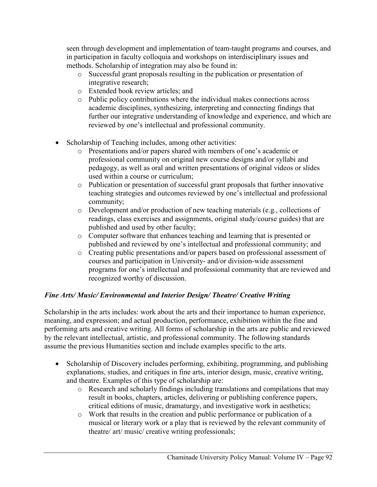seen through development and implementation of team-taught programs and courses, and in participation in faculty colloquia and workshops on interdisciplinary issues and methods. Scholarship of integration may also be found in:

- o Successful grant proposals resulting in the publication or presentation of integrative research;
- o Extended book review articles; and
- o Public policy contributions where the individual makes connections across academic disciplines, synthesizing, interpreting and connecting findings that further our integrative understanding of knowledge and experience, and which are reviewed by one's intellectual and professional community.
- Scholarship of Teaching includes, among other activities:
	- o Presentations and/or papers shared with members of one's academic or professional community on original new course designs and/or syllabi and pedagogy, as well as oral and written presentations of original videos or slides used within a course or curriculum;
	- o Publication or presentation of successful grant proposals that further innovative teaching strategies and outcomes reviewed by one's intellectual and professional community;
	- o Development and/or production of new teaching materials (e.g., collections of readings, class exercises and assignments, original study/course guides) that are published and used by other faculty;
	- o Computer software that enhances teaching and learning that is presented or published and reviewed by one's intellectual and professional community; and
	- o Creating public presentations and/or papers based on professional assessment of courses and participation in University- and/or division-wide assessment programs for one's intellectual and professional community that are reviewed and recognized worthy of discussion.

## *Fine Arts/ Music/ Environmental and Interior Design/ Theatre/ Creative Writing*

Scholarship in the arts includes: work about the arts and their importance to human experience, meaning, and expression; and actual production, performance, exhibition within the fine and performing arts and creative writing. All forms of scholarship in the arts are public and reviewed by the relevant intellectual, artistic, and professional community. The following standards assume the previous Humanities section and include examples specific to the arts.

- Scholarship of Discovery includes performing, exhibiting, programming, and publishing explanations, studies, and critiques in fine arts, interior design, music, creative writing, and theatre. Examples of this type of scholarship are:
	- o Research and scholarly findings including translations and compilations that may result in books, chapters, articles, delivering or publishing conference papers, critical editions of music, dramaturgy, and investigative work in aesthetics;
	- o Work that results in the creation and public performance or publication of a musical or literary work or a play that is reviewed by the relevant community of theatre/ art/ music/ creative writing professionals;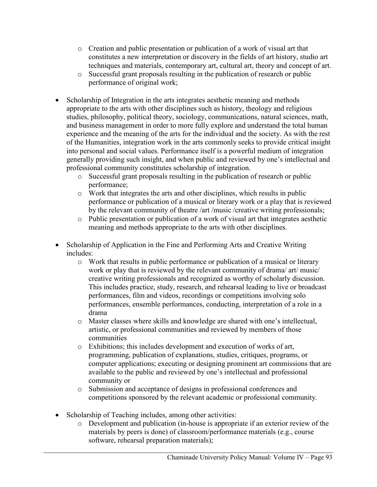- o Creation and public presentation or publication of a work of visual art that constitutes a new interpretation or discovery in the fields of art history, studio art techniques and materials, contemporary art, cultural art, theory and concept of art.
- o Successful grant proposals resulting in the publication of research or public performance of original work;
- Scholarship of Integration in the arts integrates aesthetic meaning and methods appropriate to the arts with other disciplines such as history, theology and religious studies, philosophy, political theory, sociology, communications, natural sciences, math, and business management in order to more fully explore and understand the total human experience and the meaning of the arts for the individual and the society. As with the rest of the Humanities, integration work in the arts commonly seeks to provide critical insight into personal and social values. Performance itself is a powerful medium of integration generally providing such insight, and when public and reviewed by one's intellectual and professional community constitutes scholarship of integration.
	- o Successful grant proposals resulting in the publication of research or public performance;
	- o Work that integrates the arts and other disciplines, which results in public performance or publication of a musical or literary work or a play that is reviewed by the relevant community of theatre /art /music /creative writing professionals;
	- o Public presentation or publication of a work of visual art that integrates aesthetic meaning and methods appropriate to the arts with other disciplines.
- Scholarship of Application in the Fine and Performing Arts and Creative Writing includes:
	- o Work that results in public performance or publication of a musical or literary work or play that is reviewed by the relevant community of drama/ art/ music/ creative writing professionals and recognized as worthy of scholarly discussion. This includes practice, study, research, and rehearsal leading to live or broadcast performances, film and videos, recordings or competitions involving solo performances, ensemble performances, conducting, interpretation of a role in a drama
	- o Master classes where skills and knowledge are shared with one's intellectual, artistic, or professional communities and reviewed by members of those communities
	- o Exhibitions; this includes development and execution of works of art, programming, publication of explanations, studies, critiques, programs, or computer applications; executing or designing prominent art commissions that are available to the public and reviewed by one's intellectual and professional community or
	- o Submission and acceptance of designs in professional conferences and competitions sponsored by the relevant academic or professional community.
- Scholarship of Teaching includes, among other activities:
	- o Development and publication (in-house is appropriate if an exterior review of the materials by peers is done) of classroom/performance materials (e.g., course software, rehearsal preparation materials);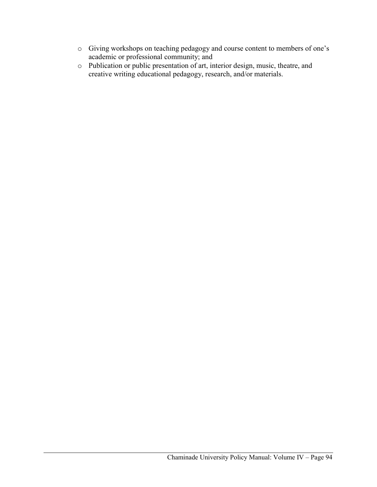- o Giving workshops on teaching pedagogy and course content to members of one's academic or professional community; and
- o Publication or public presentation of art, interior design, music, theatre, and creative writing educational pedagogy, research, and/or materials.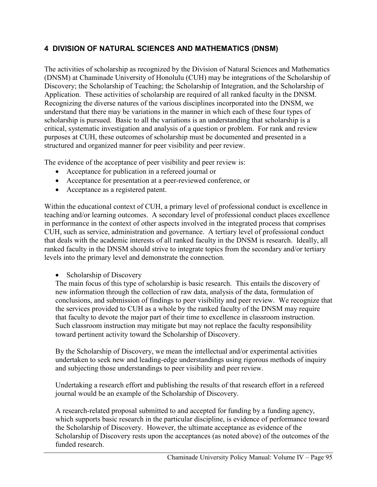# **4 DIVISION OF NATURAL SCIENCES AND MATHEMATICS (DNSM)**

The activities of scholarship as recognized by the Division of Natural Sciences and Mathematics (DNSM) at Chaminade University of Honolulu (CUH) may be integrations of the Scholarship of Discovery; the Scholarship of Teaching; the Scholarship of Integration, and the Scholarship of Application. These activities of scholarship are required of all ranked faculty in the DNSM. Recognizing the diverse natures of the various disciplines incorporated into the DNSM, we understand that there may be variations in the manner in which each of these four types of scholarship is pursued. Basic to all the variations is an understanding that scholarship is a critical, systematic investigation and analysis of a question or problem. For rank and review purposes at CUH, these outcomes of scholarship must be documented and presented in a structured and organized manner for peer visibility and peer review.

The evidence of the acceptance of peer visibility and peer review is:

- Acceptance for publication in a refereed journal or
- Acceptance for presentation at a peer-reviewed conference, or
- Acceptance as a registered patent.

Within the educational context of CUH, a primary level of professional conduct is excellence in teaching and/or learning outcomes. A secondary level of professional conduct places excellence in performance in the context of other aspects involved in the integrated process that comprises CUH, such as service, administration and governance. A tertiary level of professional conduct that deals with the academic interests of all ranked faculty in the DNSM is research. Ideally, all ranked faculty in the DNSM should strive to integrate topics from the secondary and/or tertiary levels into the primary level and demonstrate the connection.

#### • Scholarship of Discovery

The main focus of this type of scholarship is basic research. This entails the discovery of new information through the collection of raw data, analysis of the data, formulation of conclusions, and submission of findings to peer visibility and peer review. We recognize that the services provided to CUH as a whole by the ranked faculty of the DNSM may require that faculty to devote the major part of their time to excellence in classroom instruction. Such classroom instruction may mitigate but may not replace the faculty responsibility toward pertinent activity toward the Scholarship of Discovery.

By the Scholarship of Discovery, we mean the intellectual and/or experimental activities undertaken to seek new and leading-edge understandings using rigorous methods of inquiry and subjecting those understandings to peer visibility and peer review.

Undertaking a research effort and publishing the results of that research effort in a refereed journal would be an example of the Scholarship of Discovery.

A research-related proposal submitted to and accepted for funding by a funding agency, which supports basic research in the particular discipline, is evidence of performance toward the Scholarship of Discovery. However, the ultimate acceptance as evidence of the Scholarship of Discovery rests upon the acceptances (as noted above) of the outcomes of the funded research.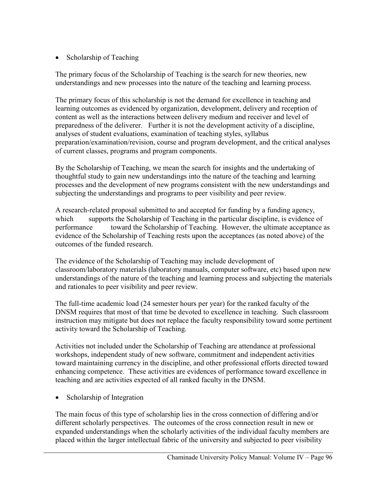• Scholarship of Teaching

The primary focus of the Scholarship of Teaching is the search for new theories, new understandings and new processes into the nature of the teaching and learning process.

The primary focus of this scholarship is not the demand for excellence in teaching and learning outcomes as evidenced by organization, development, delivery and reception of content as well as the interactions between delivery medium and receiver and level of preparedness of the deliverer. Further it is not the development activity of a discipline, analyses of student evaluations, examination of teaching styles, syllabus preparation/examination/revision, course and program development, and the critical analyses of current classes, programs and program components.

By the Scholarship of Teaching, we mean the search for insights and the undertaking of thoughtful study to gain new understandings into the nature of the teaching and learning processes and the development of new programs consistent with the new understandings and subjecting the understandings and programs to peer visibility and peer review.

A research-related proposal submitted to and accepted for funding by a funding agency, which supports the Scholarship of Teaching in the particular discipline, is evidence of performance toward the Scholarship of Teaching. However, the ultimate acceptance as evidence of the Scholarship of Teaching rests upon the acceptances (as noted above) of the outcomes of the funded research.

The evidence of the Scholarship of Teaching may include development of classroom/laboratory materials (laboratory manuals, computer software, etc) based upon new understandings of the nature of the teaching and learning process and subjecting the materials and rationales to peer visibility and peer review.

The full-time academic load (24 semester hours per year) for the ranked faculty of the DNSM requires that most of that time be devoted to excellence in teaching. Such classroom instruction may mitigate but does not replace the faculty responsibility toward some pertinent activity toward the Scholarship of Teaching.

Activities not included under the Scholarship of Teaching are attendance at professional workshops, independent study of new software, commitment and independent activities toward maintaining currency in the discipline, and other professional efforts directed toward enhancing competence. These activities are evidences of performance toward excellence in teaching and are activities expected of all ranked faculty in the DNSM.

Scholarship of Integration

The main focus of this type of scholarship lies in the cross connection of differing and/or different scholarly perspectives. The outcomes of the cross connection result in new or expanded understandings when the scholarly activities of the individual faculty members are placed within the larger intellectual fabric of the university and subjected to peer visibility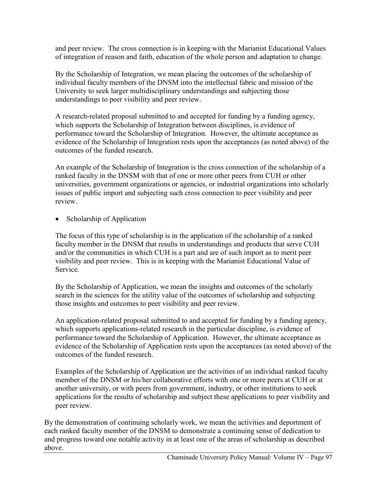and peer review. The cross connection is in keeping with the Marianist Educational Values of integration of reason and faith, education of the whole person and adaptation to change.

By the Scholarship of Integration, we mean placing the outcomes of the scholarship of individual faculty members of the DNSM into the intellectual fabric and mission of the University to seek larger multidisciplinary understandings and subjecting those understandings to peer visibility and peer review.

A research-related proposal submitted to and accepted for funding by a funding agency, which supports the Scholarship of Integration between disciplines, is evidence of performance toward the Scholarship of Integration. However, the ultimate acceptance as evidence of the Scholarship of Integration rests upon the acceptances (as noted above) of the outcomes of the funded research.

An example of the Scholarship of Integration is the cross connection of the scholarship of a ranked faculty in the DNSM with that of one or more other peers from CUH or other universities, government organizations or agencies, or industrial organizations into scholarly issues of public import and subjecting such cross connection to peer visibility and peer review.

Scholarship of Application

The focus of this type of scholarship is in the application of the scholarship of a ranked faculty member in the DNSM that results in understandings and products that serve CUH and/or the communities in which CUH is a part and are of such import as to merit peer visibility and peer review. This is in keeping with the Marianist Educational Value of Service.

By the Scholarship of Application, we mean the insights and outcomes of the scholarly search in the sciences for the utility value of the outcomes of scholarship and subjecting those insights and outcomes to peer visibility and peer review.

An application-related proposal submitted to and accepted for funding by a funding agency, which supports applications-related research in the particular discipline, is evidence of performance toward the Scholarship of Application. However, the ultimate acceptance as evidence of the Scholarship of Application rests upon the acceptances (as noted above) of the outcomes of the funded research.

Examples of the Scholarship of Application are the activities of an individual ranked faculty member of the DNSM or his/her collaborative efforts with one or more peers at CUH or at another university, or with peers from government, industry, or other institutions to seek applications for the results of scholarship and subject these applications to peer visibility and peer review.

By the demonstration of continuing scholarly work, we mean the activities and deportment of each ranked faculty member of the DNSM to demonstrate a continuing sense of dedication to and progress toward one notable activity in at least one of the areas of scholarship as described above.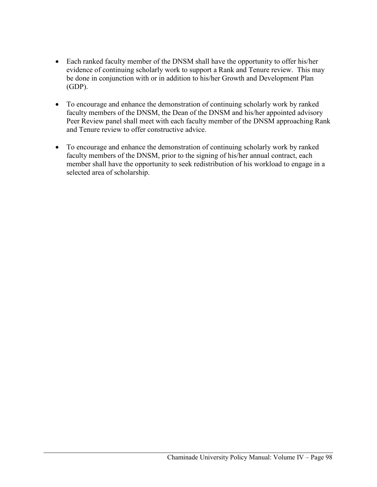- Each ranked faculty member of the DNSM shall have the opportunity to offer his/her evidence of continuing scholarly work to support a Rank and Tenure review. This may be done in conjunction with or in addition to his/her Growth and Development Plan (GDP).
- To encourage and enhance the demonstration of continuing scholarly work by ranked faculty members of the DNSM, the Dean of the DNSM and his/her appointed advisory Peer Review panel shall meet with each faculty member of the DNSM approaching Rank and Tenure review to offer constructive advice.
- To encourage and enhance the demonstration of continuing scholarly work by ranked faculty members of the DNSM, prior to the signing of his/her annual contract, each member shall have the opportunity to seek redistribution of his workload to engage in a selected area of scholarship.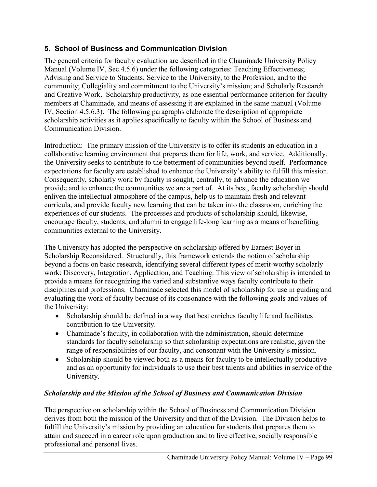## **5. School of Business and Communication Division**

The general criteria for faculty evaluation are described in the Chaminade University Policy Manual (Volume IV, Sec.4.5.6) under the following categories: Teaching Effectiveness; Advising and Service to Students; Service to the University, to the Profession, and to the community; Collegiality and commitment to the University's mission; and Scholarly Research and Creative Work. Scholarship productivity, as one essential performance criterion for faculty members at Chaminade, and means of assessing it are explained in the same manual (Volume IV, Section 4.5.6.3). The following paragraphs elaborate the description of appropriate scholarship activities as it applies specifically to faculty within the School of Business and Communication Division.

Introduction: The primary mission of the University is to offer its students an education in a collaborative learning environment that prepares them for life, work, and service. Additionally, the University seeks to contribute to the betterment of communities beyond itself. Performance expectations for faculty are established to enhance the University's ability to fulfill this mission. Consequently, scholarly work by faculty is sought, centrally, to advance the education we provide and to enhance the communities we are a part of. At its best, faculty scholarship should enliven the intellectual atmosphere of the campus, help us to maintain fresh and relevant curricula, and provide faculty new learning that can be taken into the classroom, enriching the experiences of our students. The processes and products of scholarship should, likewise, encourage faculty, students, and alumni to engage life-long learning as a means of benefiting communities external to the University.

The University has adopted the perspective on scholarship offered by Earnest Boyer in Scholarship Reconsidered. Structurally, this framework extends the notion of scholarship beyond a focus on basic research, identifying several different types of merit-worthy scholarly work: Discovery, Integration, Application, and Teaching. This view of scholarship is intended to provide a means for recognizing the varied and substantive ways faculty contribute to their disciplines and professions. Chaminade selected this model of scholarship for use in guiding and evaluating the work of faculty because of its consonance with the following goals and values of the University:

- Scholarship should be defined in a way that best enriches faculty life and facilitates contribution to the University.
- Chaminade's faculty, in collaboration with the administration, should determine standards for faculty scholarship so that scholarship expectations are realistic, given the range of responsibilities of our faculty, and consonant with the University's mission.
- Scholarship should be viewed both as a means for faculty to be intellectually productive and as an opportunity for individuals to use their best talents and abilities in service of the University.

## *Scholarship and the Mission of the School of Business and Communication Division*

The perspective on scholarship within the School of Business and Communication Division derives from both the mission of the University and that of the Division. The Division helps to fulfill the University's mission by providing an education for students that prepares them to attain and succeed in a career role upon graduation and to live effective, socially responsible professional and personal lives.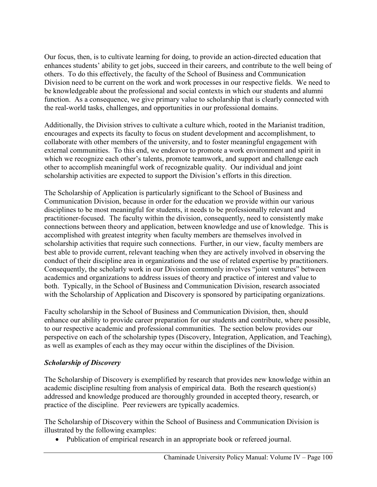Our focus, then, is to cultivate learning for doing, to provide an action-directed education that enhances students' ability to get jobs, succeed in their careers, and contribute to the well being of others. To do this effectively, the faculty of the School of Business and Communication Division need to be current on the work and work processes in our respective fields. We need to be knowledgeable about the professional and social contexts in which our students and alumni function. As a consequence, we give primary value to scholarship that is clearly connected with the real-world tasks, challenges, and opportunities in our professional domains.

Additionally, the Division strives to cultivate a culture which, rooted in the Marianist tradition, encourages and expects its faculty to focus on student development and accomplishment, to collaborate with other members of the university, and to foster meaningful engagement with external communities. To this end, we endeavor to promote a work environment and spirit in which we recognize each other's talents, promote teamwork, and support and challenge each other to accomplish meaningful work of recognizable quality. Our individual and joint scholarship activities are expected to support the Division's efforts in this direction.

The Scholarship of Application is particularly significant to the School of Business and Communication Division, because in order for the education we provide within our various disciplines to be most meaningful for students, it needs to be professionally relevant and practitioner-focused. The faculty within the division, consequently, need to consistently make connections between theory and application, between knowledge and use of knowledge. This is accomplished with greatest integrity when faculty members are themselves involved in scholarship activities that require such connections. Further, in our view, faculty members are best able to provide current, relevant teaching when they are actively involved in observing the conduct of their discipline area in organizations and the use of related expertise by practitioners. Consequently, the scholarly work in our Division commonly involves "joint ventures" between academics and organizations to address issues of theory and practice of interest and value to both. Typically, in the School of Business and Communication Division, research associated with the Scholarship of Application and Discovery is sponsored by participating organizations.

Faculty scholarship in the School of Business and Communication Division, then, should enhance our ability to provide career preparation for our students and contribute, where possible, to our respective academic and professional communities. The section below provides our perspective on each of the scholarship types (Discovery, Integration, Application, and Teaching), as well as examples of each as they may occur within the disciplines of the Division.

## *Scholarship of Discovery*

The Scholarship of Discovery is exemplified by research that provides new knowledge within an academic discipline resulting from analysis of empirical data. Both the research question(s) addressed and knowledge produced are thoroughly grounded in accepted theory, research, or practice of the discipline. Peer reviewers are typically academics.

The Scholarship of Discovery within the School of Business and Communication Division is illustrated by the following examples:

• Publication of empirical research in an appropriate book or refereed journal.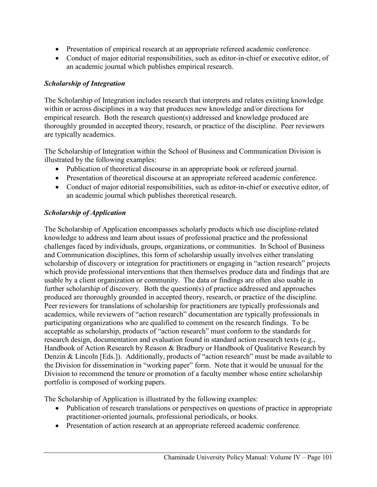- Presentation of empirical research at an appropriate refereed academic conference.
- Conduct of major editorial responsibilities, such as editor-in-chief or executive editor, of an academic journal which publishes empirical research.

## *Scholarship of Integration*

The Scholarship of Integration includes research that interprets and relates existing knowledge within or across disciplines in a way that produces new knowledge and/or directions for empirical research. Both the research question(s) addressed and knowledge produced are thoroughly grounded in accepted theory, research, or practice of the discipline. Peer reviewers are typically academics.

The Scholarship of Integration within the School of Business and Communication Division is illustrated by the following examples:

- Publication of theoretical discourse in an appropriate book or refereed journal.
- Presentation of theoretical discourse at an appropriate refereed academic conference.
- Conduct of major editorial responsibilities, such as editor-in-chief or executive editor, of an academic journal which publishes theoretical research.

## *Scholarship of Application*

The Scholarship of Application encompasses scholarly products which use discipline-related knowledge to address and learn about issues of professional practice and the professional challenges faced by individuals, groups, organizations, or communities. In School of Business and Communication disciplines, this form of scholarship usually involves either translating scholarship of discovery or integration for practitioners or engaging in "action research" projects which provide professional interventions that then themselves produce data and findings that are usable by a client organization or community. The data or findings are often also usable in further scholarship of discovery. Both the question(s) of practice addressed and approaches produced are thoroughly grounded in accepted theory, research, or practice of the discipline. Peer reviewers for translations of scholarship for practitioners are typically professionals and academics, while reviewers of "action research" documentation are typically professionals in participating organizations who are qualified to comment on the research findings. To be acceptable as scholarship, products of "action research" must conform to the standards for research design, documentation and evaluation found in standard action research texts (e.g., Handbook of Action Research by Reason & Bradbury or Handbook of Qualitative Research by Denzin & Lincoln [Eds.]). Additionally, products of "action research" must be made available to the Division for dissemination in "working paper" form. Note that it would be unusual for the Division to recommend the tenure or promotion of a faculty member whose entire scholarship portfolio is composed of working papers.

The Scholarship of Application is illustrated by the following examples:

- Publication of research translations or perspectives on questions of practice in appropriate practitioner-oriented journals, professional periodicals, or books.
- Presentation of action research at an appropriate refereed academic conference.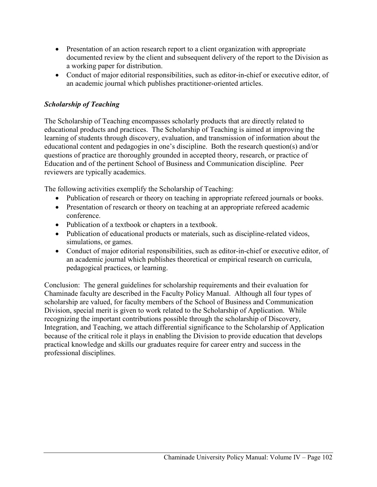- Presentation of an action research report to a client organization with appropriate documented review by the client and subsequent delivery of the report to the Division as a working paper for distribution.
- Conduct of major editorial responsibilities, such as editor-in-chief or executive editor, of an academic journal which publishes practitioner-oriented articles.

#### *Scholarship of Teaching*

The Scholarship of Teaching encompasses scholarly products that are directly related to educational products and practices. The Scholarship of Teaching is aimed at improving the learning of students through discovery, evaluation, and transmission of information about the educational content and pedagogies in one's discipline. Both the research question(s) and/or questions of practice are thoroughly grounded in accepted theory, research, or practice of Education and of the pertinent School of Business and Communication discipline. Peer reviewers are typically academics.

The following activities exemplify the Scholarship of Teaching:

- Publication of research or theory on teaching in appropriate refereed journals or books.
- Presentation of research or theory on teaching at an appropriate refereed academic conference.
- Publication of a textbook or chapters in a textbook.
- Publication of educational products or materials, such as discipline-related videos, simulations, or games.
- Conduct of major editorial responsibilities, such as editor-in-chief or executive editor, of an academic journal which publishes theoretical or empirical research on curricula, pedagogical practices, or learning.

Conclusion: The general guidelines for scholarship requirements and their evaluation for Chaminade faculty are described in the Faculty Policy Manual. Although all four types of scholarship are valued, for faculty members of the School of Business and Communication Division, special merit is given to work related to the Scholarship of Application. While recognizing the important contributions possible through the scholarship of Discovery, Integration, and Teaching, we attach differential significance to the Scholarship of Application because of the critical role it plays in enabling the Division to provide education that develops practical knowledge and skills our graduates require for career entry and success in the professional disciplines.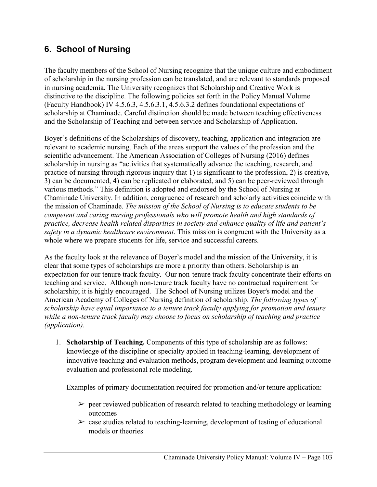# **6. School of Nursing**

The faculty members of the School of Nursing recognize that the unique culture and embodiment of scholarship in the nursing profession can be translated, and are relevant to standards proposed in nursing academia. The University recognizes that Scholarship and Creative Work is distinctive to the discipline. The following policies set forth in the Policy Manual Volume (Faculty Handbook) IV 4.5.6.3, 4.5.6.3.1, 4.5.6.3.2 defines foundational expectations of scholarship at Chaminade. Careful distinction should be made between teaching effectiveness and the Scholarship of Teaching and between service and Scholarship of Application.

Boyer's definitions of the Scholarships of discovery, teaching, application and integration are relevant to academic nursing. Each of the areas support the values of the profession and the scientific advancement. The American Association of Colleges of Nursing (2016) defines scholarship in nursing as "activities that systematically advance the teaching, research, and practice of nursing through rigorous inquiry that 1) is significant to the profession, 2) is creative, 3) can be documented, 4) can be replicated or elaborated, and 5) can be peer-reviewed through various methods." This definition is adopted and endorsed by the School of Nursing at Chaminade University. In addition, congruence of research and scholarly activities coincide with the mission of Chaminade. *The mission of the School of Nursing is to educate students to be competent and caring nursing professionals who will promote health and high standards of practice, decrease health related disparities in society and enhance quality of life and patient's safety in a dynamic healthcare environment*. This mission is congruent with the University as a whole where we prepare students for life, service and successful careers.

As the faculty look at the relevance of Boyer's model and the mission of the University, it is clear that some types of scholarships are more a priority than others. Scholarship is an expectation for our tenure track faculty. Our non-tenure track faculty concentrate their efforts on teaching and service. Although non-tenure track faculty have no contractual requirement for scholarship; it is highly encouraged. The School of Nursing utilizes Boyer's model and the American Academy of Colleges of Nursing definition of scholarship. *The following types of scholarship have equal importance to a tenure track faculty applying for promotion and tenure while a non-tenure track faculty may choose to focus on scholarship of teaching and practice (application).*

1. **Scholarship of Teaching.** Components of this type of scholarship are as follows: knowledge of the discipline or specialty applied in teaching-learning, development of innovative teaching and evaluation methods, program development and learning outcome evaluation and professional role modeling.

Examples of primary documentation required for promotion and/or tenure application:

- $\triangleright$  peer reviewed publication of research related to teaching methodology or learning outcomes
- $\geq$  case studies related to teaching-learning, development of testing of educational models or theories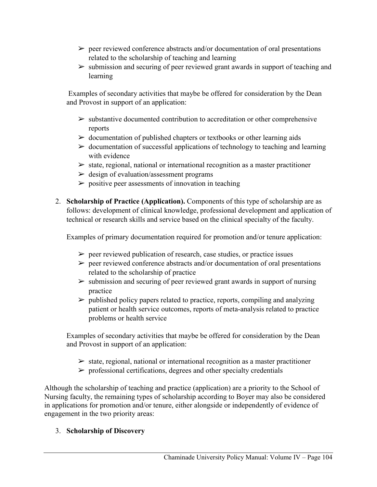- $\triangleright$  peer reviewed conference abstracts and/or documentation of oral presentations related to the scholarship of teaching and learning
- $\triangleright$  submission and securing of peer reviewed grant awards in support of teaching and learning

 Examples of secondary activities that maybe be offered for consideration by the Dean and Provost in support of an application:

- $\triangleright$  substantive documented contribution to accreditation or other comprehensive reports
- $\triangleright$  documentation of published chapters or textbooks or other learning aids
- $\triangleright$  documentation of successful applications of technology to teaching and learning with evidence
- $\triangleright$  state, regional, national or international recognition as a master practitioner
- $\geq$  design of evaluation/assessment programs
- $\triangleright$  positive peer assessments of innovation in teaching
- 2. **Scholarship of Practice (Application).** Components of this type of scholarship are as follows: development of clinical knowledge, professional development and application of technical or research skills and service based on the clinical specialty of the faculty.

Examples of primary documentation required for promotion and/or tenure application:

- $\triangleright$  peer reviewed publication of research, case studies, or practice issues
- $\triangleright$  peer reviewed conference abstracts and/or documentation of oral presentations related to the scholarship of practice
- $\triangleright$  submission and securing of peer reviewed grant awards in support of nursing practice
- $\triangleright$  published policy papers related to practice, reports, compiling and analyzing patient or health service outcomes, reports of meta-analysis related to practice problems or health service

 Examples of secondary activities that maybe be offered for consideration by the Dean and Provost in support of an application:

- $\triangleright$  state, regional, national or international recognition as a master practitioner
- $\triangleright$  professional certifications, degrees and other specialty credentials

Although the scholarship of teaching and practice (application) are a priority to the School of Nursing faculty, the remaining types of scholarship according to Boyer may also be considered in applications for promotion and/or tenure, either alongside or independently of evidence of engagement in the two priority areas:

## 3. **Scholarship of Discovery**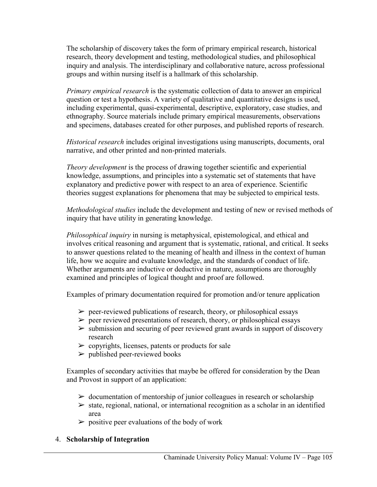The scholarship of discovery takes the form of primary empirical research, historical research, theory development and testing, methodological studies, and philosophical inquiry and analysis. The interdisciplinary and collaborative nature, across professional groups and within nursing itself is a hallmark of this scholarship.

*Primary empirical research* is the systematic collection of data to answer an empirical question or test a hypothesis. A variety of qualitative and quantitative designs is used, including experimental, quasi-experimental, descriptive, exploratory, case studies, and ethnography. Source materials include primary empirical measurements, observations and specimens, databases created for other purposes, and published reports of research.

*Historical research* includes original investigations using manuscripts, documents, oral narrative, and other printed and non-printed materials.

*Theory development* is the process of drawing together scientific and experiential knowledge, assumptions, and principles into a systematic set of statements that have explanatory and predictive power with respect to an area of experience. Scientific theories suggest explanations for phenomena that may be subjected to empirical tests.

*Methodological studies* include the development and testing of new or revised methods of inquiry that have utility in generating knowledge.

*Philosophical inquiry* in nursing is metaphysical, epistemological, and ethical and involves critical reasoning and argument that is systematic, rational, and critical. It seeks to answer questions related to the meaning of health and illness in the context of human life, how we acquire and evaluate knowledge, and the standards of conduct of life. Whether arguments are inductive or deductive in nature, assumptions are thoroughly examined and principles of logical thought and proof are followed.

Examples of primary documentation required for promotion and/or tenure application

- $\triangleright$  peer-reviewed publications of research, theory, or philosophical essays
- $\triangleright$  peer reviewed presentations of research, theory, or philosophical essays
- $\triangleright$  submission and securing of peer reviewed grant awards in support of discovery research
- $\triangleright$  copyrights, licenses, patents or products for sale
- $\triangleright$  published peer-reviewed books

 Examples of secondary activities that maybe be offered for consideration by the Dean and Provost in support of an application:

- $\triangleright$  documentation of mentorship of junior colleagues in research or scholarship
- $\triangleright$  state, regional, national, or international recognition as a scholar in an identified area
- $\triangleright$  positive peer evaluations of the body of work

## 4. **Scholarship of Integration**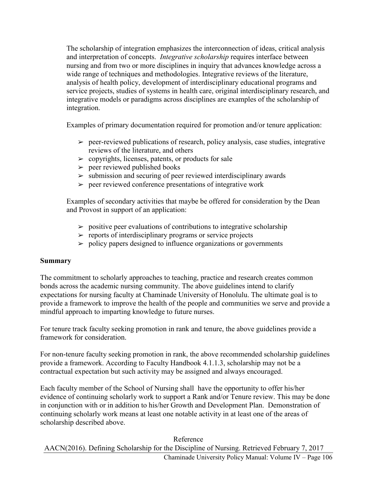The scholarship of integration emphasizes the interconnection of ideas, critical analysis and interpretation of concepts. *Integrative scholarship* requires interface between nursing and from two or more disciplines in inquiry that advances knowledge across a wide range of techniques and methodologies. Integrative reviews of the literature, analysis of health policy, development of interdisciplinary educational programs and service projects, studies of systems in health care, original interdisciplinary research, and integrative models or paradigms across disciplines are examples of the scholarship of integration.

Examples of primary documentation required for promotion and/or tenure application:

- $\triangleright$  peer-reviewed publications of research, policy analysis, case studies, integrative reviews of the literature, and others
- $\geq$  copyrights, licenses, patents, or products for sale
- $\geq$  peer reviewed published books
- $\geq$  submission and securing of peer reviewed interdisciplinary awards
- $\ge$  peer reviewed conference presentations of integrative work

 Examples of secondary activities that maybe be offered for consideration by the Dean and Provost in support of an application:

- $\geq$  positive peer evaluations of contributions to integrative scholarship
- $\triangleright$  reports of interdisciplinary programs or service projects
- $\geq$  policy papers designed to influence organizations or governments

### **Summary**

The commitment to scholarly approaches to teaching, practice and research creates common bonds across the academic nursing community. The above guidelines intend to clarify expectations for nursing faculty at Chaminade University of Honolulu. The ultimate goal is to provide a framework to improve the health of the people and communities we serve and provide a mindful approach to imparting knowledge to future nurses.

For tenure track faculty seeking promotion in rank and tenure, the above guidelines provide a framework for consideration.

For non-tenure faculty seeking promotion in rank, the above recommended scholarship guidelines provide a framework. According to Faculty Handbook 4.1.1.3, scholarship may not be a contractual expectation but such activity may be assigned and always encouraged.

Each faculty member of the School of Nursing shall have the opportunity to offer his/her evidence of continuing scholarly work to support a Rank and/or Tenure review. This may be done in conjunction with or in addition to his/her Growth and Development Plan. Demonstration of continuing scholarly work means at least one notable activity in at least one of the areas of scholarship described above.

Chaminade University Policy Manual: Volume IV – Page 106 Reference AACN(2016). Defining Scholarship for the Discipline of Nursing. Retrieved February 7, 2017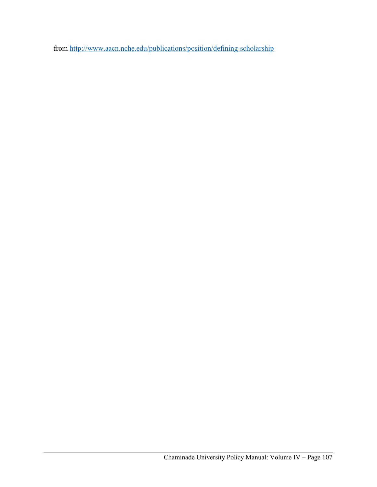from<http://www.aacn.nche.edu/publications/position/defining-scholarship>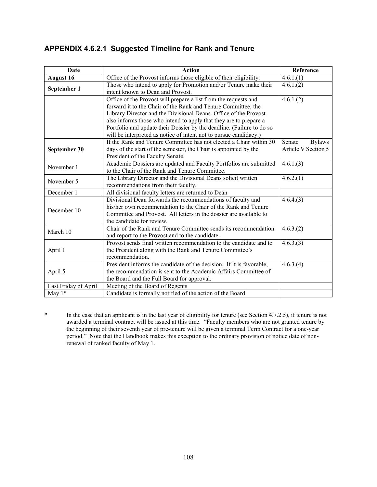# **APPENDIX 4.6.2.1 Suggested Timeline for Rank and Tenure**

| Date                 | <b>Action</b>                                                         | Reference               |
|----------------------|-----------------------------------------------------------------------|-------------------------|
| <b>August 16</b>     | Office of the Provost informs those eligible of their eligibility.    | 4.6.1(1)                |
| September 1          | Those who intend to apply for Promotion and/or Tenure make their      | 4.6.1(2)                |
|                      | intent known to Dean and Provost.                                     |                         |
|                      | Office of the Provost will prepare a list from the requests and       | 4.6.1(2)                |
|                      | forward it to the Chair of the Rank and Tenure Committee, the         |                         |
|                      | Library Director and the Divisional Deans. Office of the Provost      |                         |
|                      | also informs those who intend to apply that they are to prepare a     |                         |
|                      | Portfolio and update their Dossier by the deadline. (Failure to do so |                         |
|                      | will be interpreted as notice of intent not to pursue candidacy.)     |                         |
| September 30         | If the Rank and Tenure Committee has not elected a Chair within 30    | <b>Bylaws</b><br>Senate |
|                      | days of the start of the semester, the Chair is appointed by the      | Article V Section 5     |
|                      | President of the Faculty Senate.                                      |                         |
| November 1           | Academic Dossiers are updated and Faculty Portfolios are submitted    | 4.6.1(3)                |
|                      | to the Chair of the Rank and Tenure Committee.                        |                         |
| November 5           | The Library Director and the Divisional Deans solicit written         | 4.6.2(1)                |
|                      | recommendations from their faculty.                                   |                         |
| December 1           | All divisional faculty letters are returned to Dean                   |                         |
| December 10          | Divisional Dean forwards the recommendations of faculty and           | 4.6.4(3)                |
|                      | his/her own recommendation to the Chair of the Rank and Tenure        |                         |
|                      | Committee and Provost. All letters in the dossier are available to    |                         |
|                      | the candidate for review.                                             |                         |
| March 10             | Chair of the Rank and Tenure Committee sends its recommendation       | 4.6.3(2)                |
|                      | and report to the Provost and to the candidate.                       |                         |
| April 1              | Provost sends final written recommendation to the candidate and to    | 4.6.3(3)                |
|                      | the President along with the Rank and Tenure Committee's              |                         |
|                      | recommendation.                                                       |                         |
| April 5              | President informs the candidate of the decision. If it is favorable,  | 4.6.3(4)                |
|                      | the recommendation is sent to the Academic Affairs Committee of       |                         |
|                      | the Board and the Full Board for approval.                            |                         |
| Last Friday of April | Meeting of the Board of Regents                                       |                         |
| May $1*$             | Candidate is formally notified of the action of the Board             |                         |

\* In the case that an applicant is in the last year of eligibility for tenure (see Section 4.7.2.5), if tenure is not awarded a terminal contract will be issued at this time. "Faculty members who are not granted tenure by the beginning of their seventh year of pre-tenure will be given a terminal Term Contract for a one-year period." Note that the Handbook makes this exception to the ordinary provision of notice date of nonrenewal of ranked faculty of May 1.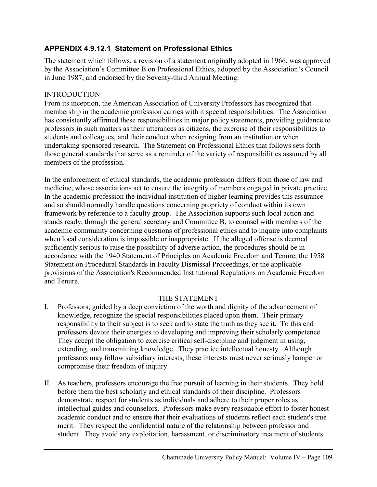# **APPENDIX 4.9.12.1 Statement on Professional Ethics**

The statement which follows, a revision of a statement originally adopted in 1966, was approved by the Association's Committee B on Professional Ethics, adopted by the Association's Council in June 1987, and endorsed by the Seventy-third Annual Meeting.

### **INTRODUCTION**

From its inception, the American Association of University Professors has recognized that membership in the academic profession carries with it special responsibilities. The Association has consistently affirmed these responsibilities in major policy statements, providing guidance to professors in such matters as their utterances as citizens, the exercise of their responsibilities to students and colleagues, and their conduct when resigning from an institution or when undertaking sponsored research. The Statement on Professional Ethics that follows sets forth those general standards that serve as a reminder of the variety of responsibilities assumed by all members of the profession.

In the enforcement of ethical standards, the academic profession differs from those of law and medicine, whose associations act to ensure the integrity of members engaged in private practice. In the academic profession the individual institution of higher learning provides this assurance and so should normally handle questions concerning propriety of conduct within its own framework by reference to a faculty group. The Association supports such local action and stands ready, through the general secretary and Committee B, to counsel with members of the academic community concerning questions of professional ethics and to inquire into complaints when local consideration is impossible or inappropriate. If the alleged offense is deemed sufficiently serious to raise the possibility of adverse action, the procedures should be in accordance with the 1940 Statement of Principles on Academic Freedom and Tenure, the 1958 Statement on Procedural Standards in Faculty Dismissal Proceedings, or the applicable provisions of the Association's Recommended Institutional Regulations on Academic Freedom and Tenure.

### THE STATEMENT

- I. Professors, guided by a deep conviction of the worth and dignity of the advancement of knowledge, recognize the special responsibilities placed upon them. Their primary responsibility to their subject is to seek and to state the truth as they see it. To this end professors devote their energies to developing and improving their scholarly competence. They accept the obligation to exercise critical self-discipline and judgment in using, extending, and transmitting knowledge. They practice intellectual honesty. Although professors may follow subsidiary interests, these interests must never seriously hamper or compromise their freedom of inquiry.
- II. As teachers, professors encourage the free pursuit of learning in their students. They hold before them the best scholarly and ethical standards of their discipline. Professors demonstrate respect for students as individuals and adhere to their proper roles as intellectual guides and counselors. Professors make every reasonable effort to foster honest academic conduct and to ensure that their evaluations of students reflect each student's true merit. They respect the confidential nature of the relationship between professor and student. They avoid any exploitation, harassment, or discriminatory treatment of students.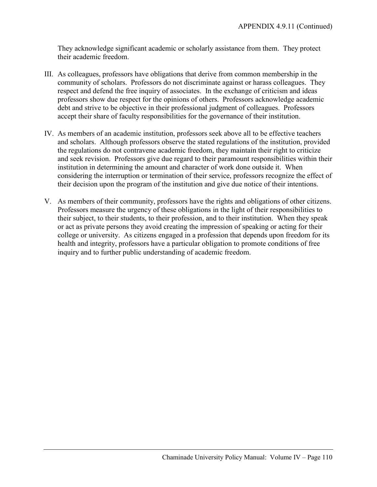They acknowledge significant academic or scholarly assistance from them. They protect their academic freedom.

- III. As colleagues, professors have obligations that derive from common membership in the community of scholars. Professors do not discriminate against or harass colleagues. They respect and defend the free inquiry of associates. In the exchange of criticism and ideas professors show due respect for the opinions of others. Professors acknowledge academic debt and strive to be objective in their professional judgment of colleagues. Professors accept their share of faculty responsibilities for the governance of their institution.
- IV. As members of an academic institution, professors seek above all to be effective teachers and scholars. Although professors observe the stated regulations of the institution, provided the regulations do not contravene academic freedom, they maintain their right to criticize and seek revision. Professors give due regard to their paramount responsibilities within their institution in determining the amount and character of work done outside it. When considering the interruption or termination of their service, professors recognize the effect of their decision upon the program of the institution and give due notice of their intentions.
- V. As members of their community, professors have the rights and obligations of other citizens. Professors measure the urgency of these obligations in the light of their responsibilities to their subject, to their students, to their profession, and to their institution. When they speak or act as private persons they avoid creating the impression of speaking or acting for their college or university. As citizens engaged in a profession that depends upon freedom for its health and integrity, professors have a particular obligation to promote conditions of free inquiry and to further public understanding of academic freedom.